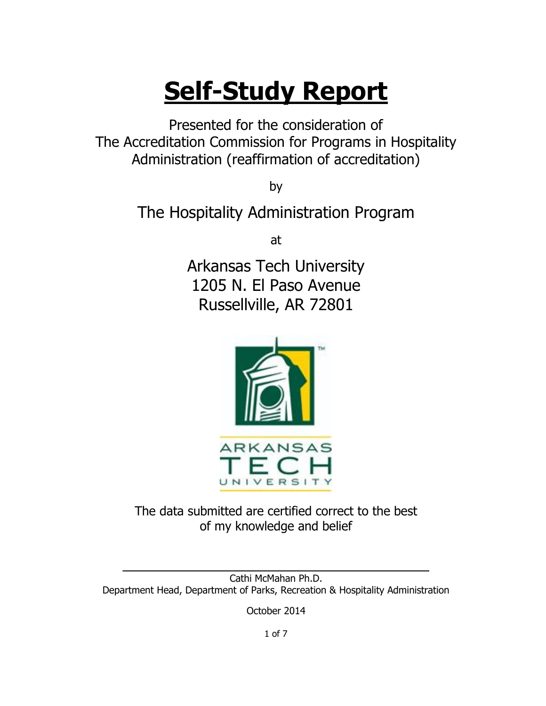# **Self-Study Report**

Presented for the consideration of The Accreditation Commission for Programs in Hospitality Administration (reaffirmation of accreditation)

by

The Hospitality Administration Program

at

Arkansas Tech University 1205 N. El Paso Avenue Russellville, AR 72801



The data submitted are certified correct to the best of my knowledge and belief

Cathi McMahan Ph.D. Department Head, Department of Parks, Recreation & Hospitality Administration

 $\mathcal{L}_\mathcal{L} = \{ \mathcal{L}_\mathcal{L} = \{ \mathcal{L}_\mathcal{L} = \{ \mathcal{L}_\mathcal{L} = \{ \mathcal{L}_\mathcal{L} = \{ \mathcal{L}_\mathcal{L} = \{ \mathcal{L}_\mathcal{L} = \{ \mathcal{L}_\mathcal{L} = \{ \mathcal{L}_\mathcal{L} = \{ \mathcal{L}_\mathcal{L} = \{ \mathcal{L}_\mathcal{L} = \{ \mathcal{L}_\mathcal{L} = \{ \mathcal{L}_\mathcal{L} = \{ \mathcal{L}_\mathcal{L} = \{ \mathcal{L}_\mathcal{$ 

October 2014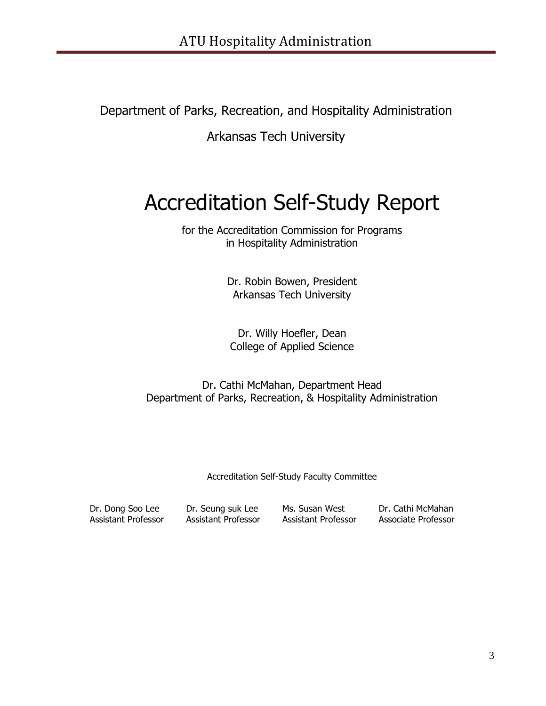Department of Parks, Recreation, and Hospitality Administration

Arkansas Tech University

# Accreditation Self-Study Report

for the Accreditation Commission for Programs in Hospitality Administration

> Dr. Robin Bowen, President Arkansas Tech University

Dr. Willy Hoefler, Dean College of Applied Science

Dr. Cathi McMahan, Department Head Department of Parks, Recreation, & Hospitality Administration

Accreditation Self-Study Faculty Committee

Dr. Dong Soo Lee Dr. Seung suk Lee Ms. Susan West Dr. Cathi McMahan

Assistant Professor Assistant Professor Assistant Professor Associate Professor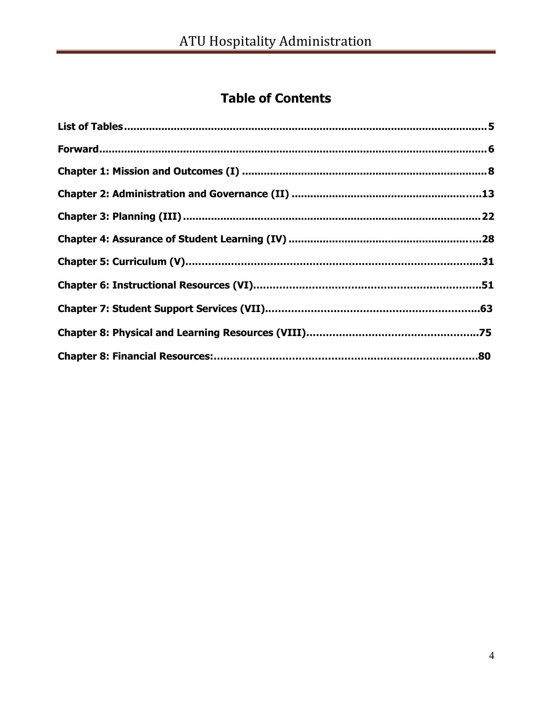# **Table of Contents**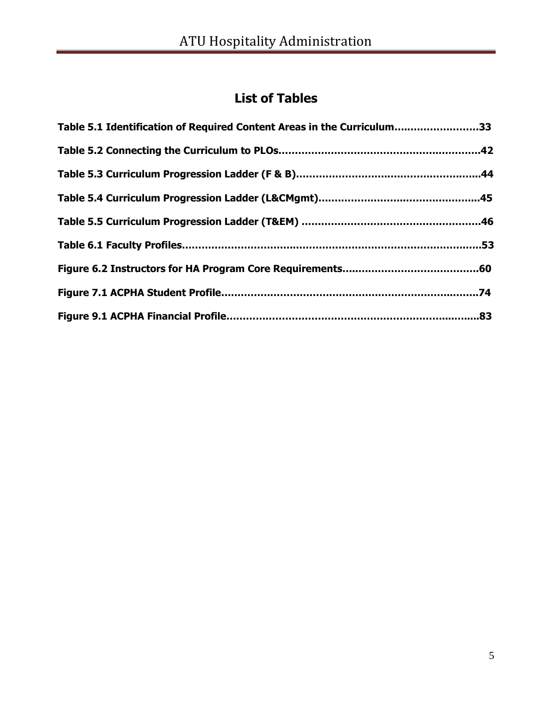# **List of Tables**

| Table 5.1 Identification of Required Content Areas in the Curriculum33 |
|------------------------------------------------------------------------|
|                                                                        |
|                                                                        |
|                                                                        |
|                                                                        |
|                                                                        |
|                                                                        |
|                                                                        |
|                                                                        |
|                                                                        |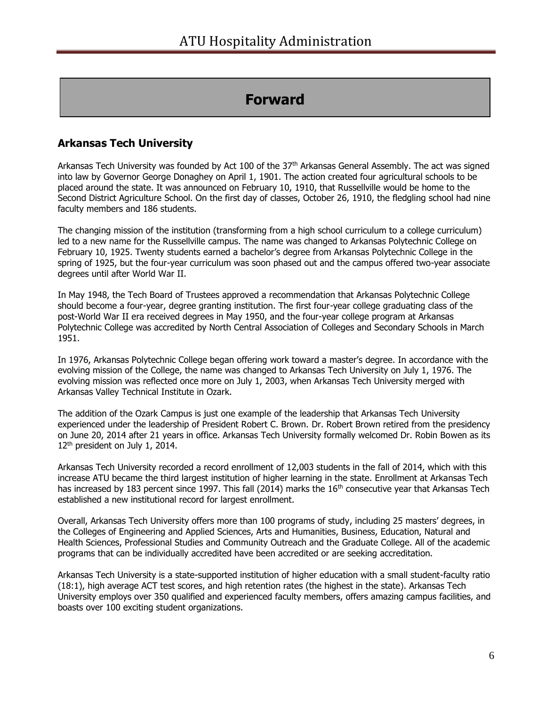## **Forward**

## **Arkansas Tech University**

Arkansas Tech University was founded by Act 100 of the 37<sup>th</sup> Arkansas General Assembly. The act was signed into law by Governor George Donaghey on April 1, 1901. The action created four agricultural schools to be placed around the state. It was announced on February 10, 1910, that Russellville would be home to the Second District Agriculture School. On the first day of classes, October 26, 1910, the fledgling school had nine faculty members and 186 students.

The changing mission of the institution (transforming from a high school curriculum to a college curriculum) led to a new name for the Russellville campus. The name was changed to Arkansas Polytechnic College on February 10, 1925. Twenty students earned a bachelor's degree from Arkansas Polytechnic College in the spring of 1925, but the four-year curriculum was soon phased out and the campus offered two-year associate degrees until after World War II.

In May 1948, the Tech Board of Trustees approved a recommendation that Arkansas Polytechnic College should become a four-year, degree granting institution. The first four-year college graduating class of the post-World War II era received degrees in May 1950, and the four-year college program at Arkansas Polytechnic College was accredited by North Central Association of Colleges and Secondary Schools in March 1951.

In 1976, Arkansas Polytechnic College began offering work toward a master's degree. In accordance with the evolving mission of the College, the name was changed to Arkansas Tech University on July 1, 1976. The evolving mission was reflected once more on July 1, 2003, when Arkansas Tech University merged with Arkansas Valley Technical Institute in Ozark.

The addition of the Ozark Campus is just one example of the leadership that Arkansas Tech University experienced under the leadership of President Robert C. Brown. Dr. Robert Brown retired from the presidency on June 20, 2014 after 21 years in office. Arkansas Tech University formally welcomed Dr. Robin Bowen as its 12<sup>th</sup> president on July 1, 2014.

Arkansas Tech University recorded a record enrollment of 12,003 students in the fall of 2014, which with this increase ATU became the third largest institution of higher learning in the state. Enrollment at Arkansas Tech has increased by 183 percent since 1997. This fall (2014) marks the 16<sup>th</sup> consecutive year that Arkansas Tech established a new institutional record for largest enrollment.

Overall, Arkansas Tech University offers more than 100 programs of study, including 25 masters' degrees, in the Colleges of Engineering and Applied Sciences, Arts and Humanities, Business, Education, Natural and Health Sciences, Professional Studies and Community Outreach and the Graduate College. All of the academic programs that can be individually accredited have been accredited or are seeking accreditation.

Arkansas Tech University is a state-supported institution of higher education with a small student-faculty ratio (18:1), high average ACT test scores, and high retention rates (the highest in the state). Arkansas Tech University employs over 350 qualified and experienced faculty members, offers amazing campus facilities, and boasts over 100 exciting student organizations.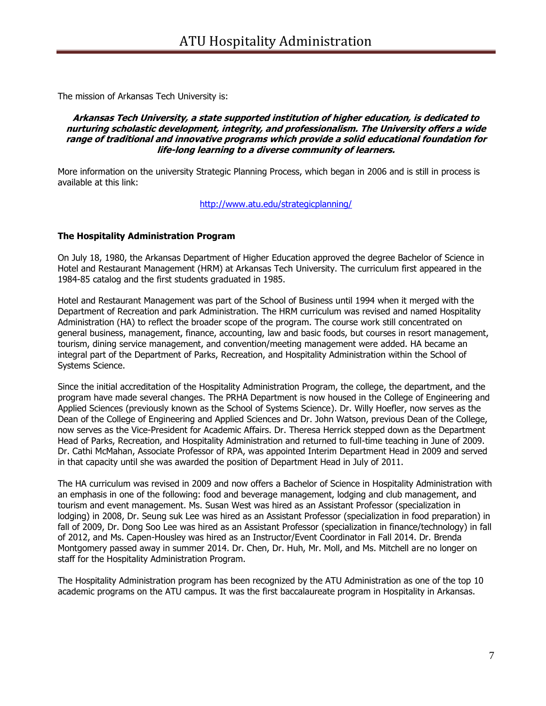The mission of Arkansas Tech University is:

#### **Arkansas Tech University, a state supported institution of higher education, is dedicated to nurturing scholastic development, integrity, and professionalism. The University offers a wide range of traditional and innovative programs which provide a solid educational foundation for life-long learning to a diverse community of learners.**

More information on the university Strategic Planning Process, which began in 2006 and is still in process is available at this link:

<http://www.atu.edu/strategicplanning/>

#### **The Hospitality Administration Program**

On July 18, 1980, the Arkansas Department of Higher Education approved the degree Bachelor of Science in Hotel and Restaurant Management (HRM) at Arkansas Tech University. The curriculum first appeared in the 1984-85 catalog and the first students graduated in 1985.

Hotel and Restaurant Management was part of the School of Business until 1994 when it merged with the Department of Recreation and park Administration. The HRM curriculum was revised and named Hospitality Administration (HA) to reflect the broader scope of the program. The course work still concentrated on general business, management, finance, accounting, law and basic foods, but courses in resort management, tourism, dining service management, and convention/meeting management were added. HA became an integral part of the Department of Parks, Recreation, and Hospitality Administration within the School of Systems Science.

Since the initial accreditation of the Hospitality Administration Program, the college, the department, and the program have made several changes. The PRHA Department is now housed in the College of Engineering and Applied Sciences (previously known as the School of Systems Science). Dr. Willy Hoefler, now serves as the Dean of the College of Engineering and Applied Sciences and Dr. John Watson, previous Dean of the College, now serves as the Vice-President for Academic Affairs. Dr. Theresa Herrick stepped down as the Department Head of Parks, Recreation, and Hospitality Administration and returned to full-time teaching in June of 2009. Dr. Cathi McMahan, Associate Professor of RPA, was appointed Interim Department Head in 2009 and served in that capacity until she was awarded the position of Department Head in July of 2011.

The HA curriculum was revised in 2009 and now offers a Bachelor of Science in Hospitality Administration with an emphasis in one of the following: food and beverage management, lodging and club management, and tourism and event management. Ms. Susan West was hired as an Assistant Professor (specialization in lodging) in 2008, Dr. Seung suk Lee was hired as an Assistant Professor (specialization in food preparation) in fall of 2009, Dr. Dong Soo Lee was hired as an Assistant Professor (specialization in finance/technology) in fall of 2012, and Ms. Capen-Housley was hired as an Instructor/Event Coordinator in Fall 2014. Dr. Brenda Montgomery passed away in summer 2014. Dr. Chen, Dr. Huh, Mr. Moll, and Ms. Mitchell are no longer on staff for the Hospitality Administration Program.

The Hospitality Administration program has been recognized by the ATU Administration as one of the top 10 academic programs on the ATU campus. It was the first baccalaureate program in Hospitality in Arkansas.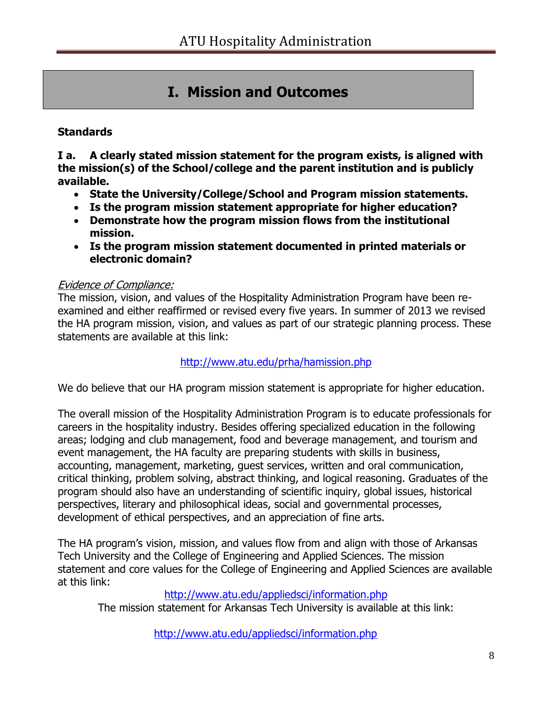# **I. Mission and Outcomes**

## **Standards**

**I a. A clearly stated mission statement for the program exists, is aligned with the mission(s) of the School/college and the parent institution and is publicly available.** 

- **State the University/College/School and Program mission statements.**
- **Is the program mission statement appropriate for higher education?**
- **Demonstrate how the program mission flows from the institutional mission.**
- **Is the program mission statement documented in printed materials or electronic domain?**

#### Evidence of Compliance:

The mission, vision, and values of the Hospitality Administration Program have been reexamined and either reaffirmed or revised every five years. In summer of 2013 we revised the HA program mission, vision, and values as part of our strategic planning process. These statements are available at this link:

## <http://www.atu.edu/prha/hamission.php>

We do believe that our HA program mission statement is appropriate for higher education.

The overall mission of the Hospitality Administration Program is to educate professionals for careers in the hospitality industry. Besides offering specialized education in the following areas; lodging and club management, food and beverage management, and tourism and event management, the HA faculty are preparing students with skills in business, accounting, management, marketing, guest services, written and oral communication, critical thinking, problem solving, abstract thinking, and logical reasoning. Graduates of the program should also have an understanding of scientific inquiry, global issues, historical perspectives, literary and philosophical ideas, social and governmental processes, development of ethical perspectives, and an appreciation of fine arts.

The HA program's vision, mission, and values flow from and align with those of Arkansas Tech University and the College of Engineering and Applied Sciences. The mission statement and core values for the College of Engineering and Applied Sciences are available at this link:

## <http://www.atu.edu/appliedsci/information.php>

The mission statement for Arkansas Tech University is available at this link:

<http://www.atu.edu/appliedsci/information.php>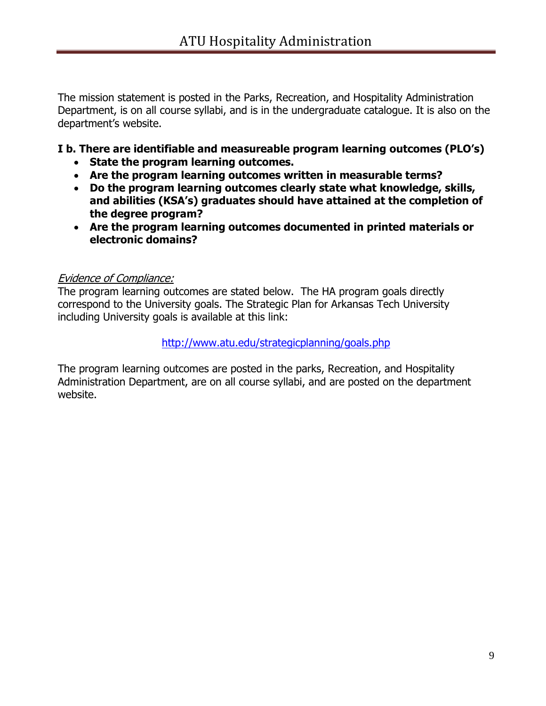The mission statement is posted in the Parks, Recreation, and Hospitality Administration Department, is on all course syllabi, and is in the undergraduate catalogue. It is also on the department's website.

## **I b. There are identifiable and measureable program learning outcomes (PLO's)**

- **State the program learning outcomes.**
- **Are the program learning outcomes written in measurable terms?**
- **Do the program learning outcomes clearly state what knowledge, skills, and abilities (KSA's) graduates should have attained at the completion of the degree program?**
- **Are the program learning outcomes documented in printed materials or electronic domains?**

## Evidence of Compliance:

The program learning outcomes are stated below. The HA program goals directly correspond to the University goals. The Strategic Plan for Arkansas Tech University including University goals is available at this link:

#### <http://www.atu.edu/strategicplanning/goals.php>

The program learning outcomes are posted in the parks, Recreation, and Hospitality Administration Department, are on all course syllabi, and are posted on the department website.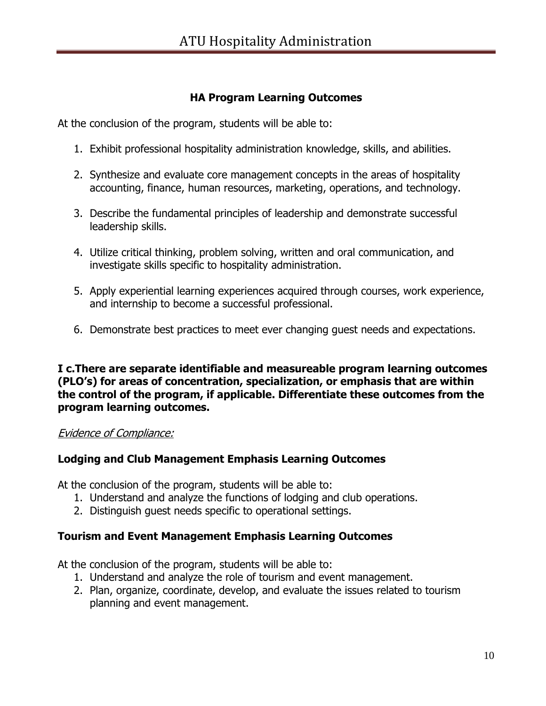## **HA Program Learning Outcomes**

At the conclusion of the program, students will be able to:

- 1. Exhibit professional hospitality administration knowledge, skills, and abilities.
- 2. Synthesize and evaluate core management concepts in the areas of hospitality accounting, finance, human resources, marketing, operations, and technology.
- 3. Describe the fundamental principles of leadership and demonstrate successful leadership skills.
- 4. Utilize critical thinking, problem solving, written and oral communication, and investigate skills specific to hospitality administration.
- 5. Apply experiential learning experiences acquired through courses, work experience, and internship to become a successful professional.
- 6. Demonstrate best practices to meet ever changing guest needs and expectations.

**I c.There are separate identifiable and measureable program learning outcomes (PLO's) for areas of concentration, specialization, or emphasis that are within the control of the program, if applicable. Differentiate these outcomes from the program learning outcomes.** 

## Evidence of Compliance:

## **Lodging and Club Management Emphasis Learning Outcomes**

At the conclusion of the program, students will be able to:

- 1. Understand and analyze the functions of lodging and club operations.
- 2. Distinguish guest needs specific to operational settings.

## **Tourism and Event Management Emphasis Learning Outcomes**

At the conclusion of the program, students will be able to:

- 1. Understand and analyze the role of tourism and event management.
- 2. Plan, organize, coordinate, develop, and evaluate the issues related to tourism planning and event management.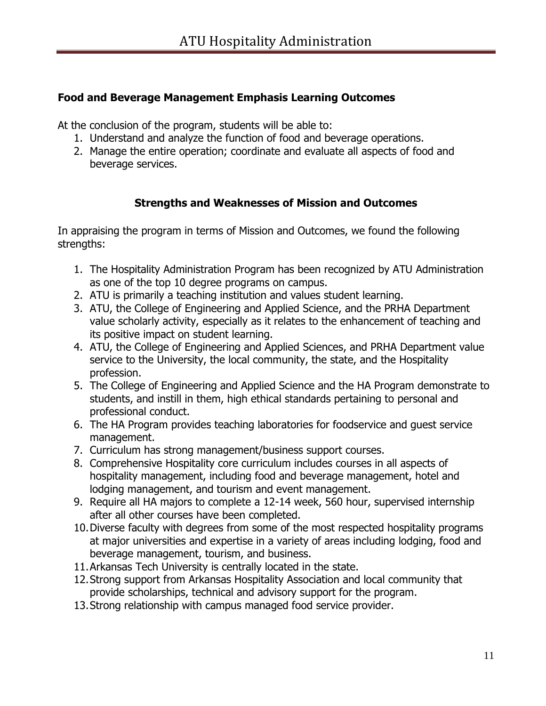## **Food and Beverage Management Emphasis Learning Outcomes**

At the conclusion of the program, students will be able to:

- 1. Understand and analyze the function of food and beverage operations.
- 2. Manage the entire operation; coordinate and evaluate all aspects of food and beverage services.

## **Strengths and Weaknesses of Mission and Outcomes**

In appraising the program in terms of Mission and Outcomes, we found the following strengths:

- 1. The Hospitality Administration Program has been recognized by ATU Administration as one of the top 10 degree programs on campus.
- 2. ATU is primarily a teaching institution and values student learning.
- 3. ATU, the College of Engineering and Applied Science, and the PRHA Department value scholarly activity, especially as it relates to the enhancement of teaching and its positive impact on student learning.
- 4. ATU, the College of Engineering and Applied Sciences, and PRHA Department value service to the University, the local community, the state, and the Hospitality profession.
- 5. The College of Engineering and Applied Science and the HA Program demonstrate to students, and instill in them, high ethical standards pertaining to personal and professional conduct.
- 6. The HA Program provides teaching laboratories for foodservice and guest service management.
- 7. Curriculum has strong management/business support courses.
- 8. Comprehensive Hospitality core curriculum includes courses in all aspects of hospitality management, including food and beverage management, hotel and lodging management, and tourism and event management.
- 9. Require all HA majors to complete a 12-14 week, 560 hour, supervised internship after all other courses have been completed.
- 10.Diverse faculty with degrees from some of the most respected hospitality programs at major universities and expertise in a variety of areas including lodging, food and beverage management, tourism, and business.
- 11.Arkansas Tech University is centrally located in the state.
- 12.Strong support from Arkansas Hospitality Association and local community that provide scholarships, technical and advisory support for the program.
- 13.Strong relationship with campus managed food service provider.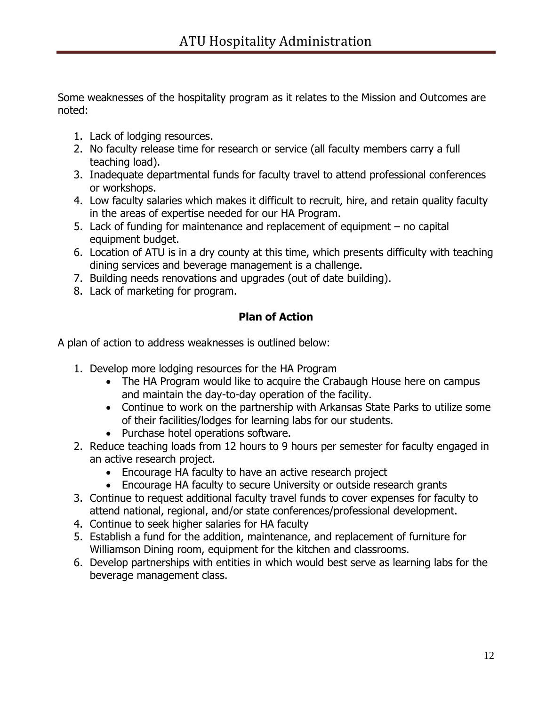Some weaknesses of the hospitality program as it relates to the Mission and Outcomes are noted:

- 1. Lack of lodging resources.
- 2. No faculty release time for research or service (all faculty members carry a full teaching load).
- 3. Inadequate departmental funds for faculty travel to attend professional conferences or workshops.
- 4. Low faculty salaries which makes it difficult to recruit, hire, and retain quality faculty in the areas of expertise needed for our HA Program.
- 5. Lack of funding for maintenance and replacement of equipment no capital equipment budget.
- 6. Location of ATU is in a dry county at this time, which presents difficulty with teaching dining services and beverage management is a challenge.
- 7. Building needs renovations and upgrades (out of date building).
- 8. Lack of marketing for program.

## **Plan of Action**

A plan of action to address weaknesses is outlined below:

- 1. Develop more lodging resources for the HA Program
	- The HA Program would like to acquire the Crabaugh House here on campus and maintain the day-to-day operation of the facility.
	- Continue to work on the partnership with Arkansas State Parks to utilize some of their facilities/lodges for learning labs for our students.
	- Purchase hotel operations software.
- 2. Reduce teaching loads from 12 hours to 9 hours per semester for faculty engaged in an active research project.
	- Encourage HA faculty to have an active research project
	- Encourage HA faculty to secure University or outside research grants
- 3. Continue to request additional faculty travel funds to cover expenses for faculty to attend national, regional, and/or state conferences/professional development.
- 4. Continue to seek higher salaries for HA faculty
- 5. Establish a fund for the addition, maintenance, and replacement of furniture for Williamson Dining room, equipment for the kitchen and classrooms.
- 6. Develop partnerships with entities in which would best serve as learning labs for the beverage management class.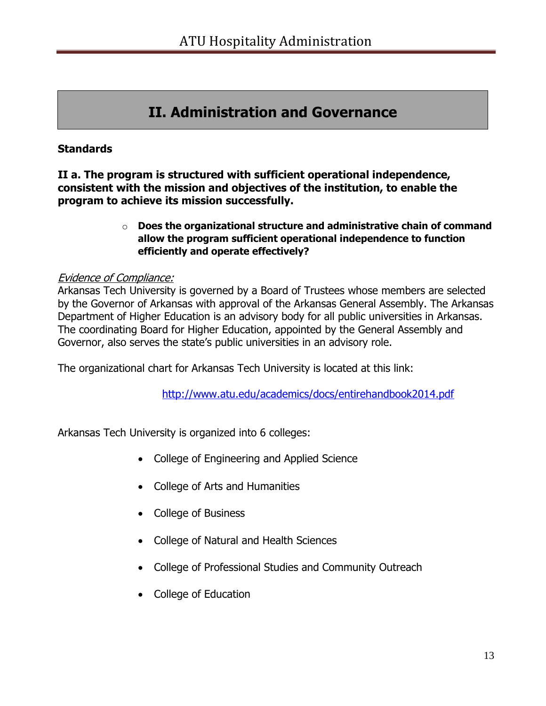# **II. Administration and Governance**

## **Standards**

**II a. The program is structured with sufficient operational independence, consistent with the mission and objectives of the institution, to enable the program to achieve its mission successfully.** 

#### o **Does the organizational structure and administrative chain of command allow the program sufficient operational independence to function efficiently and operate effectively?**

## Evidence of Compliance:

Arkansas Tech University is governed by a Board of Trustees whose members are selected by the Governor of Arkansas with approval of the Arkansas General Assembly. The Arkansas Department of Higher Education is an advisory body for all public universities in Arkansas. The coordinating Board for Higher Education, appointed by the General Assembly and Governor, also serves the state's public universities in an advisory role.

The organizational chart for Arkansas Tech University is located at this link:

<http://www.atu.edu/academics/docs/entirehandbook2014.pdf>

Arkansas Tech University is organized into 6 colleges:

- College of Engineering and Applied Science
- College of Arts and Humanities
- College of Business
- College of Natural and Health Sciences
- College of Professional Studies and Community Outreach
- College of Education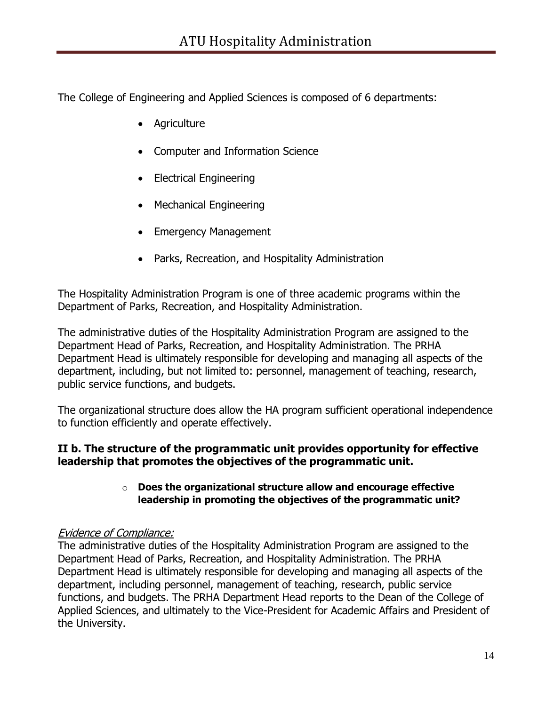The College of Engineering and Applied Sciences is composed of 6 departments:

- Agriculture
- Computer and Information Science
- Electrical Engineering
- Mechanical Engineering
- Emergency Management
- Parks, Recreation, and Hospitality Administration

The Hospitality Administration Program is one of three academic programs within the Department of Parks, Recreation, and Hospitality Administration.

The administrative duties of the Hospitality Administration Program are assigned to the Department Head of Parks, Recreation, and Hospitality Administration. The PRHA Department Head is ultimately responsible for developing and managing all aspects of the department, including, but not limited to: personnel, management of teaching, research, public service functions, and budgets.

The organizational structure does allow the HA program sufficient operational independence to function efficiently and operate effectively.

## **II b. The structure of the programmatic unit provides opportunity for effective leadership that promotes the objectives of the programmatic unit.**

## o **Does the organizational structure allow and encourage effective leadership in promoting the objectives of the programmatic unit?**

## Evidence of Compliance:

The administrative duties of the Hospitality Administration Program are assigned to the Department Head of Parks, Recreation, and Hospitality Administration. The PRHA Department Head is ultimately responsible for developing and managing all aspects of the department, including personnel, management of teaching, research, public service functions, and budgets. The PRHA Department Head reports to the Dean of the College of Applied Sciences, and ultimately to the Vice-President for Academic Affairs and President of the University.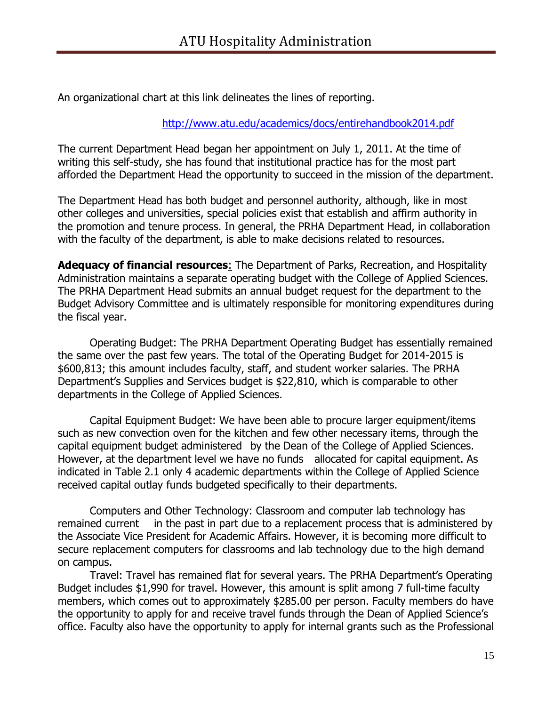An organizational chart at this link delineates the lines of reporting.

#### <http://www.atu.edu/academics/docs/entirehandbook2014.pdf>

The current Department Head began her appointment on July 1, 2011. At the time of writing this self-study, she has found that institutional practice has for the most part afforded the Department Head the opportunity to succeed in the mission of the department.

The Department Head has both budget and personnel authority, although, like in most other colleges and universities, special policies exist that establish and affirm authority in the promotion and tenure process. In general, the PRHA Department Head, in collaboration with the faculty of the department, is able to make decisions related to resources.

**Adequacy of financial resources**: The Department of Parks, Recreation, and Hospitality Administration maintains a separate operating budget with the College of Applied Sciences. The PRHA Department Head submits an annual budget request for the department to the Budget Advisory Committee and is ultimately responsible for monitoring expenditures during the fiscal year.

Operating Budget: The PRHA Department Operating Budget has essentially remained the same over the past few years. The total of the Operating Budget for 2014-2015 is \$600,813; this amount includes faculty, staff, and student worker salaries. The PRHA Department's Supplies and Services budget is \$22,810, which is comparable to other departments in the College of Applied Sciences.

Capital Equipment Budget: We have been able to procure larger equipment/items such as new convection oven for the kitchen and few other necessary items, through the capital equipment budget administered by the Dean of the College of Applied Sciences. However, at the department level we have no funds allocated for capital equipment. As indicated in Table 2.1 only 4 academic departments within the College of Applied Science received capital outlay funds budgeted specifically to their departments.

Computers and Other Technology: Classroom and computer lab technology has remained current in the past in part due to a replacement process that is administered by the Associate Vice President for Academic Affairs. However, it is becoming more difficult to secure replacement computers for classrooms and lab technology due to the high demand on campus.

Travel: Travel has remained flat for several years. The PRHA Department's Operating Budget includes \$1,990 for travel. However, this amount is split among 7 full-time faculty members, which comes out to approximately \$285.00 per person. Faculty members do have the opportunity to apply for and receive travel funds through the Dean of Applied Science's office. Faculty also have the opportunity to apply for internal grants such as the Professional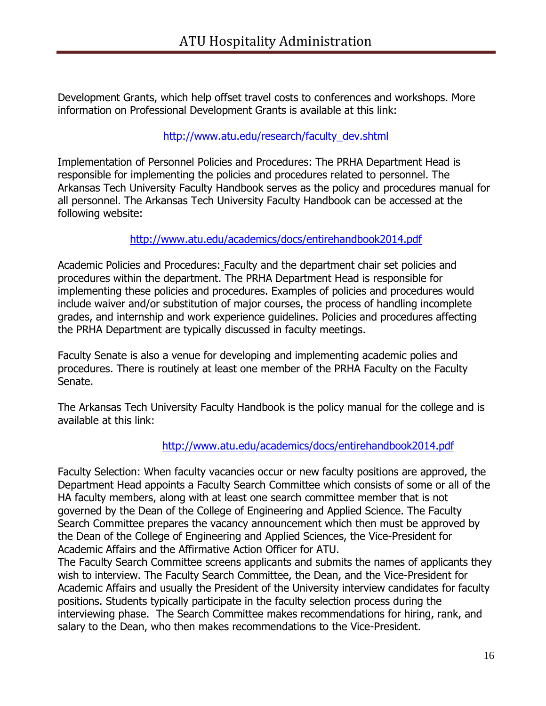Development Grants, which help offset travel costs to conferences and workshops. More information on Professional Development Grants is available at this link:

## [http://www.atu.edu/research/faculty\\_dev.shtml](http://www.atu.edu/research/faculty_dev.shtml)

Implementation of Personnel Policies and Procedures: The PRHA Department Head is responsible for implementing the policies and procedures related to personnel. The Arkansas Tech University Faculty Handbook serves as the policy and procedures manual for all personnel. The Arkansas Tech University Faculty Handbook can be accessed at the following website:

## <http://www.atu.edu/academics/docs/entirehandbook2014.pdf>

Academic Policies and Procedures: Faculty and the department chair set policies and procedures within the department. The PRHA Department Head is responsible for implementing these policies and procedures. Examples of policies and procedures would include waiver and/or substitution of major courses, the process of handling incomplete grades, and internship and work experience guidelines. Policies and procedures affecting the PRHA Department are typically discussed in faculty meetings.

Faculty Senate is also a venue for developing and implementing academic polies and procedures. There is routinely at least one member of the PRHA Faculty on the Faculty Senate.

The Arkansas Tech University Faculty Handbook is the policy manual for the college and is available at this link:

## <http://www.atu.edu/academics/docs/entirehandbook2014.pdf>

Faculty Selection: When faculty vacancies occur or new faculty positions are approved, the Department Head appoints a Faculty Search Committee which consists of some or all of the HA faculty members, along with at least one search committee member that is not governed by the Dean of the College of Engineering and Applied Science. The Faculty Search Committee prepares the vacancy announcement which then must be approved by the Dean of the College of Engineering and Applied Sciences, the Vice-President for Academic Affairs and the Affirmative Action Officer for ATU.

The Faculty Search Committee screens applicants and submits the names of applicants they wish to interview. The Faculty Search Committee, the Dean, and the Vice-President for Academic Affairs and usually the President of the University interview candidates for faculty positions. Students typically participate in the faculty selection process during the interviewing phase. The Search Committee makes recommendations for hiring, rank, and salary to the Dean, who then makes recommendations to the Vice-President.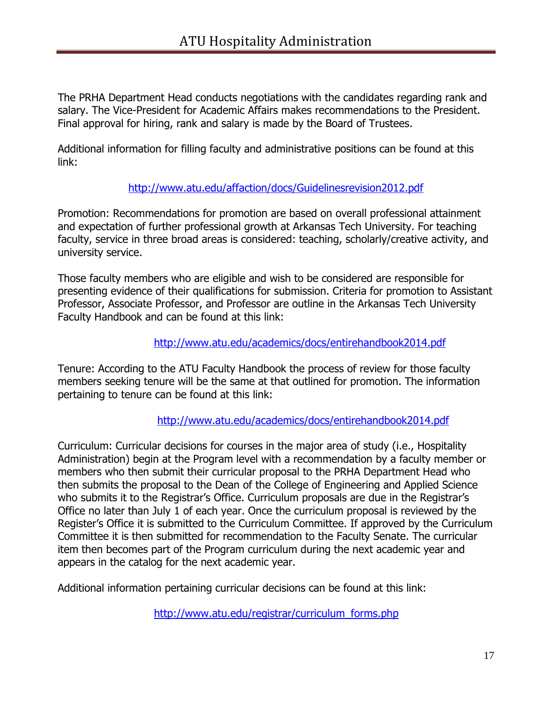The PRHA Department Head conducts negotiations with the candidates regarding rank and salary. The Vice-President for Academic Affairs makes recommendations to the President. Final approval for hiring, rank and salary is made by the Board of Trustees.

Additional information for filling faculty and administrative positions can be found at this link:

## <http://www.atu.edu/affaction/docs/Guidelinesrevision2012.pdf>

Promotion: Recommendations for promotion are based on overall professional attainment and expectation of further professional growth at Arkansas Tech University. For teaching faculty, service in three broad areas is considered: teaching, scholarly/creative activity, and university service.

Those faculty members who are eligible and wish to be considered are responsible for presenting evidence of their qualifications for submission. Criteria for promotion to Assistant Professor, Associate Professor, and Professor are outline in the Arkansas Tech University Faculty Handbook and can be found at this link:

## <http://www.atu.edu/academics/docs/entirehandbook2014.pdf>

Tenure: According to the ATU Faculty Handbook the process of review for those faculty members seeking tenure will be the same at that outlined for promotion. The information pertaining to tenure can be found at this link:

## <http://www.atu.edu/academics/docs/entirehandbook2014.pdf>

Curriculum: Curricular decisions for courses in the major area of study (i.e., Hospitality Administration) begin at the Program level with a recommendation by a faculty member or members who then submit their curricular proposal to the PRHA Department Head who then submits the proposal to the Dean of the College of Engineering and Applied Science who submits it to the Registrar's Office. Curriculum proposals are due in the Registrar's Office no later than July 1 of each year. Once the curriculum proposal is reviewed by the Register's Office it is submitted to the Curriculum Committee. If approved by the Curriculum Committee it is then submitted for recommendation to the Faculty Senate. The curricular item then becomes part of the Program curriculum during the next academic year and appears in the catalog for the next academic year.

Additional information pertaining curricular decisions can be found at this link:

[http://www.atu.edu/registrar/curriculum\\_forms.php](http://www.atu.edu/registrar/curriculum_forms.php)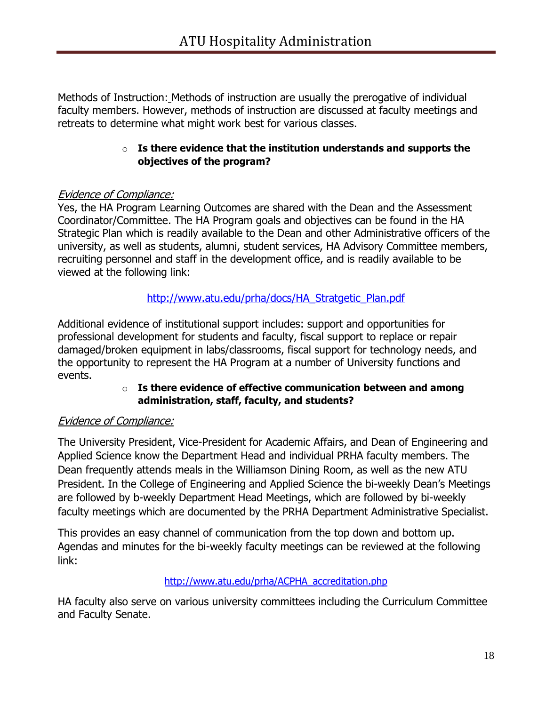Methods of Instruction: Methods of instruction are usually the prerogative of individual faculty members. However, methods of instruction are discussed at faculty meetings and retreats to determine what might work best for various classes.

#### o **Is there evidence that the institution understands and supports the objectives of the program?**

## Evidence of Compliance:

Yes, the HA Program Learning Outcomes are shared with the Dean and the Assessment Coordinator/Committee. The HA Program goals and objectives can be found in the HA Strategic Plan which is readily available to the Dean and other Administrative officers of the university, as well as students, alumni, student services, HA Advisory Committee members, recruiting personnel and staff in the development office, and is readily available to be viewed at the following link:

## [http://www.atu.edu/prha/docs/HA\\_Stratgetic\\_Plan.pdf](http://www.atu.edu/prha/docs/HA_Stratgetic_Plan.pdf)

Additional evidence of institutional support includes: support and opportunities for professional development for students and faculty, fiscal support to replace or repair damaged/broken equipment in labs/classrooms, fiscal support for technology needs, and the opportunity to represent the HA Program at a number of University functions and events.

#### o **Is there evidence of effective communication between and among administration, staff, faculty, and students?**

## Evidence of Compliance:

The University President, Vice-President for Academic Affairs, and Dean of Engineering and Applied Science know the Department Head and individual PRHA faculty members. The Dean frequently attends meals in the Williamson Dining Room, as well as the new ATU President. In the College of Engineering and Applied Science the bi-weekly Dean's Meetings are followed by b-weekly Department Head Meetings, which are followed by bi-weekly faculty meetings which are documented by the PRHA Department Administrative Specialist.

This provides an easy channel of communication from the top down and bottom up. Agendas and minutes for the bi-weekly faculty meetings can be reviewed at the following link:

## [http://www.atu.edu/prha/ACPHA\\_accreditation.php](http://www.atu.edu/prha/ACPHA_accreditation.php)

HA faculty also serve on various university committees including the Curriculum Committee and Faculty Senate.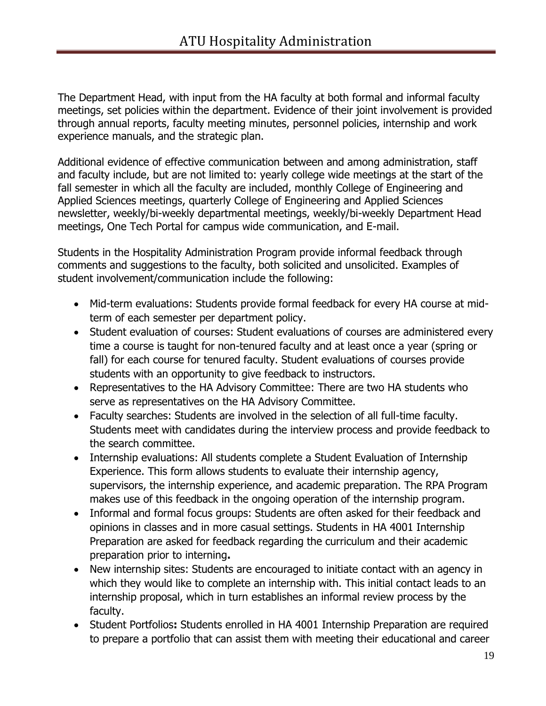The Department Head, with input from the HA faculty at both formal and informal faculty meetings, set policies within the department. Evidence of their joint involvement is provided through annual reports, faculty meeting minutes, personnel policies, internship and work experience manuals, and the strategic plan.

Additional evidence of effective communication between and among administration, staff and faculty include, but are not limited to: yearly college wide meetings at the start of the fall semester in which all the faculty are included, monthly College of Engineering and Applied Sciences meetings, quarterly College of Engineering and Applied Sciences newsletter, weekly/bi-weekly departmental meetings, weekly/bi-weekly Department Head meetings, One Tech Portal for campus wide communication, and E-mail.

Students in the Hospitality Administration Program provide informal feedback through comments and suggestions to the faculty, both solicited and unsolicited. Examples of student involvement/communication include the following:

- Mid-term evaluations: Students provide formal feedback for every HA course at midterm of each semester per department policy.
- Student evaluation of courses: Student evaluations of courses are administered every time a course is taught for non-tenured faculty and at least once a year (spring or fall) for each course for tenured faculty. Student evaluations of courses provide students with an opportunity to give feedback to instructors.
- Representatives to the HA Advisory Committee: There are two HA students who serve as representatives on the HA Advisory Committee.
- Faculty searches: Students are involved in the selection of all full-time faculty. Students meet with candidates during the interview process and provide feedback to the search committee.
- Internship evaluations: All students complete a Student Evaluation of Internship Experience. This form allows students to evaluate their internship agency, supervisors, the internship experience, and academic preparation. The RPA Program makes use of this feedback in the ongoing operation of the internship program.
- Informal and formal focus groups: Students are often asked for their feedback and opinions in classes and in more casual settings. Students in HA 4001 Internship Preparation are asked for feedback regarding the curriculum and their academic preparation prior to interning**.**
- New internship sites: Students are encouraged to initiate contact with an agency in which they would like to complete an internship with. This initial contact leads to an internship proposal, which in turn establishes an informal review process by the faculty.
- Student Portfolios**:** Students enrolled in HA 4001 Internship Preparation are required to prepare a portfolio that can assist them with meeting their educational and career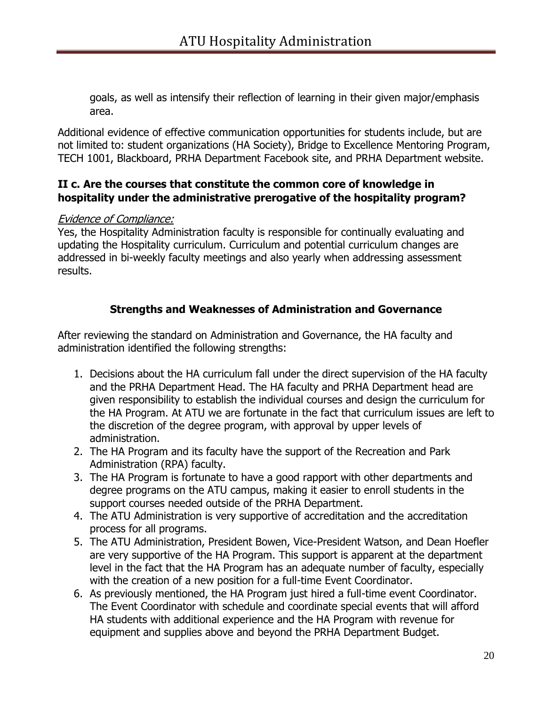goals, as well as intensify their reflection of learning in their given major/emphasis area.

Additional evidence of effective communication opportunities for students include, but are not limited to: student organizations (HA Society), Bridge to Excellence Mentoring Program, TECH 1001, Blackboard, PRHA Department Facebook site, and PRHA Department website.

## **II c. Are the courses that constitute the common core of knowledge in hospitality under the administrative prerogative of the hospitality program?**

## Evidence of Compliance:

Yes, the Hospitality Administration faculty is responsible for continually evaluating and updating the Hospitality curriculum. Curriculum and potential curriculum changes are addressed in bi-weekly faculty meetings and also yearly when addressing assessment results.

## **Strengths and Weaknesses of Administration and Governance**

After reviewing the standard on Administration and Governance, the HA faculty and administration identified the following strengths:

- 1. Decisions about the HA curriculum fall under the direct supervision of the HA faculty and the PRHA Department Head. The HA faculty and PRHA Department head are given responsibility to establish the individual courses and design the curriculum for the HA Program. At ATU we are fortunate in the fact that curriculum issues are left to the discretion of the degree program, with approval by upper levels of administration.
- 2. The HA Program and its faculty have the support of the Recreation and Park Administration (RPA) faculty.
- 3. The HA Program is fortunate to have a good rapport with other departments and degree programs on the ATU campus, making it easier to enroll students in the support courses needed outside of the PRHA Department.
- 4. The ATU Administration is very supportive of accreditation and the accreditation process for all programs.
- 5. The ATU Administration, President Bowen, Vice-President Watson, and Dean Hoefler are very supportive of the HA Program. This support is apparent at the department level in the fact that the HA Program has an adequate number of faculty, especially with the creation of a new position for a full-time Event Coordinator.
- 6. As previously mentioned, the HA Program just hired a full-time event Coordinator. The Event Coordinator with schedule and coordinate special events that will afford HA students with additional experience and the HA Program with revenue for equipment and supplies above and beyond the PRHA Department Budget.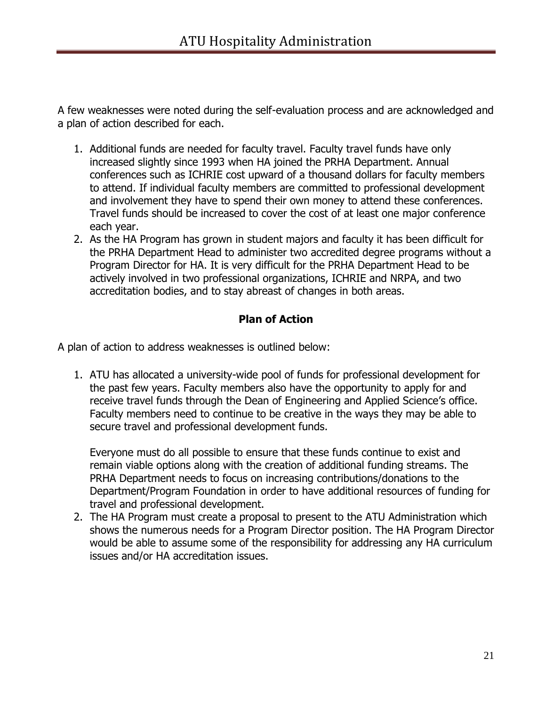A few weaknesses were noted during the self-evaluation process and are acknowledged and a plan of action described for each.

- 1. Additional funds are needed for faculty travel. Faculty travel funds have only increased slightly since 1993 when HA joined the PRHA Department. Annual conferences such as ICHRIE cost upward of a thousand dollars for faculty members to attend. If individual faculty members are committed to professional development and involvement they have to spend their own money to attend these conferences. Travel funds should be increased to cover the cost of at least one major conference each year.
- 2. As the HA Program has grown in student majors and faculty it has been difficult for the PRHA Department Head to administer two accredited degree programs without a Program Director for HA. It is very difficult for the PRHA Department Head to be actively involved in two professional organizations, ICHRIE and NRPA, and two accreditation bodies, and to stay abreast of changes in both areas.

## **Plan of Action**

A plan of action to address weaknesses is outlined below:

1. ATU has allocated a university-wide pool of funds for professional development for the past few years. Faculty members also have the opportunity to apply for and receive travel funds through the Dean of Engineering and Applied Science's office. Faculty members need to continue to be creative in the ways they may be able to secure travel and professional development funds.

Everyone must do all possible to ensure that these funds continue to exist and remain viable options along with the creation of additional funding streams. The PRHA Department needs to focus on increasing contributions/donations to the Department/Program Foundation in order to have additional resources of funding for travel and professional development.

2. The HA Program must create a proposal to present to the ATU Administration which shows the numerous needs for a Program Director position. The HA Program Director would be able to assume some of the responsibility for addressing any HA curriculum issues and/or HA accreditation issues.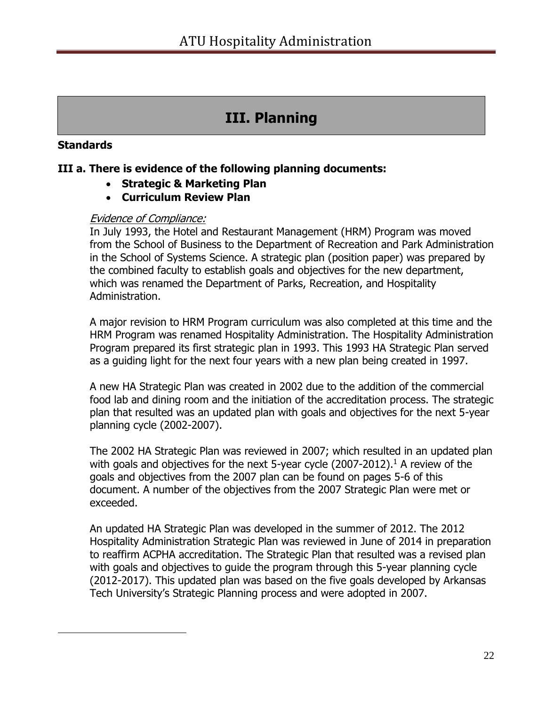# **III. Planning**

## **Standards**

 $\overline{a}$ 

## **III a. There is evidence of the following planning documents:**

- **Strategic & Marketing Plan**
- **Curriculum Review Plan**

#### Evidence of Compliance:

In July 1993, the Hotel and Restaurant Management (HRM) Program was moved from the School of Business to the Department of Recreation and Park Administration in the School of Systems Science. A strategic plan (position paper) was prepared by the combined faculty to establish goals and objectives for the new department, which was renamed the Department of Parks, Recreation, and Hospitality Administration.

A major revision to HRM Program curriculum was also completed at this time and the HRM Program was renamed Hospitality Administration. The Hospitality Administration Program prepared its first strategic plan in 1993. This 1993 HA Strategic Plan served as a guiding light for the next four years with a new plan being created in 1997.

A new HA Strategic Plan was created in 2002 due to the addition of the commercial food lab and dining room and the initiation of the accreditation process. The strategic plan that resulted was an updated plan with goals and objectives for the next 5-year planning cycle (2002-2007).

The 2002 HA Strategic Plan was reviewed in 2007; which resulted in an updated plan with goals and objectives for the next 5-year cycle  $(2007-2012).$ <sup>1</sup> A review of the goals and objectives from the 2007 plan can be found on pages 5-6 of this document. A number of the objectives from the 2007 Strategic Plan were met or exceeded.

An updated HA Strategic Plan was developed in the summer of 2012. The 2012 Hospitality Administration Strategic Plan was reviewed in June of 2014 in preparation to reaffirm ACPHA accreditation. The Strategic Plan that resulted was a revised plan with goals and objectives to guide the program through this 5-year planning cycle (2012-2017). This updated plan was based on the five goals developed by Arkansas Tech University's Strategic Planning process and were adopted in 2007.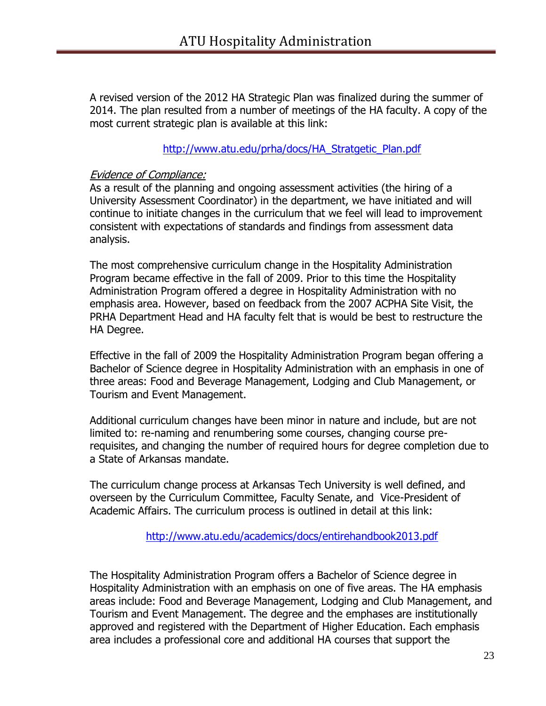A revised version of the 2012 HA Strategic Plan was finalized during the summer of 2014. The plan resulted from a number of meetings of the HA faculty. A copy of the most current strategic plan is available at this link:

#### [http://www.atu.edu/prha/docs/HA\\_Stratgetic\\_Plan.pdf](http://www.atu.edu/prha/docs/HA_Stratgetic_Plan.pdf)

#### Evidence of Compliance:

As a result of the planning and ongoing assessment activities (the hiring of a University Assessment Coordinator) in the department, we have initiated and will continue to initiate changes in the curriculum that we feel will lead to improvement consistent with expectations of standards and findings from assessment data analysis.

The most comprehensive curriculum change in the Hospitality Administration Program became effective in the fall of 2009. Prior to this time the Hospitality Administration Program offered a degree in Hospitality Administration with no emphasis area. However, based on feedback from the 2007 ACPHA Site Visit, the PRHA Department Head and HA faculty felt that is would be best to restructure the HA Degree.

Effective in the fall of 2009 the Hospitality Administration Program began offering a Bachelor of Science degree in Hospitality Administration with an emphasis in one of three areas: Food and Beverage Management, Lodging and Club Management, or Tourism and Event Management.

Additional curriculum changes have been minor in nature and include, but are not limited to: re-naming and renumbering some courses, changing course prerequisites, and changing the number of required hours for degree completion due to a State of Arkansas mandate.

The curriculum change process at Arkansas Tech University is well defined, and overseen by the Curriculum Committee, Faculty Senate, and Vice-President of Academic Affairs. The curriculum process is outlined in detail at this link:

<http://www.atu.edu/academics/docs/entirehandbook2013.pdf>

The Hospitality Administration Program offers a Bachelor of Science degree in Hospitality Administration with an emphasis on one of five areas. The HA emphasis areas include: Food and Beverage Management, Lodging and Club Management, and Tourism and Event Management. The degree and the emphases are institutionally approved and registered with the Department of Higher Education. Each emphasis area includes a professional core and additional HA courses that support the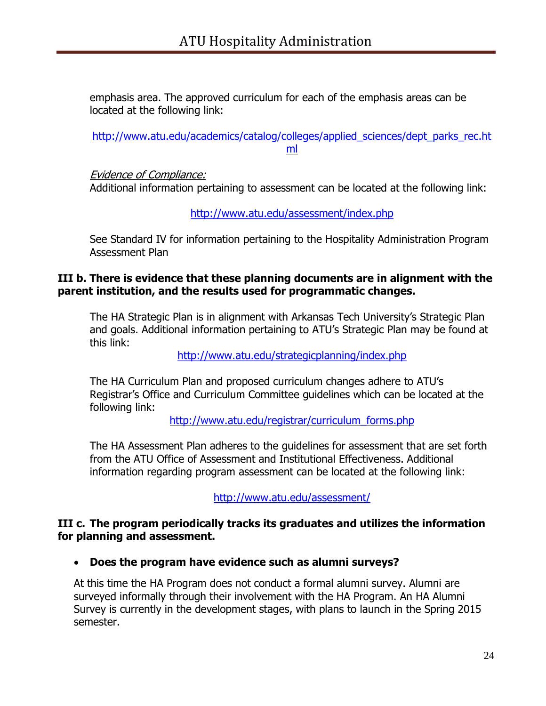emphasis area. The approved curriculum for each of the emphasis areas can be located at the following link:

[http://www.atu.edu/academics/catalog/colleges/applied\\_sciences/dept\\_parks\\_rec.ht](http://www.atu.edu/academics/catalog/colleges/applied_sciences/dept_parks_rec.html) [ml](http://www.atu.edu/academics/catalog/colleges/applied_sciences/dept_parks_rec.html)

Evidence of Compliance:

Additional information pertaining to assessment can be located at the following link:

<http://www.atu.edu/assessment/index.php>

See Standard IV for information pertaining to the Hospitality Administration Program Assessment Plan

## **III b. There is evidence that these planning documents are in alignment with the parent institution, and the results used for programmatic changes.**

The HA Strategic Plan is in alignment with Arkansas Tech University's Strategic Plan and goals. Additional information pertaining to ATU's Strategic Plan may be found at this link:

<http://www.atu.edu/strategicplanning/index.php>

The HA Curriculum Plan and proposed curriculum changes adhere to ATU's Registrar's Office and Curriculum Committee guidelines which can be located at the following link:

[http://www.atu.edu/registrar/curriculum\\_forms.php](http://www.atu.edu/registrar/curriculum_forms.php)

The HA Assessment Plan adheres to the guidelines for assessment that are set forth from the ATU Office of Assessment and Institutional Effectiveness. Additional information regarding program assessment can be located at the following link:

<http://www.atu.edu/assessment/>

## **III c. The program periodically tracks its graduates and utilizes the information for planning and assessment.**

**Does the program have evidence such as alumni surveys?**

At this time the HA Program does not conduct a formal alumni survey. Alumni are surveyed informally through their involvement with the HA Program. An HA Alumni Survey is currently in the development stages, with plans to launch in the Spring 2015 semester.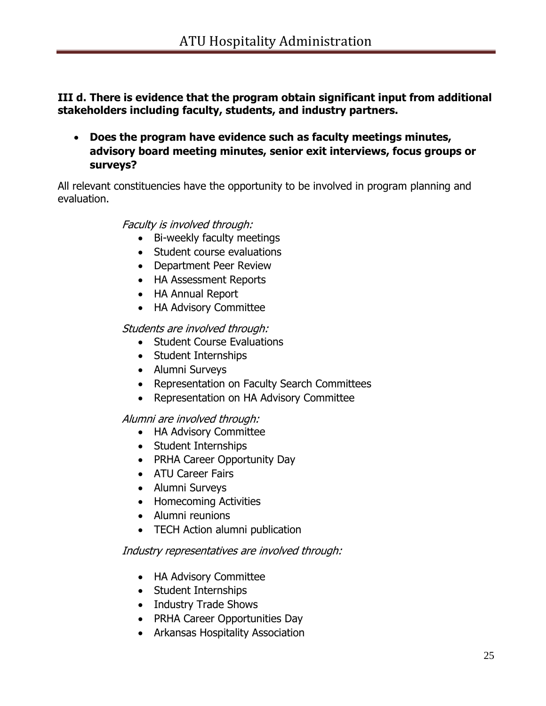**III d. There is evidence that the program obtain significant input from additional stakeholders including faculty, students, and industry partners.**

 **Does the program have evidence such as faculty meetings minutes, advisory board meeting minutes, senior exit interviews, focus groups or surveys?**

All relevant constituencies have the opportunity to be involved in program planning and evaluation.

Faculty is involved through:

- Bi-weekly faculty meetings
- Student course evaluations
- Department Peer Review
- HA Assessment Reports
- HA Annual Report
- HA Advisory Committee

Students are involved through:

- Student Course Evaluations
- Student Internships
- Alumni Surveys
- Representation on Faculty Search Committees
- Representation on HA Advisory Committee

Alumni are involved through:

- HA Advisory Committee
- Student Internships
- PRHA Career Opportunity Day
- ATU Career Fairs
- Alumni Surveys
- Homecoming Activities
- Alumni reunions
- TECH Action alumni publication

## Industry representatives are involved through:

- HA Advisory Committee
- Student Internships
- Industry Trade Shows
- PRHA Career Opportunities Day
- Arkansas Hospitality Association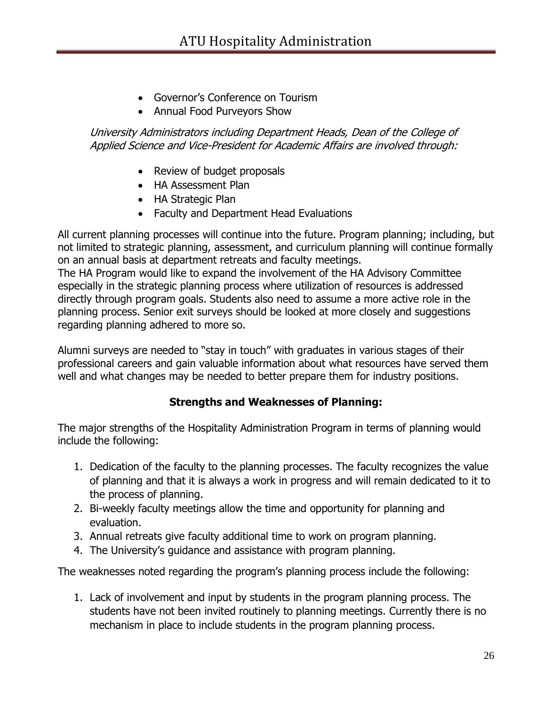- Governor's Conference on Tourism
- Annual Food Purveyors Show

## University Administrators including Department Heads, Dean of the College of Applied Science and Vice-President for Academic Affairs are involved through:

- Review of budget proposals
- HA Assessment Plan
- HA Strategic Plan
- Faculty and Department Head Evaluations

All current planning processes will continue into the future. Program planning; including, but not limited to strategic planning, assessment, and curriculum planning will continue formally on an annual basis at department retreats and faculty meetings.

The HA Program would like to expand the involvement of the HA Advisory Committee especially in the strategic planning process where utilization of resources is addressed directly through program goals. Students also need to assume a more active role in the planning process. Senior exit surveys should be looked at more closely and suggestions regarding planning adhered to more so.

Alumni surveys are needed to "stay in touch" with graduates in various stages of their professional careers and gain valuable information about what resources have served them well and what changes may be needed to better prepare them for industry positions.

## **Strengths and Weaknesses of Planning:**

The major strengths of the Hospitality Administration Program in terms of planning would include the following:

- 1. Dedication of the faculty to the planning processes. The faculty recognizes the value of planning and that it is always a work in progress and will remain dedicated to it to the process of planning.
- 2. Bi-weekly faculty meetings allow the time and opportunity for planning and evaluation.
- 3. Annual retreats give faculty additional time to work on program planning.
- 4. The University's guidance and assistance with program planning.

The weaknesses noted regarding the program's planning process include the following:

1. Lack of involvement and input by students in the program planning process. The students have not been invited routinely to planning meetings. Currently there is no mechanism in place to include students in the program planning process.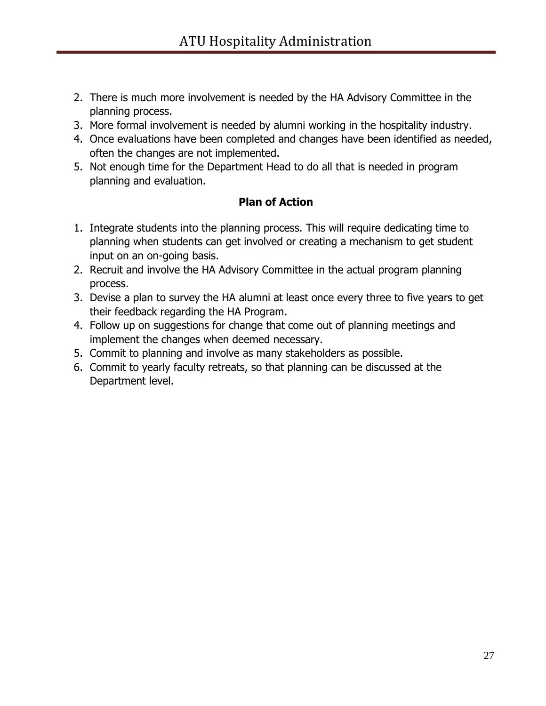- 2. There is much more involvement is needed by the HA Advisory Committee in the planning process.
- 3. More formal involvement is needed by alumni working in the hospitality industry.
- 4. Once evaluations have been completed and changes have been identified as needed, often the changes are not implemented.
- 5. Not enough time for the Department Head to do all that is needed in program planning and evaluation.

## **Plan of Action**

- 1. Integrate students into the planning process. This will require dedicating time to planning when students can get involved or creating a mechanism to get student input on an on-going basis.
- 2. Recruit and involve the HA Advisory Committee in the actual program planning process.
- 3. Devise a plan to survey the HA alumni at least once every three to five years to get their feedback regarding the HA Program.
- 4. Follow up on suggestions for change that come out of planning meetings and implement the changes when deemed necessary.
- 5. Commit to planning and involve as many stakeholders as possible.
- 6. Commit to yearly faculty retreats, so that planning can be discussed at the Department level.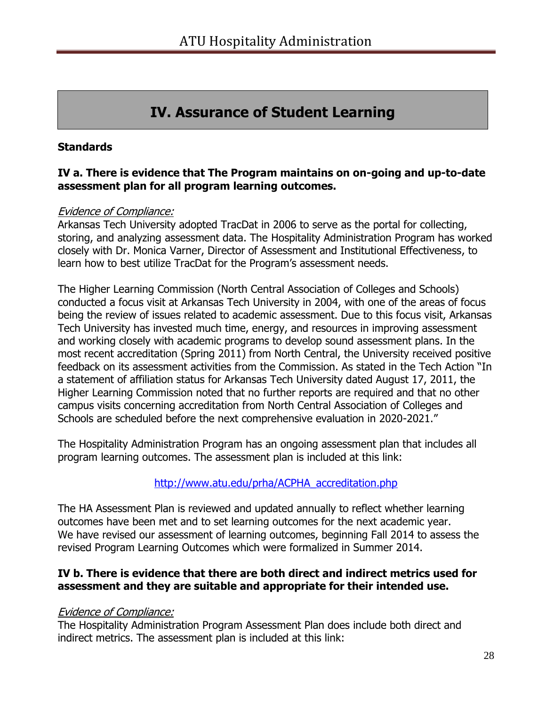# **IV. Assurance of Student Learning**

## **Standards**

#### **IV a. There is evidence that The Program maintains on on-going and up-to-date assessment plan for all program learning outcomes.**

#### Evidence of Compliance:

Arkansas Tech University adopted TracDat in 2006 to serve as the portal for collecting, storing, and analyzing assessment data. The Hospitality Administration Program has worked closely with Dr. Monica Varner, Director of Assessment and Institutional Effectiveness, to learn how to best utilize TracDat for the Program's assessment needs.

The Higher Learning Commission (North Central Association of Colleges and Schools) conducted a focus visit at Arkansas Tech University in 2004, with one of the areas of focus being the review of issues related to academic assessment. Due to this focus visit, Arkansas Tech University has invested much time, energy, and resources in improving assessment and working closely with academic programs to develop sound assessment plans. In the most recent accreditation (Spring 2011) from North Central, the University received positive feedback on its assessment activities from the Commission. As stated in the Tech Action "In a statement of affiliation status for Arkansas Tech University dated August 17, 2011, the Higher Learning Commission noted that no further reports are required and that no other campus visits concerning accreditation from North Central Association of Colleges and Schools are scheduled before the next comprehensive evaluation in 2020-2021."

The Hospitality Administration Program has an ongoing assessment plan that includes all program learning outcomes. The assessment plan is included at this link:

## [http://www.atu.edu/prha/ACPHA\\_accreditation.php](http://www.atu.edu/prha/ACPHA_accreditation.php)

The HA Assessment Plan is reviewed and updated annually to reflect whether learning outcomes have been met and to set learning outcomes for the next academic year. We have revised our assessment of learning outcomes, beginning Fall 2014 to assess the revised Program Learning Outcomes which were formalized in Summer 2014.

## **IV b. There is evidence that there are both direct and indirect metrics used for assessment and they are suitable and appropriate for their intended use.**

#### Evidence of Compliance:

The Hospitality Administration Program Assessment Plan does include both direct and indirect metrics. The assessment plan is included at this link: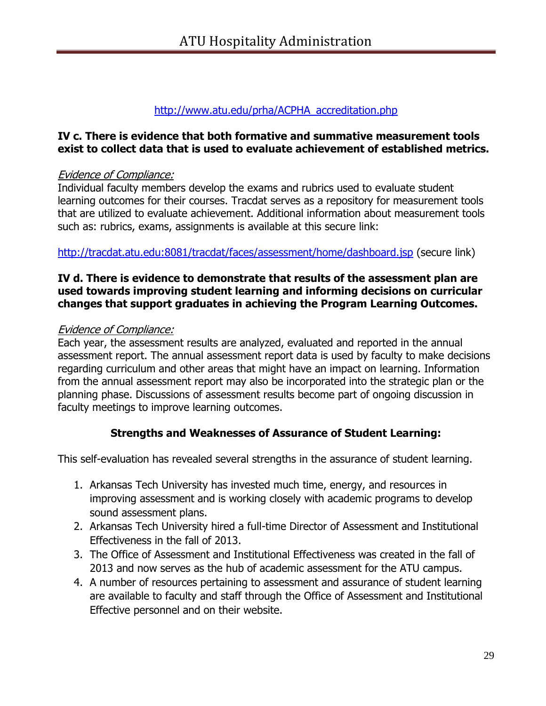## [http://www.atu.edu/prha/ACPHA\\_accreditation.php](http://www.atu.edu/prha/ACPHA_accreditation.php)

## **IV c. There is evidence that both formative and summative measurement tools exist to collect data that is used to evaluate achievement of established metrics.**

## Evidence of Compliance:

Individual faculty members develop the exams and rubrics used to evaluate student learning outcomes for their courses. Tracdat serves as a repository for measurement tools that are utilized to evaluate achievement. Additional information about measurement tools such as: rubrics, exams, assignments is available at this secure link:

<http://tracdat.atu.edu:8081/tracdat/faces/assessment/home/dashboard.jsp> (secure link)

#### **IV d. There is evidence to demonstrate that results of the assessment plan are used towards improving student learning and informing decisions on curricular changes that support graduates in achieving the Program Learning Outcomes.**

## Evidence of Compliance:

Each year, the assessment results are analyzed, evaluated and reported in the annual assessment report. The annual assessment report data is used by faculty to make decisions regarding curriculum and other areas that might have an impact on learning. Information from the annual assessment report may also be incorporated into the strategic plan or the planning phase. Discussions of assessment results become part of ongoing discussion in faculty meetings to improve learning outcomes.

## **Strengths and Weaknesses of Assurance of Student Learning:**

This self-evaluation has revealed several strengths in the assurance of student learning.

- 1. Arkansas Tech University has invested much time, energy, and resources in improving assessment and is working closely with academic programs to develop sound assessment plans.
- 2. Arkansas Tech University hired a full-time Director of Assessment and Institutional Effectiveness in the fall of 2013.
- 3. The Office of Assessment and Institutional Effectiveness was created in the fall of 2013 and now serves as the hub of academic assessment for the ATU campus.
- 4. A number of resources pertaining to assessment and assurance of student learning are available to faculty and staff through the Office of Assessment and Institutional Effective personnel and on their website.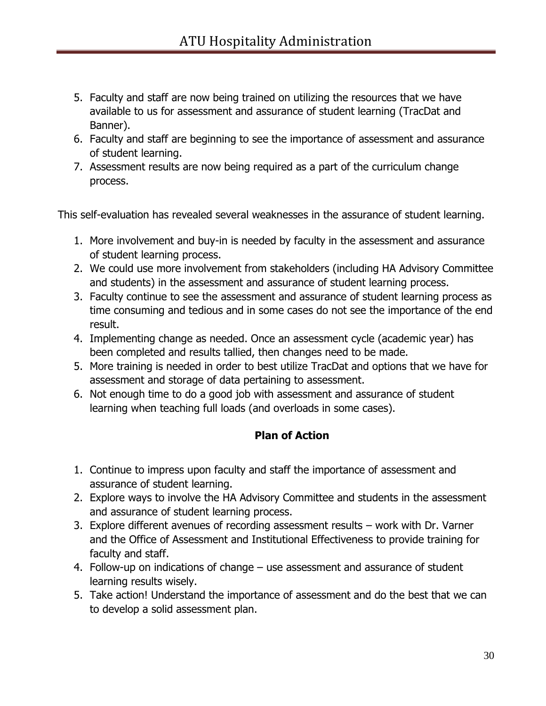- 5. Faculty and staff are now being trained on utilizing the resources that we have available to us for assessment and assurance of student learning (TracDat and Banner).
- 6. Faculty and staff are beginning to see the importance of assessment and assurance of student learning.
- 7. Assessment results are now being required as a part of the curriculum change process.

This self-evaluation has revealed several weaknesses in the assurance of student learning.

- 1. More involvement and buy-in is needed by faculty in the assessment and assurance of student learning process.
- 2. We could use more involvement from stakeholders (including HA Advisory Committee and students) in the assessment and assurance of student learning process.
- 3. Faculty continue to see the assessment and assurance of student learning process as time consuming and tedious and in some cases do not see the importance of the end result.
- 4. Implementing change as needed. Once an assessment cycle (academic year) has been completed and results tallied, then changes need to be made.
- 5. More training is needed in order to best utilize TracDat and options that we have for assessment and storage of data pertaining to assessment.
- 6. Not enough time to do a good job with assessment and assurance of student learning when teaching full loads (and overloads in some cases).

## **Plan of Action**

- 1. Continue to impress upon faculty and staff the importance of assessment and assurance of student learning.
- 2. Explore ways to involve the HA Advisory Committee and students in the assessment and assurance of student learning process.
- 3. Explore different avenues of recording assessment results work with Dr. Varner and the Office of Assessment and Institutional Effectiveness to provide training for faculty and staff.
- 4. Follow-up on indications of change use assessment and assurance of student learning results wisely.
- 5. Take action! Understand the importance of assessment and do the best that we can to develop a solid assessment plan.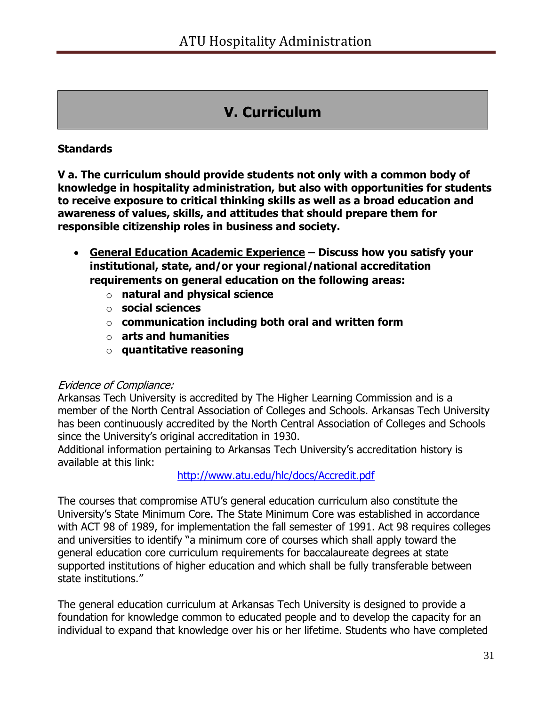# **V. Curriculum**

## **Standards**

**V a. The curriculum should provide students not only with a common body of knowledge in hospitality administration, but also with opportunities for students to receive exposure to critical thinking skills as well as a broad education and awareness of values, skills, and attitudes that should prepare them for responsible citizenship roles in business and society.** 

- **General Education Academic Experience – Discuss how you satisfy your institutional, state, and/or your regional/national accreditation requirements on general education on the following areas:**
	- o **natural and physical science**
	- o **social sciences**
	- o **communication including both oral and written form**
	- o **arts and humanities**
	- o **quantitative reasoning**

## Evidence of Compliance:

Arkansas Tech University is accredited by The Higher Learning Commission and is a member of the North Central Association of Colleges and Schools. Arkansas Tech University has been continuously accredited by the North Central Association of Colleges and Schools since the University's original accreditation in 1930.

Additional information pertaining to Arkansas Tech University's accreditation history is available at this link:

<http://www.atu.edu/hlc/docs/Accredit.pdf>

The courses that compromise ATU's general education curriculum also constitute the University's State Minimum Core. The State Minimum Core was established in accordance with ACT 98 of 1989, for implementation the fall semester of 1991. Act 98 requires colleges and universities to identify "a minimum core of courses which shall apply toward the general education core curriculum requirements for baccalaureate degrees at state supported institutions of higher education and which shall be fully transferable between state institutions."

The general education curriculum at Arkansas Tech University is designed to provide a foundation for knowledge common to educated people and to develop the capacity for an individual to expand that knowledge over his or her lifetime. Students who have completed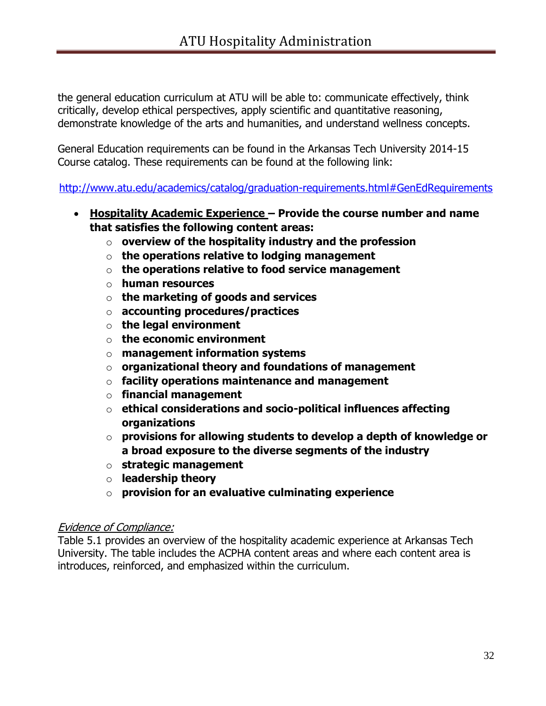the general education curriculum at ATU will be able to: communicate effectively, think critically, develop ethical perspectives, apply scientific and quantitative reasoning, demonstrate knowledge of the arts and humanities, and understand wellness concepts.

General Education requirements can be found in the Arkansas Tech University 2014-15 Course catalog. These requirements can be found at the following link:

<http://www.atu.edu/academics/catalog/graduation-requirements.html#GenEdRequirements>

- **Hospitality Academic Experience – Provide the course number and name that satisfies the following content areas:** 
	- o **overview of the hospitality industry and the profession**
	- o **the operations relative to lodging management**
	- o **the operations relative to food service management**
	- o **human resources**
	- o **the marketing of goods and services**
	- o **accounting procedures/practices**
	- o **the legal environment**
	- o **the economic environment**
	- o **management information systems**
	- o **organizational theory and foundations of management**
	- o **facility operations maintenance and management**
	- o **financial management**
	- o **ethical considerations and socio-political influences affecting organizations**
	- o **provisions for allowing students to develop a depth of knowledge or a broad exposure to the diverse segments of the industry**
	- o **strategic management**
	- o **leadership theory**
	- o **provision for an evaluative culminating experience**

## Evidence of Compliance:

Table 5.1 provides an overview of the hospitality academic experience at Arkansas Tech University. The table includes the ACPHA content areas and where each content area is introduces, reinforced, and emphasized within the curriculum.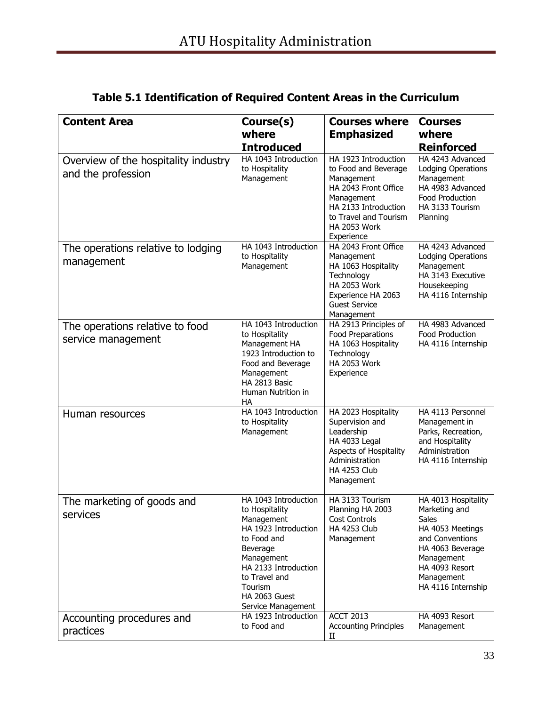| <b>Content Area</b>                                        | Course(s)                                                                                                                                                                                                        | <b>Courses where</b>                                                                                                                                                                   | <b>Courses</b>                                                                                                                                                               |
|------------------------------------------------------------|------------------------------------------------------------------------------------------------------------------------------------------------------------------------------------------------------------------|----------------------------------------------------------------------------------------------------------------------------------------------------------------------------------------|------------------------------------------------------------------------------------------------------------------------------------------------------------------------------|
|                                                            | where                                                                                                                                                                                                            | <b>Emphasized</b>                                                                                                                                                                      | where                                                                                                                                                                        |
|                                                            | <b>Introduced</b>                                                                                                                                                                                                |                                                                                                                                                                                        | <b>Reinforced</b>                                                                                                                                                            |
| Overview of the hospitality industry<br>and the profession | HA 1043 Introduction<br>to Hospitality<br>Management                                                                                                                                                             | HA 1923 Introduction<br>to Food and Beverage<br>Management<br>HA 2043 Front Office<br>Management<br>HA 2133 Introduction<br>to Travel and Tourism<br><b>HA 2053 Work</b><br>Experience | HA 4243 Advanced<br>Lodging Operations<br>Management<br>HA 4983 Advanced<br>Food Production<br>HA 3133 Tourism<br>Planning                                                   |
| The operations relative to lodging<br>management           | HA 1043 Introduction<br>to Hospitality<br>Management                                                                                                                                                             | HA 2043 Front Office<br>Management<br>HA 1063 Hospitality<br>Technology<br><b>HA 2053 Work</b><br>Experience HA 2063<br><b>Guest Service</b><br>Management                             | HA 4243 Advanced<br>Lodging Operations<br>Management<br>HA 3143 Executive<br>Housekeeping<br>HA 4116 Internship                                                              |
| The operations relative to food<br>service management      | HA 1043 Introduction<br>to Hospitality<br>Management HA<br>1923 Introduction to<br>Food and Beverage<br>Management<br>HA 2813 Basic<br>Human Nutrition in<br><b>HA</b>                                           | HA 2913 Principles of<br>Food Preparations<br>HA 1063 Hospitality<br>Technology<br><b>HA 2053 Work</b><br>Experience                                                                   | HA 4983 Advanced<br>Food Production<br>HA 4116 Internship                                                                                                                    |
| Human resources                                            | HA 1043 Introduction<br>to Hospitality<br>Management                                                                                                                                                             | HA 2023 Hospitality<br>Supervision and<br>Leadership<br>HA 4033 Legal<br>Aspects of Hospitality<br>Administration<br><b>HA 4253 Club</b><br>Management                                 | HA 4113 Personnel<br>Management in<br>Parks, Recreation,<br>and Hospitality<br>Administration<br>HA 4116 Internship                                                          |
| The marketing of goods and<br>services                     | HA 1043 Introduction<br>to Hospitality<br>Management<br>HA 1923 Introduction<br>to Food and<br>Beverage<br>Management<br>HA 2133 Introduction<br>to Travel and<br>Tourism<br>HA 2063 Guest<br>Service Management | HA 3133 Tourism<br>Planning HA 2003<br><b>Cost Controls</b><br><b>HA 4253 Club</b><br>Management                                                                                       | HA 4013 Hospitality<br>Marketing and<br>Sales<br>HA 4053 Meetings<br>and Conventions<br>HA 4063 Beverage<br>Management<br>HA 4093 Resort<br>Management<br>HA 4116 Internship |
| Accounting procedures and<br>practices                     | HA 1923 Introduction<br>to Food and                                                                                                                                                                              | <b>ACCT 2013</b><br><b>Accounting Principles</b><br>$_{\rm II}$                                                                                                                        | HA 4093 Resort<br>Management                                                                                                                                                 |

# **Table 5.1 Identification of Required Content Areas in the Curriculum**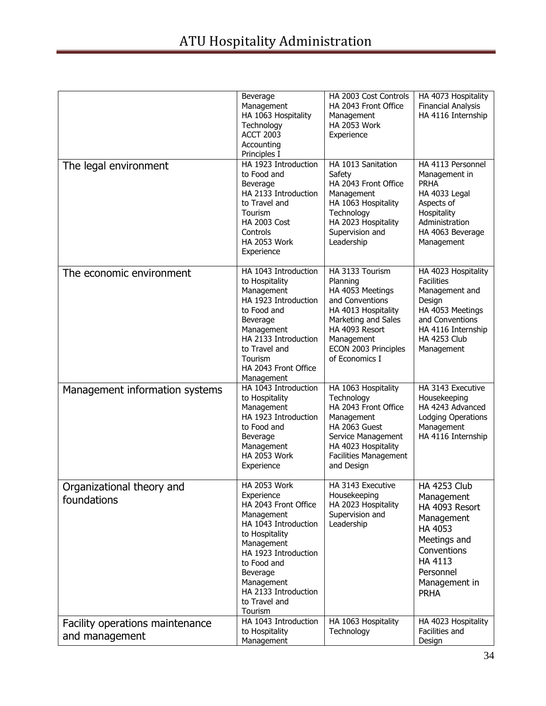|                                                   | Beverage<br>Management<br>HA 1063 Hospitality<br>Technology<br><b>ACCT 2003</b><br>Accounting<br>Principles I                                                                                                                                        | HA 2003 Cost Controls<br>HA 2043 Front Office<br>Management<br><b>HA 2053 Work</b><br>Experience                                                                                           | HA 4073 Hospitality<br><b>Financial Analysis</b><br>HA 4116 Internship                                                                                                     |
|---------------------------------------------------|------------------------------------------------------------------------------------------------------------------------------------------------------------------------------------------------------------------------------------------------------|--------------------------------------------------------------------------------------------------------------------------------------------------------------------------------------------|----------------------------------------------------------------------------------------------------------------------------------------------------------------------------|
| The legal environment                             | HA 1923 Introduction<br>to Food and<br>Beverage<br>HA 2133 Introduction<br>to Travel and<br>Tourism<br><b>HA 2003 Cost</b><br>Controls<br><b>HA 2053 Work</b><br>Experience                                                                          | HA 1013 Sanitation<br>Safety<br>HA 2043 Front Office<br>Management<br>HA 1063 Hospitality<br>Technology<br>HA 2023 Hospitality<br>Supervision and<br>Leadership                            | HA 4113 Personnel<br>Management in<br><b>PRHA</b><br>HA 4033 Legal<br>Aspects of<br>Hospitality<br>Administration<br>HA 4063 Beverage<br>Management                        |
| The economic environment                          | HA 1043 Introduction<br>to Hospitality<br>Management<br>HA 1923 Introduction<br>to Food and<br>Beverage<br>Management<br>HA 2133 Introduction<br>to Travel and<br>Tourism<br>HA 2043 Front Office<br>Management                                      | HA 3133 Tourism<br>Planning<br>HA 4053 Meetings<br>and Conventions<br>HA 4013 Hospitality<br>Marketing and Sales<br>HA 4093 Resort<br>Management<br>ECON 2003 Principles<br>of Economics I | HA 4023 Hospitality<br><b>Facilities</b><br>Management and<br>Design<br>HA 4053 Meetings<br>and Conventions<br>HA 4116 Internship<br><b>HA 4253 Club</b><br>Management     |
| Management information systems                    | HA 1043 Introduction<br>to Hospitality<br>Management<br>HA 1923 Introduction<br>to Food and<br>Beverage<br>Management<br><b>HA 2053 Work</b><br>Experience                                                                                           | HA 1063 Hospitality<br>Technology<br>HA 2043 Front Office<br>Management<br>HA 2063 Guest<br>Service Management<br>HA 4023 Hospitality<br><b>Facilities Management</b><br>and Design        | HA 3143 Executive<br>Housekeeping<br>HA 4243 Advanced<br>Lodging Operations<br>Management<br>HA 4116 Internship                                                            |
| Organizational theory and<br>foundations          | <b>HA 2053 Work</b><br>Experience<br>HA 2043 Front Office<br>Management<br>HA 1043 Introduction<br>to Hospitality<br>Management<br>HA 1923 Introduction<br>to Food and<br>Beverage<br>Management<br>HA 2133 Introduction<br>to Travel and<br>Tourism | HA 3143 Executive<br>Housekeeping<br>HA 2023 Hospitality<br>Supervision and<br>Leadership                                                                                                  | <b>HA 4253 Club</b><br>Management<br>HA 4093 Resort<br>Management<br>HA 4053<br>Meetings and<br>Conventions<br><b>HA 4113</b><br>Personnel<br>Management in<br><b>PRHA</b> |
| Facility operations maintenance<br>and management | HA 1043 Introduction<br>to Hospitality<br>Management                                                                                                                                                                                                 | HA 1063 Hospitality<br>Technology                                                                                                                                                          | HA 4023 Hospitality<br>Facilities and<br>Design                                                                                                                            |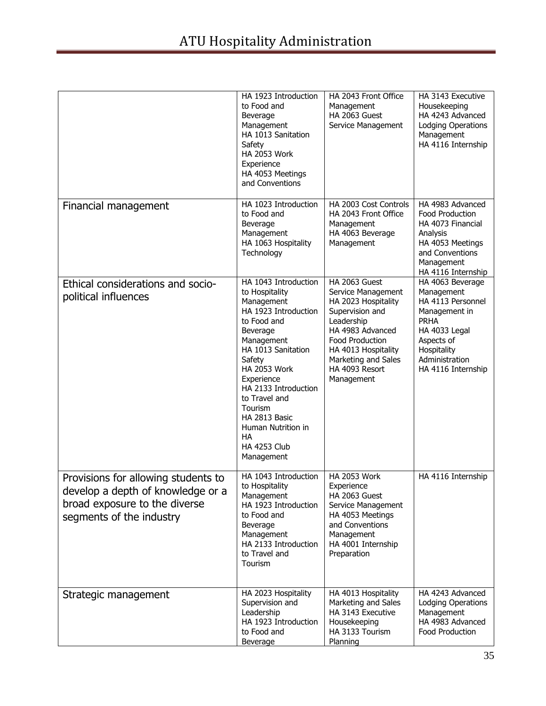|                                                                                                                                       | HA 1923 Introduction<br>to Food and<br>Beverage<br>Management<br>HA 1013 Sanitation<br>Safety<br><b>HA 2053 Work</b><br>Experience<br>HA 4053 Meetings<br>and Conventions                                                                                                                                                               | HA 2043 Front Office<br>Management<br>HA 2063 Guest<br>Service Management                                                                                                                                        | HA 3143 Executive<br>Housekeeping<br>HA 4243 Advanced<br>Lodging Operations<br>Management<br>HA 4116 Internship                                                           |
|---------------------------------------------------------------------------------------------------------------------------------------|-----------------------------------------------------------------------------------------------------------------------------------------------------------------------------------------------------------------------------------------------------------------------------------------------------------------------------------------|------------------------------------------------------------------------------------------------------------------------------------------------------------------------------------------------------------------|---------------------------------------------------------------------------------------------------------------------------------------------------------------------------|
| Financial management                                                                                                                  | HA 1023 Introduction<br>to Food and<br>Beverage<br>Management<br>HA 1063 Hospitality<br>Technology                                                                                                                                                                                                                                      | HA 2003 Cost Controls<br>HA 2043 Front Office<br>Management<br>HA 4063 Beverage<br>Management                                                                                                                    | HA 4983 Advanced<br>Food Production<br>HA 4073 Financial<br>Analysis<br>HA 4053 Meetings<br>and Conventions<br>Management<br>HA 4116 Internship                           |
| Ethical considerations and socio-<br>political influences                                                                             | HA 1043 Introduction<br>to Hospitality<br>Management<br>HA 1923 Introduction<br>to Food and<br>Beverage<br>Management<br>HA 1013 Sanitation<br>Safety<br><b>HA 2053 Work</b><br>Experience<br>HA 2133 Introduction<br>to Travel and<br>Tourism<br>HA 2813 Basic<br>Human Nutrition in<br><b>HA</b><br><b>HA 4253 Club</b><br>Management | HA 2063 Guest<br>Service Management<br>HA 2023 Hospitality<br>Supervision and<br>Leadership<br>HA 4983 Advanced<br>Food Production<br>HA 4013 Hospitality<br>Marketing and Sales<br>HA 4093 Resort<br>Management | HA 4063 Beverage<br>Management<br>HA 4113 Personnel<br>Management in<br><b>PRHA</b><br>HA 4033 Legal<br>Aspects of<br>Hospitality<br>Administration<br>HA 4116 Internship |
| Provisions for allowing students to<br>develop a depth of knowledge or a<br>broad exposure to the diverse<br>segments of the industry | HA 1043 Introduction<br>to Hospitality<br>Management<br>HA 1923 Introduction<br>to Food and<br>Beverage<br>Management<br>HA 2133 Introduction<br>to Travel and<br>Tourism                                                                                                                                                               | <b>HA 2053 Work</b><br>Experience<br>HA 2063 Guest<br>Service Management<br>HA 4053 Meetings<br>and Conventions<br>Management<br>HA 4001 Internship<br>Preparation                                               | HA 4116 Internship                                                                                                                                                        |
| Strategic management                                                                                                                  | HA 2023 Hospitality<br>Supervision and<br>Leadership<br>HA 1923 Introduction<br>to Food and<br>Beverage                                                                                                                                                                                                                                 | HA 4013 Hospitality<br>Marketing and Sales<br>HA 3143 Executive<br>Housekeeping<br>HA 3133 Tourism<br>Planning                                                                                                   | HA 4243 Advanced<br>Lodging Operations<br>Management<br>HA 4983 Advanced<br>Food Production                                                                               |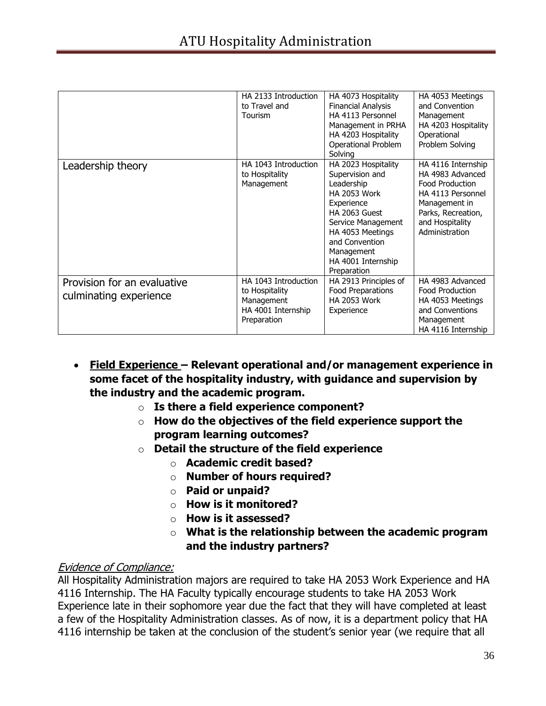|                                                       | HA 2133 Introduction<br>to Travel and<br>Tourism                                          | HA 4073 Hospitality<br><b>Financial Analysis</b><br>HA 4113 Personnel<br>Management in PRHA<br>HA 4203 Hospitality<br>Operational Problem<br>Solving                                                                      | HA 4053 Meetings<br>and Convention<br>Management<br>HA 4203 Hospitality<br>Operational<br>Problem Solving                                                         |
|-------------------------------------------------------|-------------------------------------------------------------------------------------------|---------------------------------------------------------------------------------------------------------------------------------------------------------------------------------------------------------------------------|-------------------------------------------------------------------------------------------------------------------------------------------------------------------|
| Leadership theory                                     | HA 1043 Introduction<br>to Hospitality<br>Management                                      | HA 2023 Hospitality<br>Supervision and<br>Leadership<br><b>HA 2053 Work</b><br>Experience<br>HA 2063 Guest<br>Service Management<br>HA 4053 Meetings<br>and Convention<br>Management<br>HA 4001 Internship<br>Preparation | HA 4116 Internship<br>HA 4983 Advanced<br><b>Food Production</b><br>HA 4113 Personnel<br>Management in<br>Parks, Recreation,<br>and Hospitality<br>Administration |
| Provision for an evaluative<br>culminating experience | HA 1043 Introduction<br>to Hospitality<br>Management<br>HA 4001 Internship<br>Preparation | HA 2913 Principles of<br><b>Food Preparations</b><br><b>HA 2053 Work</b><br>Experience                                                                                                                                    | HA 4983 Advanced<br>Food Production<br>HA 4053 Meetings<br>and Conventions<br>Management<br>HA 4116 Internship                                                    |

- **Field Experience – Relevant operational and/or management experience in some facet of the hospitality industry, with guidance and supervision by the industry and the academic program.**
	- o **Is there a field experience component?**
	- o **How do the objectives of the field experience support the program learning outcomes?**
	- o **Detail the structure of the field experience**
		- o **Academic credit based?**
		- o **Number of hours required?**
		- o **Paid or unpaid?**
		- o **How is it monitored?**
		- o **How is it assessed?**
		- o **What is the relationship between the academic program and the industry partners?**

## Evidence of Compliance:

All Hospitality Administration majors are required to take HA 2053 Work Experience and HA 4116 Internship. The HA Faculty typically encourage students to take HA 2053 Work Experience late in their sophomore year due the fact that they will have completed at least a few of the Hospitality Administration classes. As of now, it is a department policy that HA 4116 internship be taken at the conclusion of the student's senior year (we require that all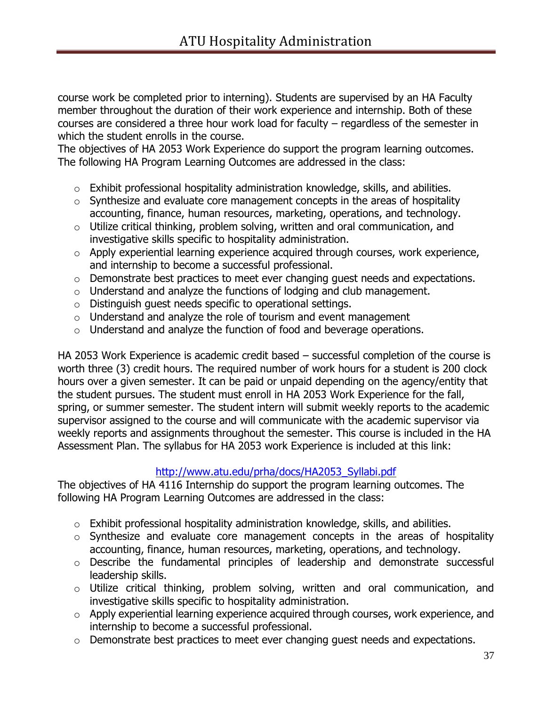course work be completed prior to interning). Students are supervised by an HA Faculty member throughout the duration of their work experience and internship. Both of these courses are considered a three hour work load for faculty – regardless of the semester in which the student enrolls in the course.

The objectives of HA 2053 Work Experience do support the program learning outcomes. The following HA Program Learning Outcomes are addressed in the class:

- $\circ$  Exhibit professional hospitality administration knowledge, skills, and abilities.
- $\circ$  Synthesize and evaluate core management concepts in the areas of hospitality accounting, finance, human resources, marketing, operations, and technology.
- $\circ$  Utilize critical thinking, problem solving, written and oral communication, and investigative skills specific to hospitality administration.
- o Apply experiential learning experience acquired through courses, work experience, and internship to become a successful professional.
- o Demonstrate best practices to meet ever changing guest needs and expectations.
- $\circ$  Understand and analyze the functions of lodging and club management.
- o Distinguish guest needs specific to operational settings.
- $\circ$  Understand and analyze the role of tourism and event management
- $\circ$  Understand and analyze the function of food and beverage operations.

HA 2053 Work Experience is academic credit based – successful completion of the course is worth three (3) credit hours. The required number of work hours for a student is 200 clock hours over a given semester. It can be paid or unpaid depending on the agency/entity that the student pursues. The student must enroll in HA 2053 Work Experience for the fall, spring, or summer semester. The student intern will submit weekly reports to the academic supervisor assigned to the course and will communicate with the academic supervisor via weekly reports and assignments throughout the semester. This course is included in the HA Assessment Plan. The syllabus for HA 2053 work Experience is included at this link:

## [http://www.atu.edu/prha/docs/HA2053\\_Syllabi.pdf](http://www.atu.edu/prha/docs/HA2053_Syllabi.pdf)

The objectives of HA 4116 Internship do support the program learning outcomes. The following HA Program Learning Outcomes are addressed in the class:

- $\circ$  Exhibit professional hospitality administration knowledge, skills, and abilities.
- o Synthesize and evaluate core management concepts in the areas of hospitality accounting, finance, human resources, marketing, operations, and technology.
- o Describe the fundamental principles of leadership and demonstrate successful leadership skills.
- o Utilize critical thinking, problem solving, written and oral communication, and investigative skills specific to hospitality administration.
- o Apply experiential learning experience acquired through courses, work experience, and internship to become a successful professional.
- o Demonstrate best practices to meet ever changing guest needs and expectations.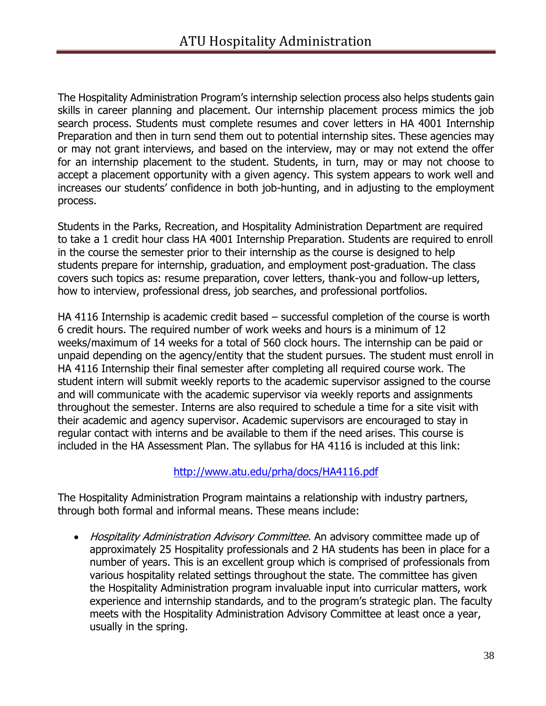The Hospitality Administration Program's internship selection process also helps students gain skills in career planning and placement. Our internship placement process mimics the job search process. Students must complete resumes and cover letters in HA 4001 Internship Preparation and then in turn send them out to potential internship sites. These agencies may or may not grant interviews, and based on the interview, may or may not extend the offer for an internship placement to the student. Students, in turn, may or may not choose to accept a placement opportunity with a given agency. This system appears to work well and increases our students' confidence in both job-hunting, and in adjusting to the employment process.

Students in the Parks, Recreation, and Hospitality Administration Department are required to take a 1 credit hour class HA 4001 Internship Preparation. Students are required to enroll in the course the semester prior to their internship as the course is designed to help students prepare for internship, graduation, and employment post-graduation. The class covers such topics as: resume preparation, cover letters, thank-you and follow-up letters, how to interview, professional dress, job searches, and professional portfolios.

HA 4116 Internship is academic credit based – successful completion of the course is worth 6 credit hours. The required number of work weeks and hours is a minimum of 12 weeks/maximum of 14 weeks for a total of 560 clock hours. The internship can be paid or unpaid depending on the agency/entity that the student pursues. The student must enroll in HA 4116 Internship their final semester after completing all required course work. The student intern will submit weekly reports to the academic supervisor assigned to the course and will communicate with the academic supervisor via weekly reports and assignments throughout the semester. Interns are also required to schedule a time for a site visit with their academic and agency supervisor. Academic supervisors are encouraged to stay in regular contact with interns and be available to them if the need arises. This course is included in the HA Assessment Plan. The syllabus for HA 4116 is included at this link:

# <http://www.atu.edu/prha/docs/HA4116.pdf>

The Hospitality Administration Program maintains a relationship with industry partners, through both formal and informal means. These means include:

• Hospitality Administration Advisory Committee. An advisory committee made up of approximately 25 Hospitality professionals and 2 HA students has been in place for a number of years. This is an excellent group which is comprised of professionals from various hospitality related settings throughout the state. The committee has given the Hospitality Administration program invaluable input into curricular matters, work experience and internship standards, and to the program's strategic plan. The faculty meets with the Hospitality Administration Advisory Committee at least once a year, usually in the spring.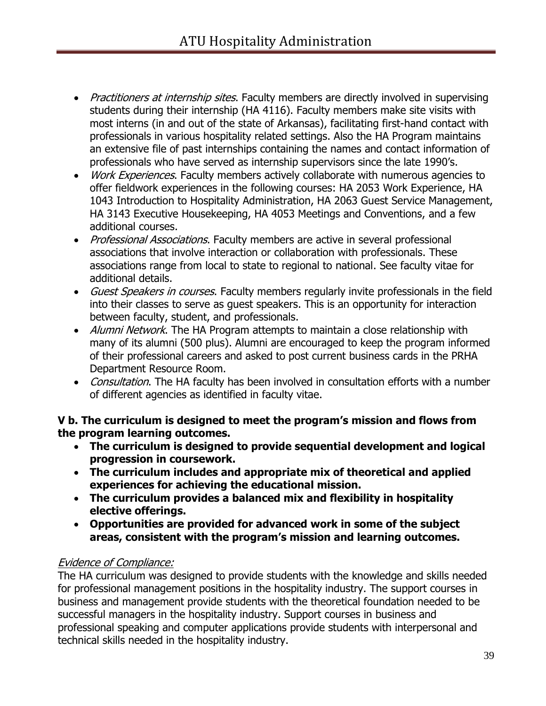- Practitioners at internship sites. Faculty members are directly involved in supervising students during their internship (HA 4116). Faculty members make site visits with most interns (in and out of the state of Arkansas), facilitating first-hand contact with professionals in various hospitality related settings. Also the HA Program maintains an extensive file of past internships containing the names and contact information of professionals who have served as internship supervisors since the late 1990's.
- *Work Experiences*. Faculty members actively collaborate with numerous agencies to offer fieldwork experiences in the following courses: HA 2053 Work Experience, HA 1043 Introduction to Hospitality Administration, HA 2063 Guest Service Management, HA 3143 Executive Housekeeping, HA 4053 Meetings and Conventions, and a few additional courses.
- Professional Associations. Faculty members are active in several professional associations that involve interaction or collaboration with professionals. These associations range from local to state to regional to national. See faculty vitae for additional details.
- Guest Speakers in courses. Faculty members regularly invite professionals in the field into their classes to serve as guest speakers. This is an opportunity for interaction between faculty, student, and professionals.
- Alumni Network. The HA Program attempts to maintain a close relationship with many of its alumni (500 plus). Alumni are encouraged to keep the program informed of their professional careers and asked to post current business cards in the PRHA Department Resource Room.
- Consultation. The HA faculty has been involved in consultation efforts with a number of different agencies as identified in faculty vitae.

**V b. The curriculum is designed to meet the program's mission and flows from the program learning outcomes.**

- **The curriculum is designed to provide sequential development and logical progression in coursework.**
- **The curriculum includes and appropriate mix of theoretical and applied experiences for achieving the educational mission.**
- **The curriculum provides a balanced mix and flexibility in hospitality elective offerings.**
- **Opportunities are provided for advanced work in some of the subject areas, consistent with the program's mission and learning outcomes.**

# Evidence of Compliance:

The HA curriculum was designed to provide students with the knowledge and skills needed for professional management positions in the hospitality industry. The support courses in business and management provide students with the theoretical foundation needed to be successful managers in the hospitality industry. Support courses in business and professional speaking and computer applications provide students with interpersonal and technical skills needed in the hospitality industry.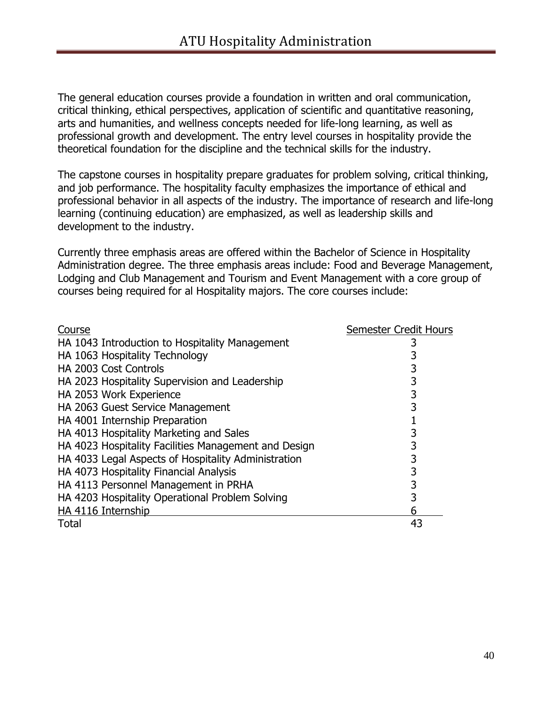The general education courses provide a foundation in written and oral communication, critical thinking, ethical perspectives, application of scientific and quantitative reasoning, arts and humanities, and wellness concepts needed for life-long learning, as well as professional growth and development. The entry level courses in hospitality provide the theoretical foundation for the discipline and the technical skills for the industry.

The capstone courses in hospitality prepare graduates for problem solving, critical thinking, and job performance. The hospitality faculty emphasizes the importance of ethical and professional behavior in all aspects of the industry. The importance of research and life-long learning (continuing education) are emphasized, as well as leadership skills and development to the industry.

Currently three emphasis areas are offered within the Bachelor of Science in Hospitality Administration degree. The three emphasis areas include: Food and Beverage Management, Lodging and Club Management and Tourism and Event Management with a core group of courses being required for al Hospitality majors. The core courses include:

| Course                                               | <b>Semester Credit Hours</b> |
|------------------------------------------------------|------------------------------|
| HA 1043 Introduction to Hospitality Management       |                              |
| HA 1063 Hospitality Technology                       |                              |
| HA 2003 Cost Controls                                | 3                            |
| HA 2023 Hospitality Supervision and Leadership       | 3                            |
| HA 2053 Work Experience                              | 3                            |
| HA 2063 Guest Service Management                     | 3                            |
| HA 4001 Internship Preparation                       |                              |
| HA 4013 Hospitality Marketing and Sales              |                              |
| HA 4023 Hospitality Facilities Management and Design | 3                            |
| HA 4033 Legal Aspects of Hospitality Administration  | 3                            |
| HA 4073 Hospitality Financial Analysis               |                              |
| HA 4113 Personnel Management in PRHA                 | 3                            |
| HA 4203 Hospitality Operational Problem Solving      | 3                            |
| HA 4116 Internship                                   | 6                            |
| <b>Total</b>                                         | 43                           |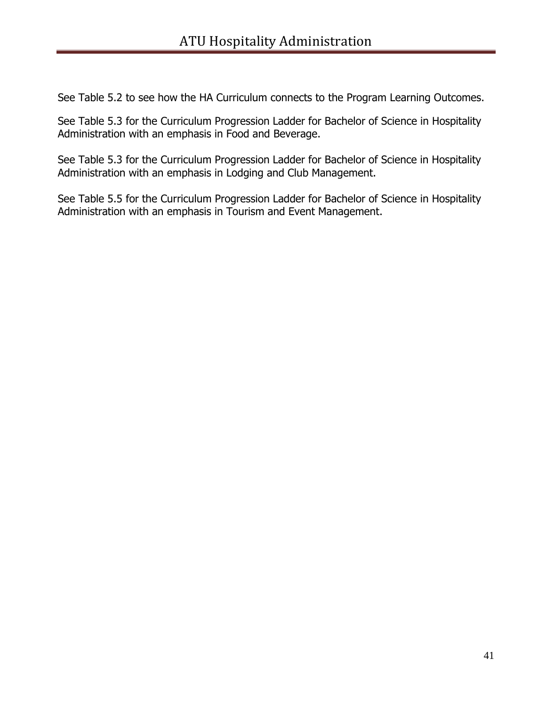See Table 5.2 to see how the HA Curriculum connects to the Program Learning Outcomes.

See Table 5.3 for the Curriculum Progression Ladder for Bachelor of Science in Hospitality Administration with an emphasis in Food and Beverage.

See Table 5.3 for the Curriculum Progression Ladder for Bachelor of Science in Hospitality Administration with an emphasis in Lodging and Club Management.

See Table 5.5 for the Curriculum Progression Ladder for Bachelor of Science in Hospitality Administration with an emphasis in Tourism and Event Management.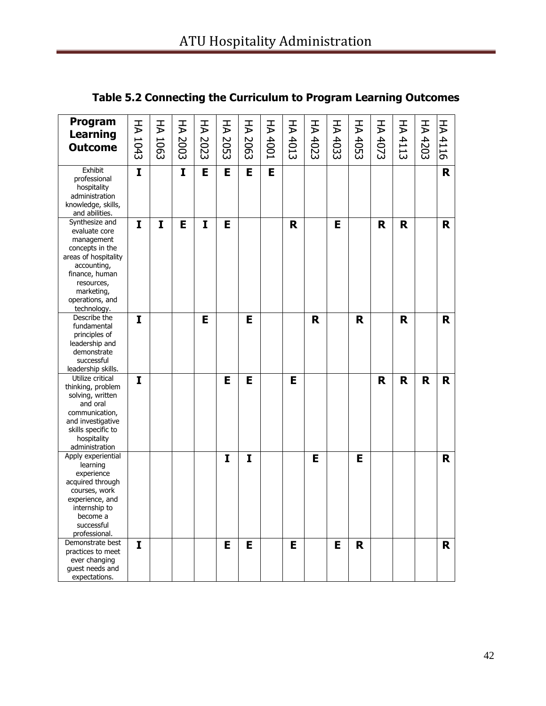| Program<br><b>Learning</b>                                                                                                                                                              | ₹            | H    | HA 2003 | HA 2023 | H    | HA 2063 | <b>HA 4001</b> | HA 4013 | HA 4023 | HA 4033 | HA 4053 | ¥    | H    | H       | H    |
|-----------------------------------------------------------------------------------------------------------------------------------------------------------------------------------------|--------------|------|---------|---------|------|---------|----------------|---------|---------|---------|---------|------|------|---------|------|
| <b>Outcome</b>                                                                                                                                                                          | 1043         | 1063 |         |         | 2053 |         |                |         |         |         |         | 4073 | 4113 | $-4203$ | 4116 |
| Exhibit<br>professional<br>hospitality<br>administration<br>knowledge, skills,<br>and abilities.                                                                                        | $\mathbf{I}$ |      | I       | E       | E    | E       | Е              |         |         |         |         |      |      |         | R    |
| Synthesize and<br>evaluate core<br>management<br>concepts in the<br>areas of hospitality<br>accounting,<br>finance, human<br>resources,<br>marketing,<br>operations, and<br>technology. | I            | I    | Е       | I       | Е    |         |                | R       |         | Е       |         | R    | R    |         | R.   |
| Describe the<br>fundamental<br>principles of<br>leadership and<br>demonstrate<br>successful<br>leadership skills.                                                                       | I            |      |         | E       |      | E       |                |         | R       |         | R       |      | R    |         | R    |
| Utilize critical<br>thinking, problem<br>solving, written<br>and oral<br>communication,<br>and investigative<br>skills specific to<br>hospitality<br>administration                     | I            |      |         |         | E    | E       |                | E       |         |         |         | R    | R    | R       | R.   |
| Apply experiential<br>learning<br>experience<br>acquired through<br>courses, work<br>experience, and<br>internship to<br>become a<br>successful<br>professional.                        |              |      |         |         | I    | I       |                |         | E       |         | E       |      |      |         | R.   |
| Demonstrate best<br>practices to meet<br>ever changing<br>guest needs and<br>expectations.                                                                                              | I            |      |         |         | E    | E       |                | E       |         | E       | R       |      |      |         | R.   |

# **Table 5.2 Connecting the Curriculum to Program Learning Outcomes**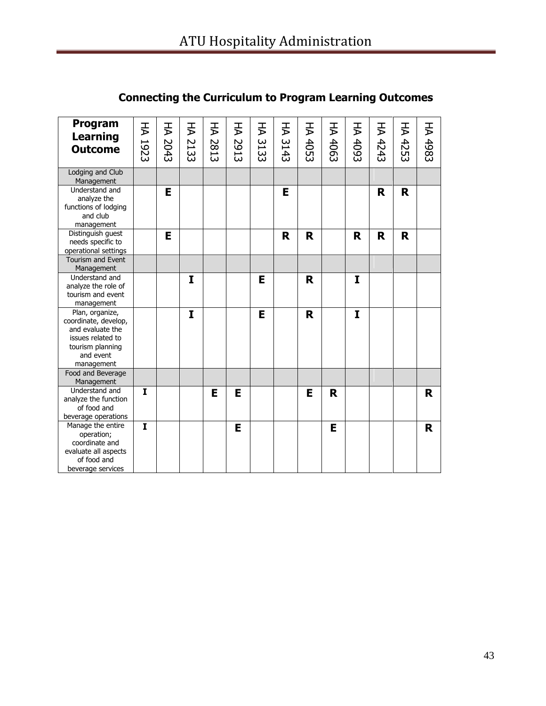| Program<br><b>Learning</b><br><b>Outcome</b>                                                                                    | HA 1923      | 子<br>2043 | H<br>2133 | 子<br>2813 | 子<br>2913 | HA<br>3133 | 子<br>3143 | FA<br>4053 | F<br>4063 | 子<br>4093 | 子<br>4243 | H<br>4253 | HA 4983 |
|---------------------------------------------------------------------------------------------------------------------------------|--------------|-----------|-----------|-----------|-----------|------------|-----------|------------|-----------|-----------|-----------|-----------|---------|
| Lodging and Club<br>Management                                                                                                  |              |           |           |           |           |            |           |            |           |           |           |           |         |
| Understand and<br>analyze the<br>functions of lodging<br>and club<br>management                                                 |              | E         |           |           |           |            | E         |            |           |           | R         | R         |         |
| Distinguish guest<br>needs specific to<br>operational settings                                                                  |              | E         |           |           |           |            | R         | R          |           | R         | R         | R         |         |
| <b>Tourism and Event</b><br>Management                                                                                          |              |           |           |           |           |            |           |            |           |           |           |           |         |
| Understand and<br>analyze the role of<br>tourism and event<br>management                                                        |              |           | I         |           |           | E          |           | R          |           | I         |           |           |         |
| Plan, organize,<br>coordinate, develop,<br>and evaluate the<br>issues related to<br>tourism planning<br>and event<br>management |              |           | I         |           |           | Е          |           | R          |           | I         |           |           |         |
| Food and Beverage<br>Management                                                                                                 |              |           |           |           |           |            |           |            |           |           |           |           |         |
| Understand and<br>analyze the function<br>of food and<br>beverage operations                                                    | $\mathbf{I}$ |           |           | E         | E         |            |           | E          | R         |           |           |           | R       |
| Manage the entire<br>operation;<br>coordinate and<br>evaluate all aspects<br>of food and<br>beverage services                   | $\mathbf{I}$ |           |           |           | E         |            |           |            | E         |           |           |           | R       |

# **Connecting the Curriculum to Program Learning Outcomes**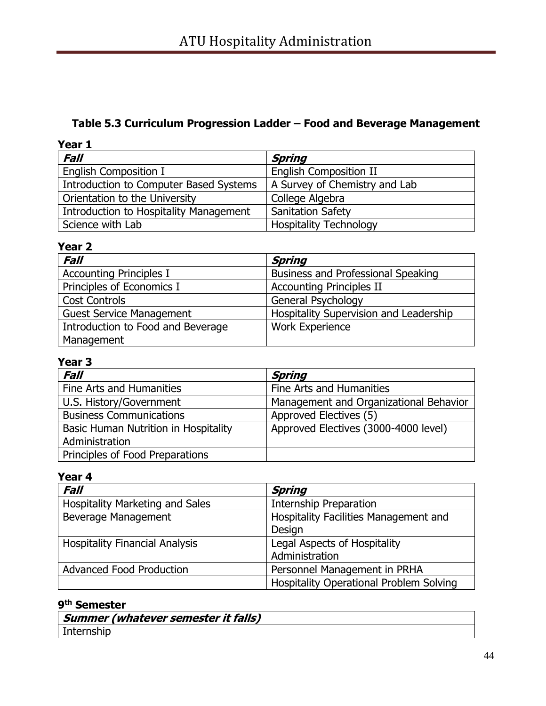# **Table 5.3 Curriculum Progression Ladder – Food and Beverage Management**

| Year 1                                 |                               |
|----------------------------------------|-------------------------------|
| Fall                                   | <b>Spring</b>                 |
| <b>English Composition I</b>           | <b>English Composition II</b> |
| Introduction to Computer Based Systems | A Survey of Chemistry and Lab |
| Orientation to the University          | College Algebra               |
| Introduction to Hospitality Management | <b>Sanitation Safety</b>      |
| Science with Lab                       | <b>Hospitality Technology</b> |

# **Year 2**

| <b>Fall</b>                       | Spring                                 |
|-----------------------------------|----------------------------------------|
| <b>Accounting Principles I</b>    | Business and Professional Speaking     |
| Principles of Economics I         | <b>Accounting Principles II</b>        |
| <b>Cost Controls</b>              | General Psychology                     |
| <b>Guest Service Management</b>   | Hospitality Supervision and Leadership |
| Introduction to Food and Beverage | <b>Work Experience</b>                 |
| Management                        |                                        |

# **Year 3**

| <b>Fall</b>                          | Spring                                 |
|--------------------------------------|----------------------------------------|
| Fine Arts and Humanities             | Fine Arts and Humanities               |
| U.S. History/Government              | Management and Organizational Behavior |
| <b>Business Communications</b>       | Approved Electives (5)                 |
| Basic Human Nutrition in Hospitality | Approved Electives (3000-4000 level)   |
| Administration                       |                                        |
| Principles of Food Preparations      |                                        |

# **Year 4**

| Fall                                   | <b>Spring</b>                           |
|----------------------------------------|-----------------------------------------|
| <b>Hospitality Marketing and Sales</b> | Internship Preparation                  |
| Beverage Management                    | Hospitality Facilities Management and   |
|                                        | Design                                  |
| <b>Hospitality Financial Analysis</b>  | Legal Aspects of Hospitality            |
|                                        | Administration                          |
| <b>Advanced Food Production</b>        | Personnel Management in PRHA            |
|                                        | Hospitality Operational Problem Solving |

#### **9 th Semester**

|            | ' Summer (whatever semester it falls) |
|------------|---------------------------------------|
| Internship |                                       |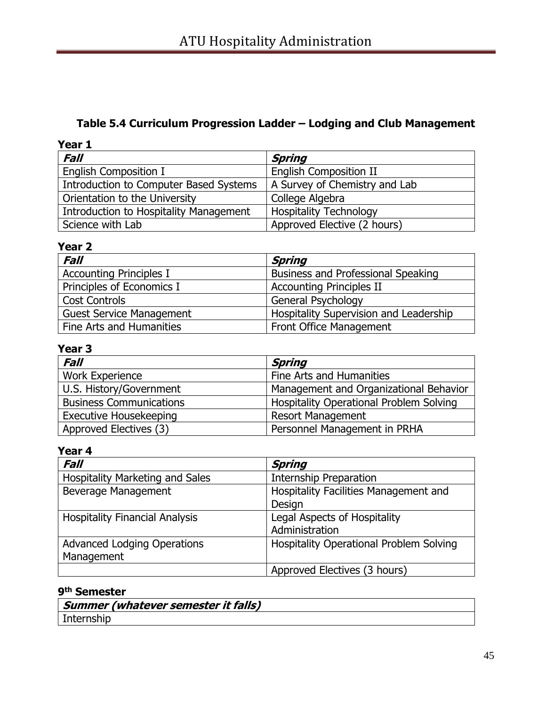# **Table 5.4 Curriculum Progression Ladder – Lodging and Club Management**

| Year 1                                 |                               |
|----------------------------------------|-------------------------------|
| Fall                                   | <b>Spring</b>                 |
| English Composition I                  | <b>English Composition II</b> |
| Introduction to Computer Based Systems | A Survey of Chemistry and Lab |
| Orientation to the University          | College Algebra               |
| Introduction to Hospitality Management | <b>Hospitality Technology</b> |
| Science with Lab                       | Approved Elective (2 hours)   |

# **Year 2**

| <b>Fall</b>                     | Spring                                    |
|---------------------------------|-------------------------------------------|
| <b>Accounting Principles I</b>  | <b>Business and Professional Speaking</b> |
| Principles of Economics I       | <b>Accounting Principles II</b>           |
| <b>Cost Controls</b>            | General Psychology                        |
| <b>Guest Service Management</b> | Hospitality Supervision and Leadership    |
| Fine Arts and Humanities        | <b>Front Office Management</b>            |

# **Year 3**

| <b>Fall</b>                    | Spring                                  |
|--------------------------------|-----------------------------------------|
| <b>Work Experience</b>         | Fine Arts and Humanities                |
| U.S. History/Government        | Management and Organizational Behavior  |
| <b>Business Communications</b> | Hospitality Operational Problem Solving |
| <b>Executive Housekeeping</b>  | <b>Resort Management</b>                |
| Approved Electives (3)         | Personnel Management in PRHA            |

# **Year 4**

| Fall                                   | <b>Spring</b>                                  |
|----------------------------------------|------------------------------------------------|
| <b>Hospitality Marketing and Sales</b> | Internship Preparation                         |
| Beverage Management                    | Hospitality Facilities Management and          |
|                                        | Design                                         |
| <b>Hospitality Financial Analysis</b>  | Legal Aspects of Hospitality                   |
|                                        | Administration                                 |
| <b>Advanced Lodging Operations</b>     | <b>Hospitality Operational Problem Solving</b> |
| Management                             |                                                |
|                                        | Approved Electives (3 hours)                   |

#### **9 th Semester**

| ' Summer (whatever semester it falls) |
|---------------------------------------|
|                                       |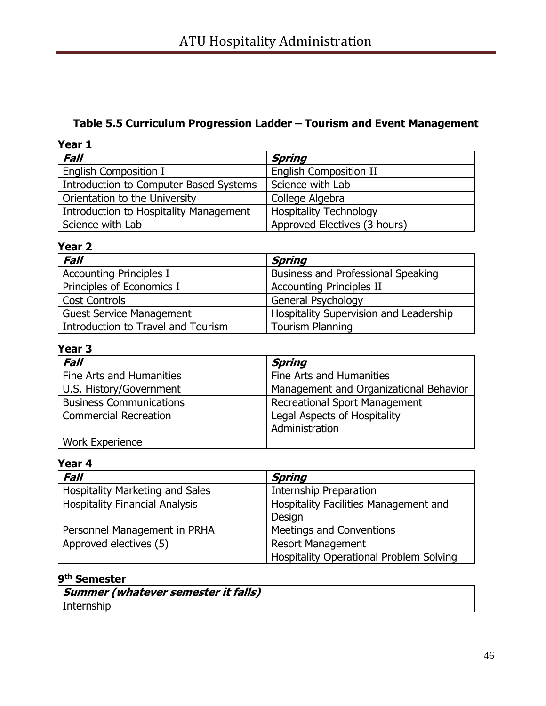# **Table 5.5 Curriculum Progression Ladder – Tourism and Event Management**

| Year 1                                 |                               |
|----------------------------------------|-------------------------------|
| <b>Fall</b>                            | Spring                        |
| <b>English Composition I</b>           | <b>English Composition II</b> |
| Introduction to Computer Based Systems | Science with Lab              |
| Orientation to the University          | College Algebra               |
| Introduction to Hospitality Management | <b>Hospitality Technology</b> |
| Science with Lab                       | Approved Electives (3 hours)  |

# **Year 2**

| <b>Fall</b>                        | Spring                                    |
|------------------------------------|-------------------------------------------|
| <b>Accounting Principles I</b>     | <b>Business and Professional Speaking</b> |
| Principles of Economics I          | <b>Accounting Principles II</b>           |
| <b>Cost Controls</b>               | <b>General Psychology</b>                 |
| <b>Guest Service Management</b>    | Hospitality Supervision and Leadership    |
| Introduction to Travel and Tourism | <b>Tourism Planning</b>                   |

# **Year 3**

| <b>Fall</b>                    | Spring                                 |
|--------------------------------|----------------------------------------|
| Fine Arts and Humanities       | Fine Arts and Humanities               |
| U.S. History/Government        | Management and Organizational Behavior |
| <b>Business Communications</b> | <b>Recreational Sport Management</b>   |
| <b>Commercial Recreation</b>   | Legal Aspects of Hospitality           |
|                                | Administration                         |
| <b>Work Experience</b>         |                                        |

# **Year 4**

| <b>Fall</b>                            | <b>Spring</b>                                  |  |
|----------------------------------------|------------------------------------------------|--|
| <b>Hospitality Marketing and Sales</b> | <b>Internship Preparation</b>                  |  |
| <b>Hospitality Financial Analysis</b>  | Hospitality Facilities Management and          |  |
|                                        | Design                                         |  |
| Personnel Management in PRHA           | Meetings and Conventions                       |  |
| Approved electives (5)                 | <b>Resort Management</b>                       |  |
|                                        | <b>Hospitality Operational Problem Solving</b> |  |

#### **9 th Semester**

|            | Summer (whatever semester it falls) |
|------------|-------------------------------------|
| Internship |                                     |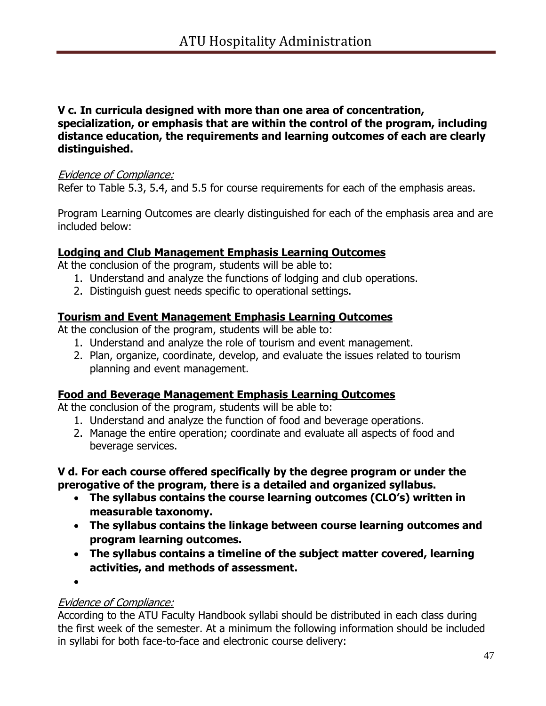#### **V c. In curricula designed with more than one area of concentration, specialization, or emphasis that are within the control of the program, including distance education, the requirements and learning outcomes of each are clearly distinguished.**

#### Evidence of Compliance:

Refer to Table 5.3, 5.4, and 5.5 for course requirements for each of the emphasis areas.

Program Learning Outcomes are clearly distinguished for each of the emphasis area and are included below:

#### **Lodging and Club Management Emphasis Learning Outcomes**

At the conclusion of the program, students will be able to:

- 1. Understand and analyze the functions of lodging and club operations.
- 2. Distinguish guest needs specific to operational settings.

#### **Tourism and Event Management Emphasis Learning Outcomes**

At the conclusion of the program, students will be able to:

- 1. Understand and analyze the role of tourism and event management.
- 2. Plan, organize, coordinate, develop, and evaluate the issues related to tourism planning and event management.

#### **Food and Beverage Management Emphasis Learning Outcomes**

At the conclusion of the program, students will be able to:

- 1. Understand and analyze the function of food and beverage operations.
- 2. Manage the entire operation; coordinate and evaluate all aspects of food and beverage services.

#### **V d. For each course offered specifically by the degree program or under the prerogative of the program, there is a detailed and organized syllabus.**

- **The syllabus contains the course learning outcomes (CLO's) written in measurable taxonomy.**
- **The syllabus contains the linkage between course learning outcomes and program learning outcomes.**
- **The syllabus contains a timeline of the subject matter covered, learning activities, and methods of assessment.**

 $\bullet$ 

#### Evidence of Compliance:

According to the ATU Faculty Handbook syllabi should be distributed in each class during the first week of the semester. At a minimum the following information should be included in syllabi for both face-to-face and electronic course delivery: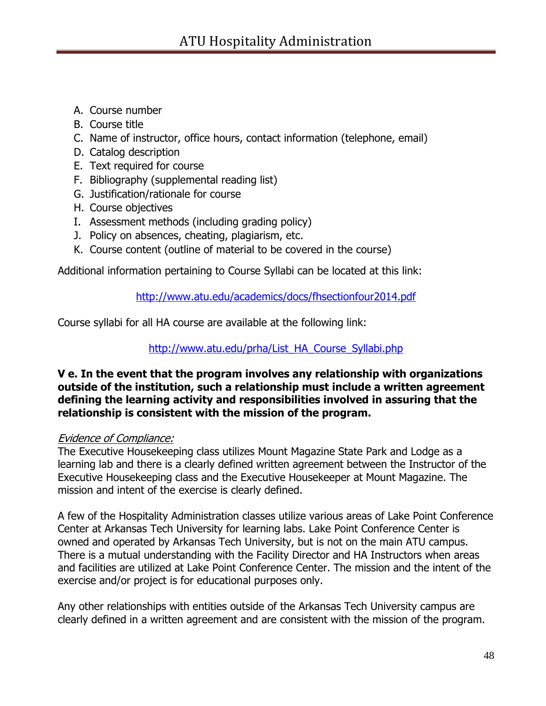- A. Course number
- B. Course title
- C. Name of instructor, office hours, contact information (telephone, email)
- D. Catalog description
- E. Text required for course
- F. Bibliography (supplemental reading list)
- G. Justification/rationale for course
- H. Course objectives
- I. Assessment methods (including grading policy)
- J. Policy on absences, cheating, plagiarism, etc.
- K. Course content (outline of material to be covered in the course)

Additional information pertaining to Course Syllabi can be located at this link:

### <http://www.atu.edu/academics/docs/fhsectionfour2014.pdf>

Course syllabi for all HA course are available at the following link:

### [http://www.atu.edu/prha/List\\_HA\\_Course\\_Syllabi.php](http://www.atu.edu/prha/List_HA_Course_Syllabi.php)

#### **V e. In the event that the program involves any relationship with organizations outside of the institution, such a relationship must include a written agreement defining the learning activity and responsibilities involved in assuring that the relationship is consistent with the mission of the program.**

#### Evidence of Compliance:

The Executive Housekeeping class utilizes Mount Magazine State Park and Lodge as a learning lab and there is a clearly defined written agreement between the Instructor of the Executive Housekeeping class and the Executive Housekeeper at Mount Magazine. The mission and intent of the exercise is clearly defined.

A few of the Hospitality Administration classes utilize various areas of Lake Point Conference Center at Arkansas Tech University for learning labs. Lake Point Conference Center is owned and operated by Arkansas Tech University, but is not on the main ATU campus. There is a mutual understanding with the Facility Director and HA Instructors when areas and facilities are utilized at Lake Point Conference Center. The mission and the intent of the exercise and/or project is for educational purposes only.

Any other relationships with entities outside of the Arkansas Tech University campus are clearly defined in a written agreement and are consistent with the mission of the program.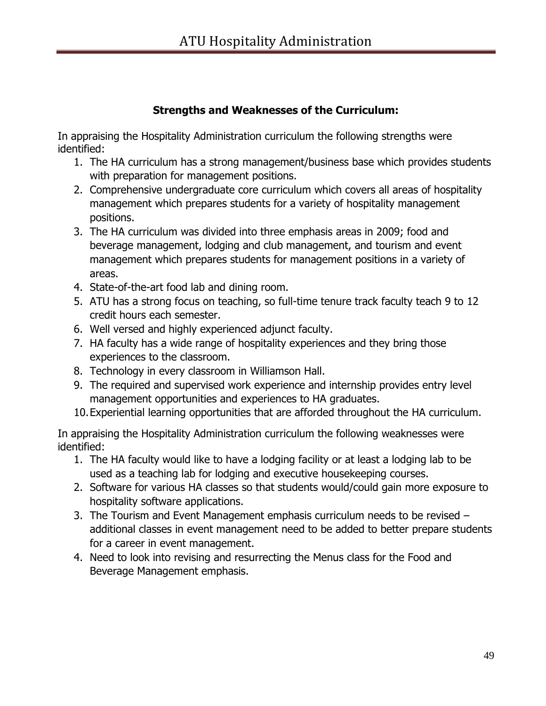# **Strengths and Weaknesses of the Curriculum:**

In appraising the Hospitality Administration curriculum the following strengths were identified:

- 1. The HA curriculum has a strong management/business base which provides students with preparation for management positions.
- 2. Comprehensive undergraduate core curriculum which covers all areas of hospitality management which prepares students for a variety of hospitality management positions.
- 3. The HA curriculum was divided into three emphasis areas in 2009; food and beverage management, lodging and club management, and tourism and event management which prepares students for management positions in a variety of areas.
- 4. State-of-the-art food lab and dining room.
- 5. ATU has a strong focus on teaching, so full-time tenure track faculty teach 9 to 12 credit hours each semester.
- 6. Well versed and highly experienced adjunct faculty.
- 7. HA faculty has a wide range of hospitality experiences and they bring those experiences to the classroom.
- 8. Technology in every classroom in Williamson Hall.
- 9. The required and supervised work experience and internship provides entry level management opportunities and experiences to HA graduates.
- 10.Experiential learning opportunities that are afforded throughout the HA curriculum.

In appraising the Hospitality Administration curriculum the following weaknesses were identified:

- 1. The HA faculty would like to have a lodging facility or at least a lodging lab to be used as a teaching lab for lodging and executive housekeeping courses.
- 2. Software for various HA classes so that students would/could gain more exposure to hospitality software applications.
- 3. The Tourism and Event Management emphasis curriculum needs to be revised additional classes in event management need to be added to better prepare students for a career in event management.
- 4. Need to look into revising and resurrecting the Menus class for the Food and Beverage Management emphasis.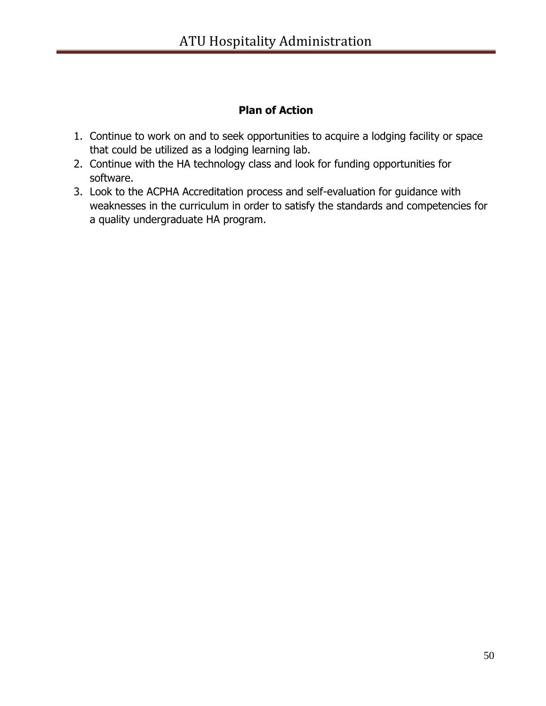# **Plan of Action**

- 1. Continue to work on and to seek opportunities to acquire a lodging facility or space that could be utilized as a lodging learning lab.
- 2. Continue with the HA technology class and look for funding opportunities for software.
- 3. Look to the ACPHA Accreditation process and self-evaluation for guidance with weaknesses in the curriculum in order to satisfy the standards and competencies for a quality undergraduate HA program.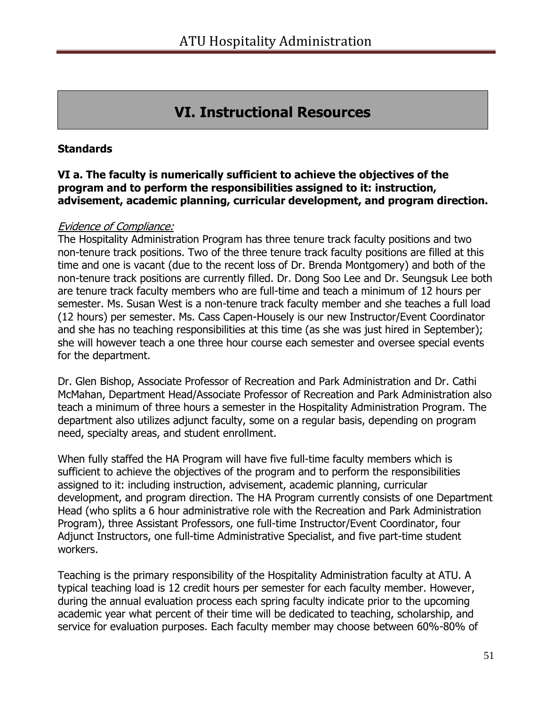# **VI. Instructional Resources**

#### **Standards**

#### **VI a. The faculty is numerically sufficient to achieve the objectives of the program and to perform the responsibilities assigned to it: instruction, advisement, academic planning, curricular development, and program direction.**

#### Evidence of Compliance:

The Hospitality Administration Program has three tenure track faculty positions and two non-tenure track positions. Two of the three tenure track faculty positions are filled at this time and one is vacant (due to the recent loss of Dr. Brenda Montgomery) and both of the non-tenure track positions are currently filled. Dr. Dong Soo Lee and Dr. Seungsuk Lee both are tenure track faculty members who are full-time and teach a minimum of 12 hours per semester. Ms. Susan West is a non-tenure track faculty member and she teaches a full load (12 hours) per semester. Ms. Cass Capen-Housely is our new Instructor/Event Coordinator and she has no teaching responsibilities at this time (as she was just hired in September); she will however teach a one three hour course each semester and oversee special events for the department.

Dr. Glen Bishop, Associate Professor of Recreation and Park Administration and Dr. Cathi McMahan, Department Head/Associate Professor of Recreation and Park Administration also teach a minimum of three hours a semester in the Hospitality Administration Program. The department also utilizes adjunct faculty, some on a regular basis, depending on program need, specialty areas, and student enrollment.

When fully staffed the HA Program will have five full-time faculty members which is sufficient to achieve the objectives of the program and to perform the responsibilities assigned to it: including instruction, advisement, academic planning, curricular development, and program direction. The HA Program currently consists of one Department Head (who splits a 6 hour administrative role with the Recreation and Park Administration Program), three Assistant Professors, one full-time Instructor/Event Coordinator, four Adjunct Instructors, one full-time Administrative Specialist, and five part-time student workers.

Teaching is the primary responsibility of the Hospitality Administration faculty at ATU. A typical teaching load is 12 credit hours per semester for each faculty member. However, during the annual evaluation process each spring faculty indicate prior to the upcoming academic year what percent of their time will be dedicated to teaching, scholarship, and service for evaluation purposes. Each faculty member may choose between 60%-80% of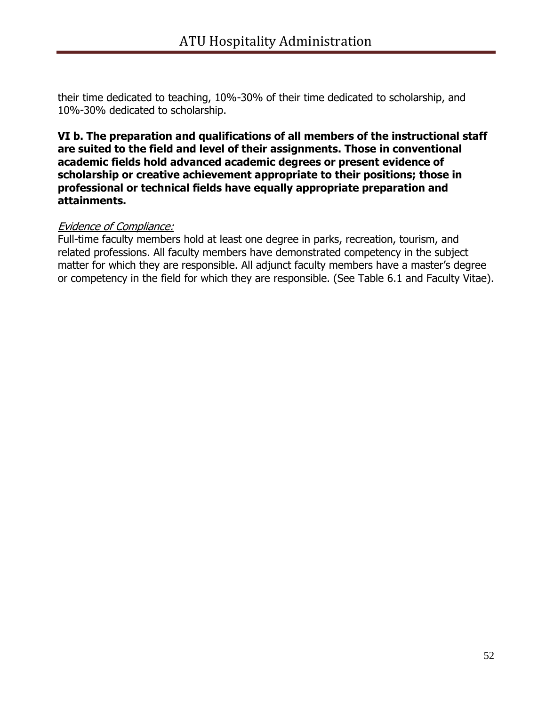their time dedicated to teaching, 10%-30% of their time dedicated to scholarship, and 10%-30% dedicated to scholarship.

#### **VI b. The preparation and qualifications of all members of the instructional staff are suited to the field and level of their assignments. Those in conventional academic fields hold advanced academic degrees or present evidence of scholarship or creative achievement appropriate to their positions; those in professional or technical fields have equally appropriate preparation and attainments.**

#### Evidence of Compliance:

Full-time faculty members hold at least one degree in parks, recreation, tourism, and related professions. All faculty members have demonstrated competency in the subject matter for which they are responsible. All adjunct faculty members have a master's degree or competency in the field for which they are responsible. (See Table 6.1 and Faculty Vitae).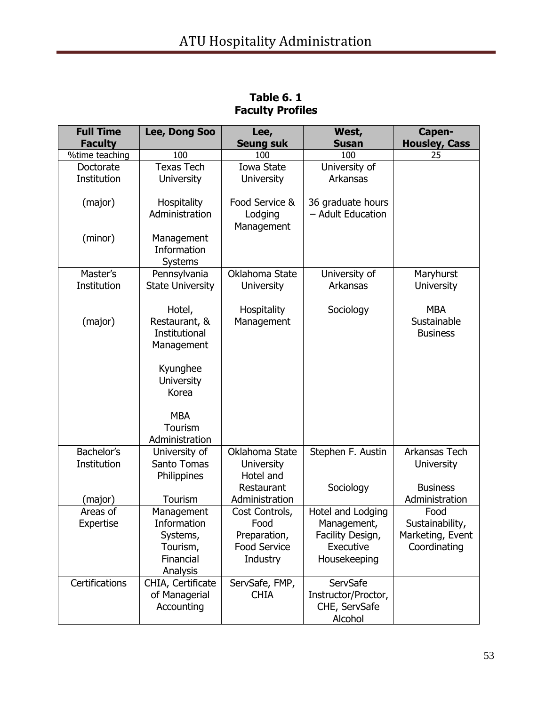| <b>Full Time</b>          | Lee, Dong Soo                                          | Lee,                                             | West,                                  | Capen-                                       |
|---------------------------|--------------------------------------------------------|--------------------------------------------------|----------------------------------------|----------------------------------------------|
| <b>Faculty</b>            |                                                        | <b>Seung suk</b>                                 | <b>Susan</b>                           | <b>Housley, Cass</b>                         |
| %time teaching            | 100                                                    | 100                                              | 100                                    | 25                                           |
| Doctorate                 | <b>Texas Tech</b>                                      | Iowa State                                       | University of                          |                                              |
| Institution               | <b>University</b>                                      | <b>University</b>                                | Arkansas                               |                                              |
| (major)                   | Hospitality<br>Administration                          | Food Service &<br>Lodging                        | 36 graduate hours<br>- Adult Education |                                              |
|                           |                                                        | Management                                       |                                        |                                              |
| (minor)                   | Management<br>Information<br>Systems                   |                                                  |                                        |                                              |
| Master's<br>Institution   | Pennsylvania<br><b>State University</b>                | Oklahoma State<br><b>University</b>              | University of<br>Arkansas              | Maryhurst<br><b>University</b>               |
| (major)                   | Hotel,<br>Restaurant, &<br>Institutional<br>Management | Hospitality<br>Management                        | Sociology                              | <b>MBA</b><br>Sustainable<br><b>Business</b> |
|                           | Kyunghee<br>University<br>Korea                        |                                                  |                                        |                                              |
|                           | <b>MBA</b><br>Tourism<br>Administration                |                                                  |                                        |                                              |
| Bachelor's<br>Institution | University of<br>Santo Tomas<br>Philippines            | Oklahoma State<br><b>University</b><br>Hotel and | Stephen F. Austin                      | Arkansas Tech<br>University                  |
| (major)                   | Tourism                                                | Restaurant<br>Administration                     | Sociology                              | <b>Business</b><br>Administration            |
| Areas of                  | Management                                             | Cost Controls,                                   | Hotel and Lodging                      | Food                                         |
| Expertise                 | Information                                            | Food                                             | Management,                            | Sustainability,                              |
|                           | Systems,                                               | Preparation,                                     | Facility Design,                       | Marketing, Event                             |
|                           | Tourism,                                               | Food Service                                     | Executive                              | Coordinating                                 |
|                           | Financial<br>Analysis                                  | Industry                                         | Housekeeping                           |                                              |
| Certifications            | CHIA, Certificate                                      | ServSafe, FMP,                                   | ServSafe                               |                                              |
|                           | of Managerial                                          | <b>CHIA</b>                                      | Instructor/Proctor,                    |                                              |
|                           | Accounting                                             |                                                  | CHE, ServSafe                          |                                              |
|                           |                                                        |                                                  | Alcohol                                |                                              |

**Table 6. 1 Faculty Profiles**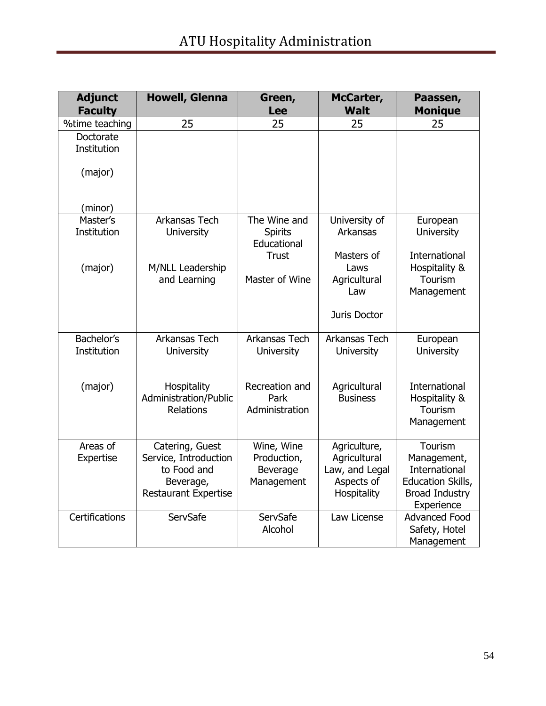| <b>Adjunct</b><br><b>Faculty</b>    | <b>Howell, Glenna</b>                                                                               | Green,<br><b>Lee</b>                                          | McCarter,<br><b>Walt</b>                                                    | Paassen,<br><b>Monique</b>                                                                          |
|-------------------------------------|-----------------------------------------------------------------------------------------------------|---------------------------------------------------------------|-----------------------------------------------------------------------------|-----------------------------------------------------------------------------------------------------|
| %time teaching                      | 25                                                                                                  | 25                                                            | 25                                                                          | 25                                                                                                  |
| Doctorate<br>Institution<br>(major) |                                                                                                     |                                                               |                                                                             |                                                                                                     |
| (minor)                             |                                                                                                     |                                                               |                                                                             |                                                                                                     |
| Master's<br>Institution             | Arkansas Tech<br><b>University</b>                                                                  | The Wine and<br><b>Spirits</b><br>Educational<br><b>Trust</b> | University of<br>Arkansas<br>Masters of                                     | European<br><b>University</b><br>International                                                      |
| (major)                             | M/NLL Leadership<br>and Learning                                                                    | Master of Wine                                                | Laws<br>Agricultural<br>Law<br>Juris Doctor                                 | Hospitality &<br>Tourism<br>Management                                                              |
|                                     |                                                                                                     |                                                               |                                                                             |                                                                                                     |
| Bachelor's<br>Institution           | Arkansas Tech<br><b>University</b>                                                                  | Arkansas Tech<br><b>University</b>                            | Arkansas Tech<br><b>University</b>                                          | European<br><b>University</b>                                                                       |
| (major)                             | Hospitality<br>Administration/Public<br><b>Relations</b>                                            | Recreation and<br>Park<br>Administration                      | Agricultural<br><b>Business</b>                                             | <b>International</b><br>Hospitality &<br>Tourism<br>Management                                      |
| Areas of<br>Expertise               | Catering, Guest<br>Service, Introduction<br>to Food and<br>Beverage,<br><b>Restaurant Expertise</b> | Wine, Wine<br>Production,<br>Beverage<br>Management           | Agriculture,<br>Agricultural<br>Law, and Legal<br>Aspects of<br>Hospitality | Tourism<br>Management,<br>International<br>Education Skills,<br><b>Broad Industry</b><br>Experience |
| Certifications                      | ServSafe                                                                                            | ServSafe<br>Alcohol                                           | Law License                                                                 | <b>Advanced Food</b><br>Safety, Hotel<br>Management                                                 |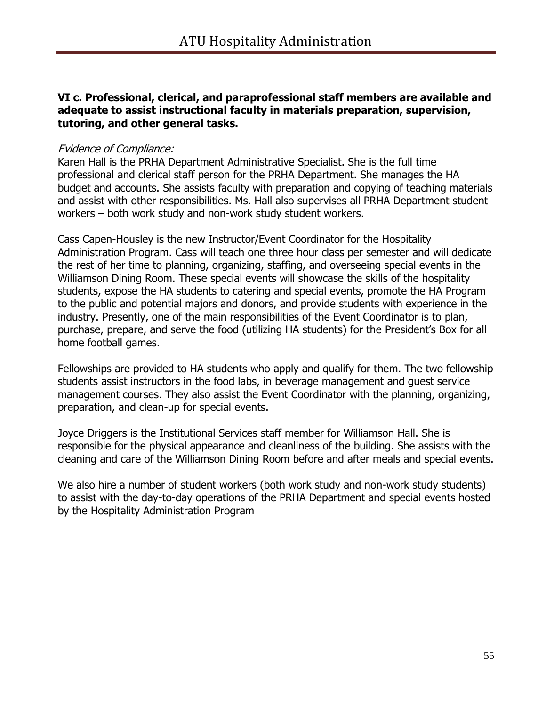#### **VI c. Professional, clerical, and paraprofessional staff members are available and adequate to assist instructional faculty in materials preparation, supervision, tutoring, and other general tasks.**

#### Evidence of Compliance:

Karen Hall is the PRHA Department Administrative Specialist. She is the full time professional and clerical staff person for the PRHA Department. She manages the HA budget and accounts. She assists faculty with preparation and copying of teaching materials and assist with other responsibilities. Ms. Hall also supervises all PRHA Department student workers – both work study and non-work study student workers.

Cass Capen-Housley is the new Instructor/Event Coordinator for the Hospitality Administration Program. Cass will teach one three hour class per semester and will dedicate the rest of her time to planning, organizing, staffing, and overseeing special events in the Williamson Dining Room. These special events will showcase the skills of the hospitality students, expose the HA students to catering and special events, promote the HA Program to the public and potential majors and donors, and provide students with experience in the industry. Presently, one of the main responsibilities of the Event Coordinator is to plan, purchase, prepare, and serve the food (utilizing HA students) for the President's Box for all home football games.

Fellowships are provided to HA students who apply and qualify for them. The two fellowship students assist instructors in the food labs, in beverage management and guest service management courses. They also assist the Event Coordinator with the planning, organizing, preparation, and clean-up for special events.

Joyce Driggers is the Institutional Services staff member for Williamson Hall. She is responsible for the physical appearance and cleanliness of the building. She assists with the cleaning and care of the Williamson Dining Room before and after meals and special events.

We also hire a number of student workers (both work study and non-work study students) to assist with the day-to-day operations of the PRHA Department and special events hosted by the Hospitality Administration Program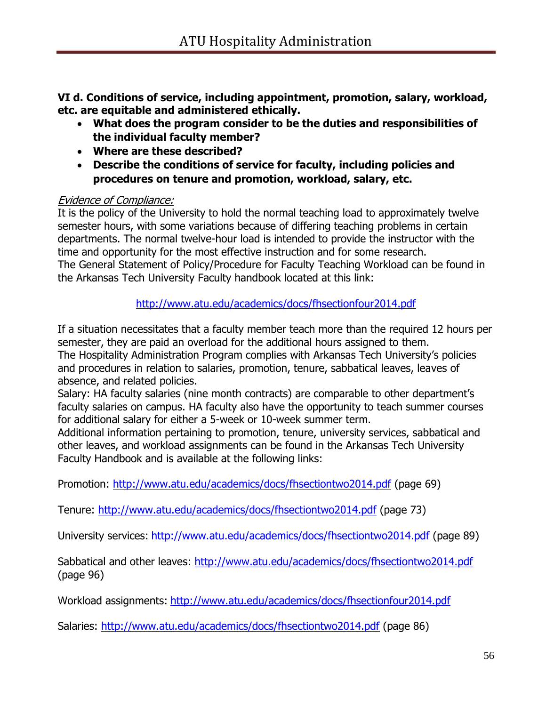**VI d. Conditions of service, including appointment, promotion, salary, workload, etc. are equitable and administered ethically.**

- **What does the program consider to be the duties and responsibilities of the individual faculty member?**
- **Where are these described?**
- **Describe the conditions of service for faculty, including policies and procedures on tenure and promotion, workload, salary, etc.**

# Evidence of Compliance:

It is the policy of the University to hold the normal teaching load to approximately twelve semester hours, with some variations because of differing teaching problems in certain departments. The normal twelve-hour load is intended to provide the instructor with the time and opportunity for the most effective instruction and for some research. The General Statement of Policy/Procedure for Faculty Teaching Workload can be found in the Arkansas Tech University Faculty handbook located at this link:

<http://www.atu.edu/academics/docs/fhsectionfour2014.pdf>

If a situation necessitates that a faculty member teach more than the required 12 hours per semester, they are paid an overload for the additional hours assigned to them. The Hospitality Administration Program complies with Arkansas Tech University's policies and procedures in relation to salaries, promotion, tenure, sabbatical leaves, leaves of absence, and related policies.

Salary: HA faculty salaries (nine month contracts) are comparable to other department's faculty salaries on campus. HA faculty also have the opportunity to teach summer courses for additional salary for either a 5-week or 10-week summer term.

Additional information pertaining to promotion, tenure, university services, sabbatical and other leaves, and workload assignments can be found in the Arkansas Tech University Faculty Handbook and is available at the following links:

Promotion:<http://www.atu.edu/academics/docs/fhsectiontwo2014.pdf> (page 69)

Tenure:<http://www.atu.edu/academics/docs/fhsectiontwo2014.pdf> (page 73)

University services: <http://www.atu.edu/academics/docs/fhsectiontwo2014.pdf> (page 89)

Sabbatical and other leaves:<http://www.atu.edu/academics/docs/fhsectiontwo2014.pdf> (page 96)

Workload assignments: <http://www.atu.edu/academics/docs/fhsectionfour2014.pdf>

Salaries:<http://www.atu.edu/academics/docs/fhsectiontwo2014.pdf> (page 86)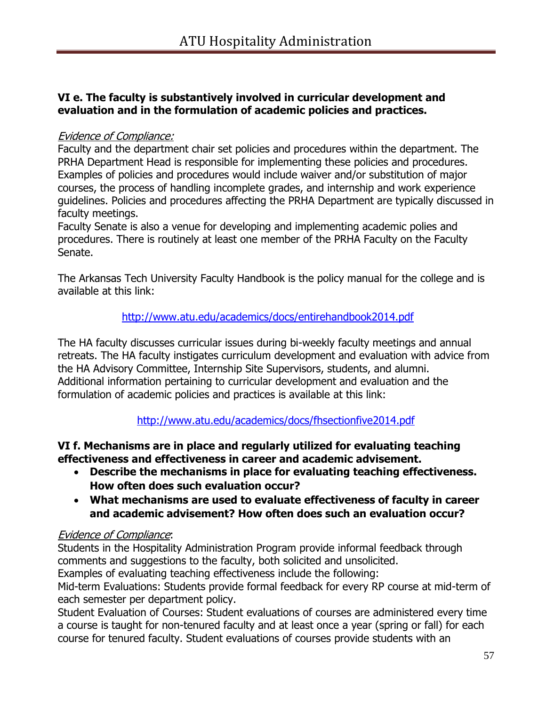# **VI e. The faculty is substantively involved in curricular development and evaluation and in the formulation of academic policies and practices.**

#### Evidence of Compliance:

Faculty and the department chair set policies and procedures within the department. The PRHA Department Head is responsible for implementing these policies and procedures. Examples of policies and procedures would include waiver and/or substitution of major courses, the process of handling incomplete grades, and internship and work experience guidelines. Policies and procedures affecting the PRHA Department are typically discussed in faculty meetings.

Faculty Senate is also a venue for developing and implementing academic polies and procedures. There is routinely at least one member of the PRHA Faculty on the Faculty Senate.

The Arkansas Tech University Faculty Handbook is the policy manual for the college and is available at this link:

# <http://www.atu.edu/academics/docs/entirehandbook2014.pdf>

The HA faculty discusses curricular issues during bi-weekly faculty meetings and annual retreats. The HA faculty instigates curriculum development and evaluation with advice from the HA Advisory Committee, Internship Site Supervisors, students, and alumni. Additional information pertaining to curricular development and evaluation and the formulation of academic policies and practices is available at this link:

<http://www.atu.edu/academics/docs/fhsectionfive2014.pdf>

# **VI f. Mechanisms are in place and regularly utilized for evaluating teaching effectiveness and effectiveness in career and academic advisement.**

- **Describe the mechanisms in place for evaluating teaching effectiveness. How often does such evaluation occur?**
- **What mechanisms are used to evaluate effectiveness of faculty in career and academic advisement? How often does such an evaluation occur?**

# Evidence of Compliance:

Students in the Hospitality Administration Program provide informal feedback through comments and suggestions to the faculty, both solicited and unsolicited.

Examples of evaluating teaching effectiveness include the following:

Mid-term Evaluations: Students provide formal feedback for every RP course at mid-term of each semester per department policy.

Student Evaluation of Courses: Student evaluations of courses are administered every time a course is taught for non-tenured faculty and at least once a year (spring or fall) for each course for tenured faculty. Student evaluations of courses provide students with an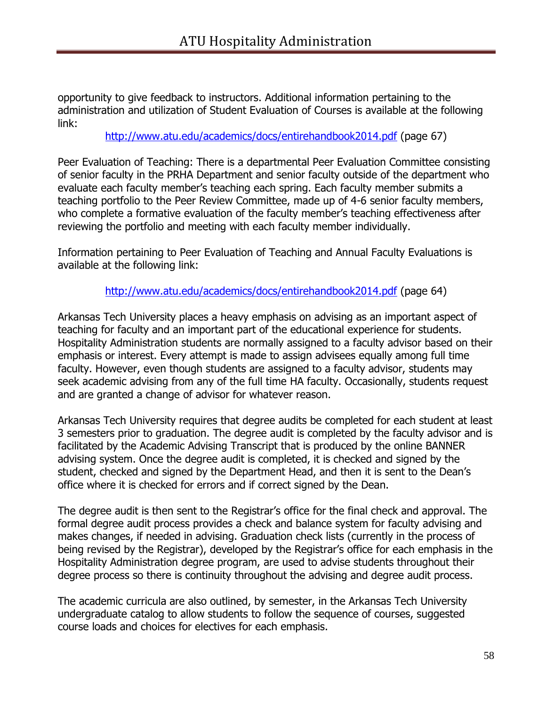opportunity to give feedback to instructors. Additional information pertaining to the administration and utilization of Student Evaluation of Courses is available at the following link:

<http://www.atu.edu/academics/docs/entirehandbook2014.pdf> (page 67)

Peer Evaluation of Teaching: There is a departmental Peer Evaluation Committee consisting of senior faculty in the PRHA Department and senior faculty outside of the department who evaluate each faculty member's teaching each spring. Each faculty member submits a teaching portfolio to the Peer Review Committee, made up of 4-6 senior faculty members, who complete a formative evaluation of the faculty member's teaching effectiveness after reviewing the portfolio and meeting with each faculty member individually.

Information pertaining to Peer Evaluation of Teaching and Annual Faculty Evaluations is available at the following link:

<http://www.atu.edu/academics/docs/entirehandbook2014.pdf> (page 64)

Arkansas Tech University places a heavy emphasis on advising as an important aspect of teaching for faculty and an important part of the educational experience for students. Hospitality Administration students are normally assigned to a faculty advisor based on their emphasis or interest. Every attempt is made to assign advisees equally among full time faculty. However, even though students are assigned to a faculty advisor, students may seek academic advising from any of the full time HA faculty. Occasionally, students request and are granted a change of advisor for whatever reason.

Arkansas Tech University requires that degree audits be completed for each student at least 3 semesters prior to graduation. The degree audit is completed by the faculty advisor and is facilitated by the Academic Advising Transcript that is produced by the online BANNER advising system. Once the degree audit is completed, it is checked and signed by the student, checked and signed by the Department Head, and then it is sent to the Dean's office where it is checked for errors and if correct signed by the Dean.

The degree audit is then sent to the Registrar's office for the final check and approval. The formal degree audit process provides a check and balance system for faculty advising and makes changes, if needed in advising. Graduation check lists (currently in the process of being revised by the Registrar), developed by the Registrar's office for each emphasis in the Hospitality Administration degree program, are used to advise students throughout their degree process so there is continuity throughout the advising and degree audit process.

The academic curricula are also outlined, by semester, in the Arkansas Tech University undergraduate catalog to allow students to follow the sequence of courses, suggested course loads and choices for electives for each emphasis.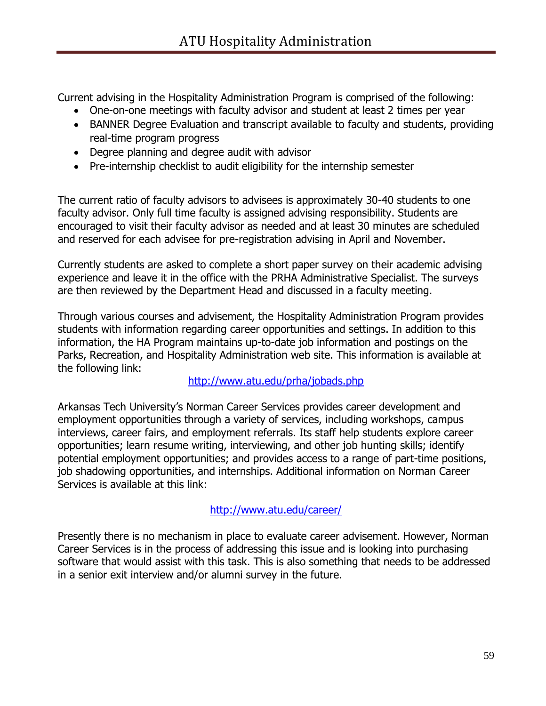Current advising in the Hospitality Administration Program is comprised of the following:

- One-on-one meetings with faculty advisor and student at least 2 times per year
- BANNER Degree Evaluation and transcript available to faculty and students, providing real-time program progress
- Degree planning and degree audit with advisor
- Pre-internship checklist to audit eligibility for the internship semester

The current ratio of faculty advisors to advisees is approximately 30-40 students to one faculty advisor. Only full time faculty is assigned advising responsibility. Students are encouraged to visit their faculty advisor as needed and at least 30 minutes are scheduled and reserved for each advisee for pre-registration advising in April and November.

Currently students are asked to complete a short paper survey on their academic advising experience and leave it in the office with the PRHA Administrative Specialist. The surveys are then reviewed by the Department Head and discussed in a faculty meeting.

Through various courses and advisement, the Hospitality Administration Program provides students with information regarding career opportunities and settings. In addition to this information, the HA Program maintains up-to-date job information and postings on the Parks, Recreation, and Hospitality Administration web site. This information is available at the following link:

# <http://www.atu.edu/prha/jobads.php>

Arkansas Tech University's Norman Career Services provides career development and employment opportunities through a variety of services, including workshops, campus interviews, career fairs, and employment referrals. Its staff help students explore career opportunities; learn resume writing, interviewing, and other job hunting skills; identify potential employment opportunities; and provides access to a range of part-time positions, job shadowing opportunities, and internships. Additional information on Norman Career Services is available at this link:

#### <http://www.atu.edu/career/>

Presently there is no mechanism in place to evaluate career advisement. However, Norman Career Services is in the process of addressing this issue and is looking into purchasing software that would assist with this task. This is also something that needs to be addressed in a senior exit interview and/or alumni survey in the future.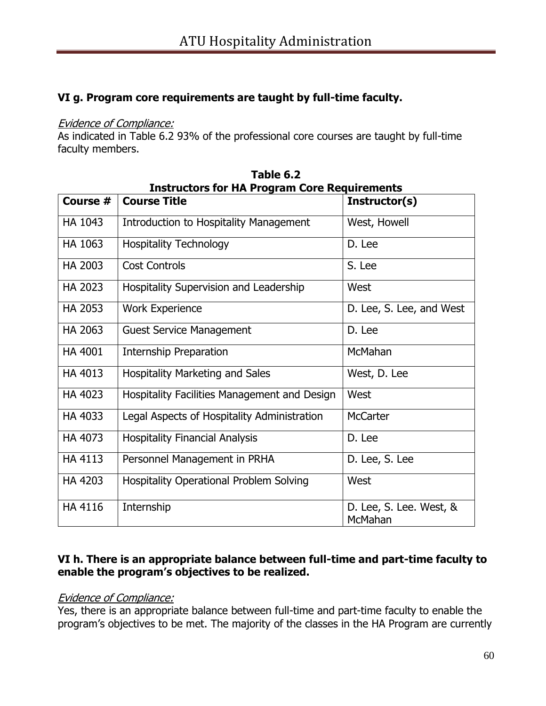# **VI g. Program core requirements are taught by full-time faculty.**

#### Evidence of Compliance:

As indicated in Table 6.2 93% of the professional core courses are taught by full-time faculty members.

| <b>Instructors for HA Program Core Requirements</b> |                                                |                                    |  |  |
|-----------------------------------------------------|------------------------------------------------|------------------------------------|--|--|
| Course #                                            | <b>Course Title</b>                            | Instructor(s)                      |  |  |
| HA 1043                                             | <b>Introduction to Hospitality Management</b>  | West, Howell                       |  |  |
| HA 1063                                             | <b>Hospitality Technology</b>                  | D. Lee                             |  |  |
| <b>HA 2003</b>                                      | <b>Cost Controls</b>                           | S. Lee                             |  |  |
| HA 2023                                             | Hospitality Supervision and Leadership         | West                               |  |  |
| HA 2053                                             | <b>Work Experience</b>                         | D. Lee, S. Lee, and West           |  |  |
| HA 2063                                             | <b>Guest Service Management</b>                | D. Lee                             |  |  |
| HA 4001                                             | Internship Preparation                         | McMahan                            |  |  |
| HA 4013                                             | <b>Hospitality Marketing and Sales</b>         | West, D. Lee                       |  |  |
| HA 4023                                             | Hospitality Facilities Management and Design   | West                               |  |  |
| HA 4033                                             | Legal Aspects of Hospitality Administration    | <b>McCarter</b>                    |  |  |
| HA 4073                                             | <b>Hospitality Financial Analysis</b>          | D. Lee                             |  |  |
| HA 4113                                             | Personnel Management in PRHA                   | D. Lee, S. Lee                     |  |  |
| HA 4203                                             | <b>Hospitality Operational Problem Solving</b> | West                               |  |  |
| <b>HA 4116</b>                                      | Internship                                     | D. Lee, S. Lee. West, &<br>McMahan |  |  |

**Table 6.2**

### **VI h. There is an appropriate balance between full-time and part-time faculty to enable the program's objectives to be realized.**

#### Evidence of Compliance:

Yes, there is an appropriate balance between full-time and part-time faculty to enable the program's objectives to be met. The majority of the classes in the HA Program are currently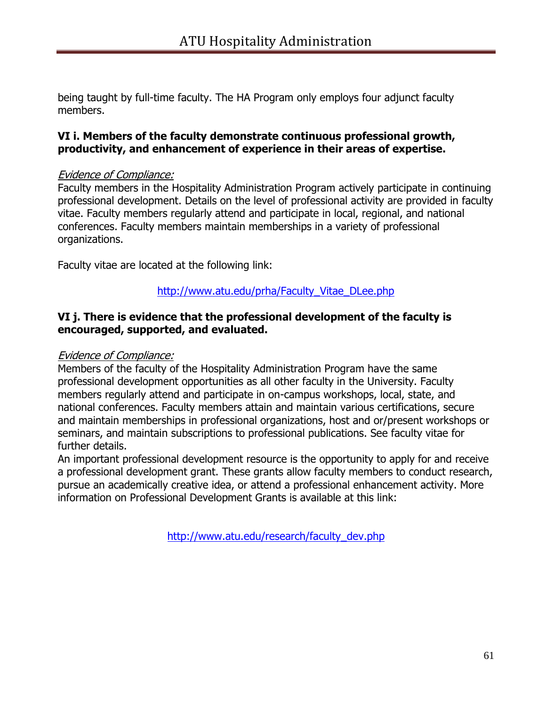being taught by full-time faculty. The HA Program only employs four adjunct faculty members.

### **VI i. Members of the faculty demonstrate continuous professional growth, productivity, and enhancement of experience in their areas of expertise.**

#### Evidence of Compliance:

Faculty members in the Hospitality Administration Program actively participate in continuing professional development. Details on the level of professional activity are provided in faculty vitae. Faculty members regularly attend and participate in local, regional, and national conferences. Faculty members maintain memberships in a variety of professional organizations.

Faculty vitae are located at the following link:

### [http://www.atu.edu/prha/Faculty\\_Vitae\\_DLee.php](http://www.atu.edu/prha/Faculty_Vitae_DLee.php)

#### **VI j. There is evidence that the professional development of the faculty is encouraged, supported, and evaluated.**

#### Evidence of Compliance:

Members of the faculty of the Hospitality Administration Program have the same professional development opportunities as all other faculty in the University. Faculty members regularly attend and participate in on-campus workshops, local, state, and national conferences. Faculty members attain and maintain various certifications, secure and maintain memberships in professional organizations, host and or/present workshops or seminars, and maintain subscriptions to professional publications. See faculty vitae for further details.

An important professional development resource is the opportunity to apply for and receive a professional development grant. These grants allow faculty members to conduct research, pursue an academically creative idea, or attend a professional enhancement activity. More information on Professional Development Grants is available at this link:

[http://www.atu.edu/research/faculty\\_dev.php](http://www.atu.edu/research/faculty_dev.php)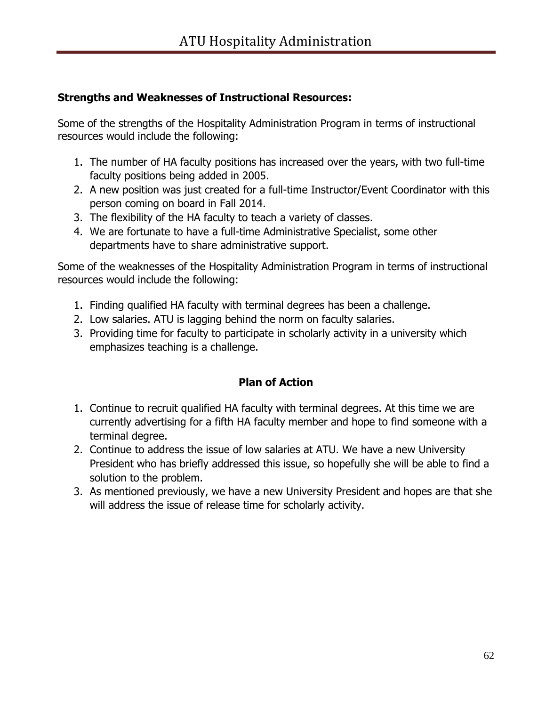# **Strengths and Weaknesses of Instructional Resources:**

Some of the strengths of the Hospitality Administration Program in terms of instructional resources would include the following:

- 1. The number of HA faculty positions has increased over the years, with two full-time faculty positions being added in 2005.
- 2. A new position was just created for a full-time Instructor/Event Coordinator with this person coming on board in Fall 2014.
- 3. The flexibility of the HA faculty to teach a variety of classes.
- 4. We are fortunate to have a full-time Administrative Specialist, some other departments have to share administrative support.

Some of the weaknesses of the Hospitality Administration Program in terms of instructional resources would include the following:

- 1. Finding qualified HA faculty with terminal degrees has been a challenge.
- 2. Low salaries. ATU is lagging behind the norm on faculty salaries.
- 3. Providing time for faculty to participate in scholarly activity in a university which emphasizes teaching is a challenge.

# **Plan of Action**

- 1. Continue to recruit qualified HA faculty with terminal degrees. At this time we are currently advertising for a fifth HA faculty member and hope to find someone with a terminal degree.
- 2. Continue to address the issue of low salaries at ATU. We have a new University President who has briefly addressed this issue, so hopefully she will be able to find a solution to the problem.
- 3. As mentioned previously, we have a new University President and hopes are that she will address the issue of release time for scholarly activity.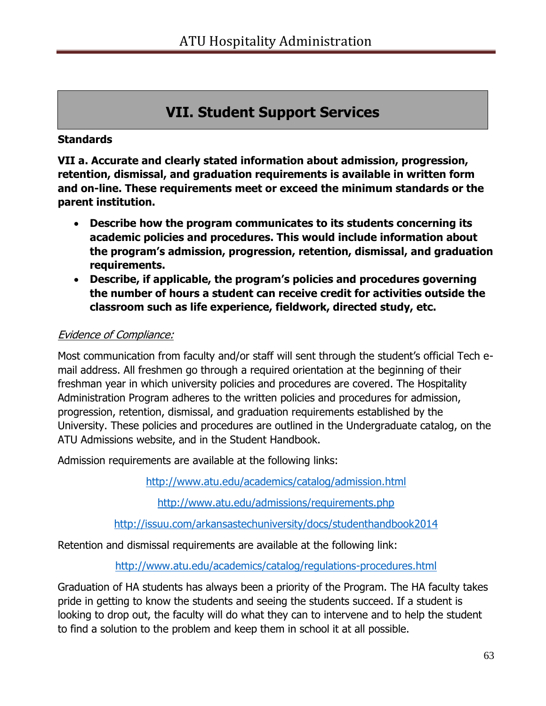# **VII. Student Support Services**

### **Standards**

**VII a. Accurate and clearly stated information about admission, progression, retention, dismissal, and graduation requirements is available in written form and on-line. These requirements meet or exceed the minimum standards or the parent institution.** 

- **Describe how the program communicates to its students concerning its academic policies and procedures. This would include information about the program's admission, progression, retention, dismissal, and graduation requirements.**
- **Describe, if applicable, the program's policies and procedures governing the number of hours a student can receive credit for activities outside the classroom such as life experience, fieldwork, directed study, etc.**

### Evidence of Compliance:

Most communication from faculty and/or staff will sent through the student's official Tech email address. All freshmen go through a required orientation at the beginning of their freshman year in which university policies and procedures are covered. The Hospitality Administration Program adheres to the written policies and procedures for admission, progression, retention, dismissal, and graduation requirements established by the University. These policies and procedures are outlined in the Undergraduate catalog, on the ATU Admissions website, and in the Student Handbook.

Admission requirements are available at the following links:

<http://www.atu.edu/academics/catalog/admission.html>

<http://www.atu.edu/admissions/requirements.php>

<http://issuu.com/arkansastechuniversity/docs/studenthandbook2014>

Retention and dismissal requirements are available at the following link:

<http://www.atu.edu/academics/catalog/regulations-procedures.html>

Graduation of HA students has always been a priority of the Program. The HA faculty takes pride in getting to know the students and seeing the students succeed. If a student is looking to drop out, the faculty will do what they can to intervene and to help the student to find a solution to the problem and keep them in school it at all possible.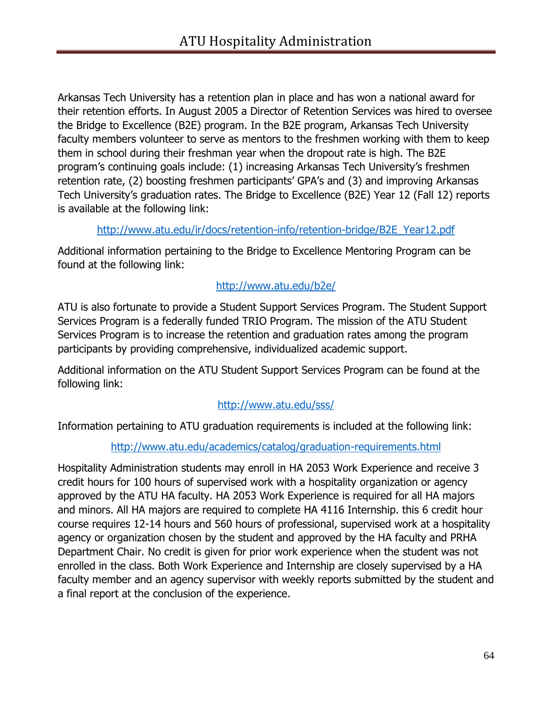Arkansas Tech University has a retention plan in place and has won a national award for their retention efforts. In August 2005 a Director of Retention Services was hired to oversee the Bridge to Excellence (B2E) program. In the B2E program, Arkansas Tech University faculty members volunteer to serve as mentors to the freshmen working with them to keep them in school during their freshman year when the dropout rate is high. The B2E program's continuing goals include: (1) increasing Arkansas Tech University's freshmen retention rate, (2) boosting freshmen participants' GPA's and (3) and improving Arkansas Tech University's graduation rates. The Bridge to Excellence (B2E) Year 12 (Fall 12) reports is available at the following link:

#### [http://www.atu.edu/ir/docs/retention-info/retention-bridge/B2E\\_Year12.pdf](http://www.atu.edu/ir/docs/retention-info/retention-bridge/B2E_Year12.pdf)

Additional information pertaining to the Bridge to Excellence Mentoring Program can be found at the following link:

# <http://www.atu.edu/b2e/>

ATU is also fortunate to provide a Student Support Services Program. The Student Support Services Program is a federally funded TRIO Program. The mission of the ATU Student Services Program is to increase the retention and graduation rates among the program participants by providing comprehensive, individualized academic support.

Additional information on the ATU Student Support Services Program can be found at the following link:

# <http://www.atu.edu/sss/>

Information pertaining to ATU graduation requirements is included at the following link:

# <http://www.atu.edu/academics/catalog/graduation-requirements.html>

Hospitality Administration students may enroll in HA 2053 Work Experience and receive 3 credit hours for 100 hours of supervised work with a hospitality organization or agency approved by the ATU HA faculty. HA 2053 Work Experience is required for all HA majors and minors. All HA majors are required to complete HA 4116 Internship. this 6 credit hour course requires 12-14 hours and 560 hours of professional, supervised work at a hospitality agency or organization chosen by the student and approved by the HA faculty and PRHA Department Chair. No credit is given for prior work experience when the student was not enrolled in the class. Both Work Experience and Internship are closely supervised by a HA faculty member and an agency supervisor with weekly reports submitted by the student and a final report at the conclusion of the experience.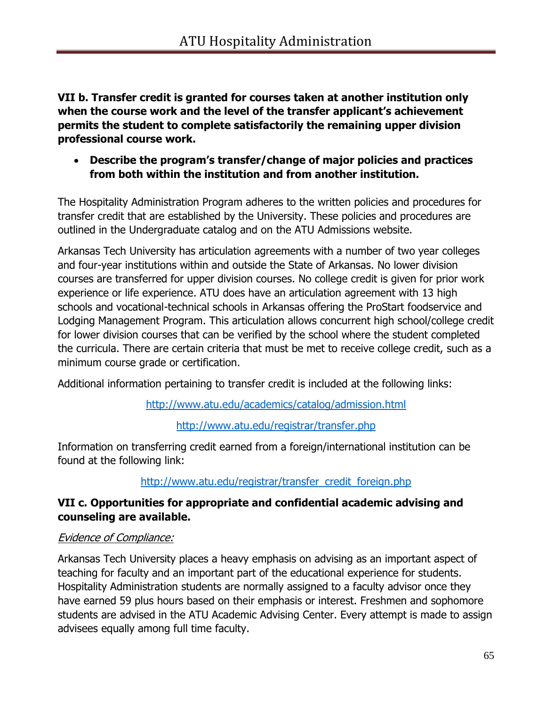**VII b. Transfer credit is granted for courses taken at another institution only when the course work and the level of the transfer applicant's achievement permits the student to complete satisfactorily the remaining upper division professional course work.** 

 **Describe the program's transfer/change of major policies and practices from both within the institution and from another institution.** 

The Hospitality Administration Program adheres to the written policies and procedures for transfer credit that are established by the University. These policies and procedures are outlined in the Undergraduate catalog and on the ATU Admissions website.

Arkansas Tech University has articulation agreements with a number of two year colleges and four-year institutions within and outside the State of Arkansas. No lower division courses are transferred for upper division courses. No college credit is given for prior work experience or life experience. ATU does have an articulation agreement with 13 high schools and vocational-technical schools in Arkansas offering the ProStart foodservice and Lodging Management Program. This articulation allows concurrent high school/college credit for lower division courses that can be verified by the school where the student completed the curricula. There are certain criteria that must be met to receive college credit, such as a minimum course grade or certification.

Additional information pertaining to transfer credit is included at the following links:

<http://www.atu.edu/academics/catalog/admission.html>

<http://www.atu.edu/registrar/transfer.php>

Information on transferring credit earned from a foreign/international institution can be found at the following link:

# [http://www.atu.edu/registrar/transfer\\_credit\\_foreign.php](http://www.atu.edu/registrar/transfer_credit_foreign.php)

# **VII c. Opportunities for appropriate and confidential academic advising and counseling are available.**

#### Evidence of Compliance:

Arkansas Tech University places a heavy emphasis on advising as an important aspect of teaching for faculty and an important part of the educational experience for students. Hospitality Administration students are normally assigned to a faculty advisor once they have earned 59 plus hours based on their emphasis or interest. Freshmen and sophomore students are advised in the ATU Academic Advising Center. Every attempt is made to assign advisees equally among full time faculty.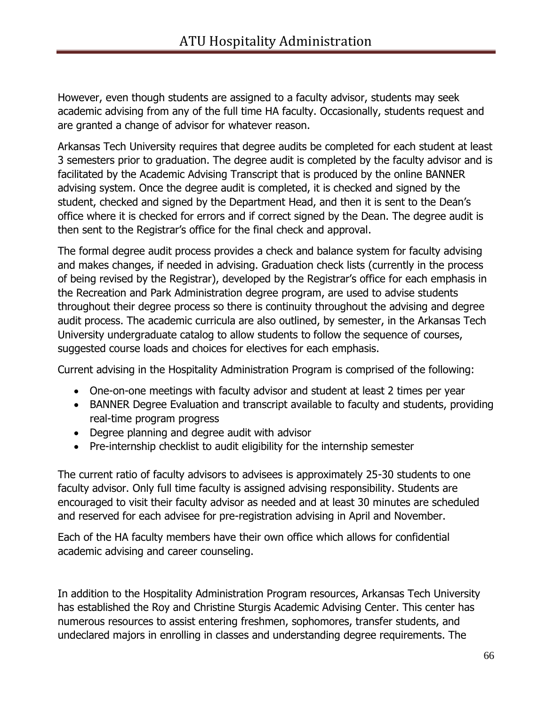However, even though students are assigned to a faculty advisor, students may seek academic advising from any of the full time HA faculty. Occasionally, students request and are granted a change of advisor for whatever reason.

Arkansas Tech University requires that degree audits be completed for each student at least 3 semesters prior to graduation. The degree audit is completed by the faculty advisor and is facilitated by the Academic Advising Transcript that is produced by the online BANNER advising system. Once the degree audit is completed, it is checked and signed by the student, checked and signed by the Department Head, and then it is sent to the Dean's office where it is checked for errors and if correct signed by the Dean. The degree audit is then sent to the Registrar's office for the final check and approval.

The formal degree audit process provides a check and balance system for faculty advising and makes changes, if needed in advising. Graduation check lists (currently in the process of being revised by the Registrar), developed by the Registrar's office for each emphasis in the Recreation and Park Administration degree program, are used to advise students throughout their degree process so there is continuity throughout the advising and degree audit process. The academic curricula are also outlined, by semester, in the Arkansas Tech University undergraduate catalog to allow students to follow the sequence of courses, suggested course loads and choices for electives for each emphasis.

Current advising in the Hospitality Administration Program is comprised of the following:

- One-on-one meetings with faculty advisor and student at least 2 times per year
- BANNER Degree Evaluation and transcript available to faculty and students, providing real-time program progress
- Degree planning and degree audit with advisor
- Pre-internship checklist to audit eligibility for the internship semester

The current ratio of faculty advisors to advisees is approximately 25-30 students to one faculty advisor. Only full time faculty is assigned advising responsibility. Students are encouraged to visit their faculty advisor as needed and at least 30 minutes are scheduled and reserved for each advisee for pre-registration advising in April and November.

Each of the HA faculty members have their own office which allows for confidential academic advising and career counseling.

In addition to the Hospitality Administration Program resources, Arkansas Tech University has established the Roy and Christine Sturgis Academic Advising Center. This center has numerous resources to assist entering freshmen, sophomores, transfer students, and undeclared majors in enrolling in classes and understanding degree requirements. The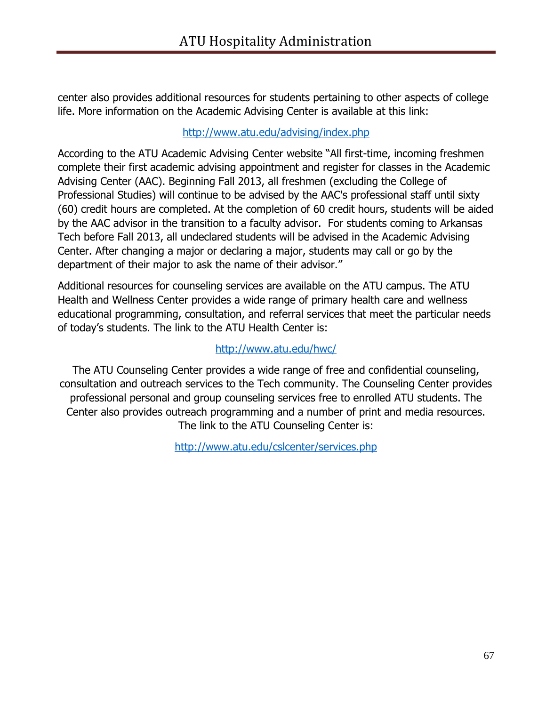center also provides additional resources for students pertaining to other aspects of college life. More information on the Academic Advising Center is available at this link:

### <http://www.atu.edu/advising/index.php>

According to the ATU Academic Advising Center website "All first-time, incoming freshmen complete their first academic advising appointment and register for classes in the Academic Advising Center (AAC). Beginning Fall 2013, all freshmen (excluding the College of Professional Studies) will continue to be advised by the AAC's professional staff until sixty (60) credit hours are completed. At the completion of 60 credit hours, students will be aided by the AAC advisor in the transition to a faculty advisor. For students coming to Arkansas Tech before Fall 2013, all undeclared students will be advised in the Academic Advising Center. After changing a major or declaring a major, students may call or go by the department of their major to ask the name of their advisor."

Additional resources for counseling services are available on the ATU campus. The ATU Health and Wellness Center provides a wide range of primary health care and wellness educational programming, consultation, and referral services that meet the particular needs of today's students. The link to the ATU Health Center is:

### <http://www.atu.edu/hwc/>

The ATU Counseling Center provides a wide range of free and confidential counseling, consultation and outreach services to the Tech community. The Counseling Center provides professional personal and group counseling services free to enrolled ATU students. The Center also provides outreach programming and a number of print and media resources. The link to the ATU Counseling Center is:

<http://www.atu.edu/cslcenter/services.php>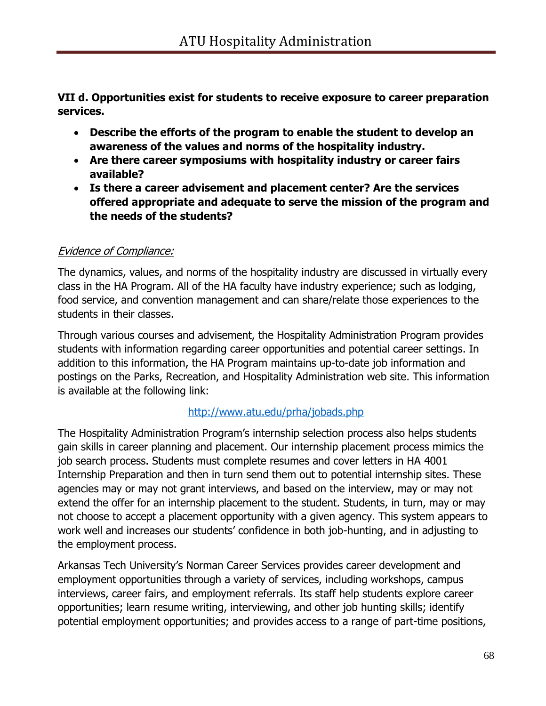**VII d. Opportunities exist for students to receive exposure to career preparation services.**

- **Describe the efforts of the program to enable the student to develop an awareness of the values and norms of the hospitality industry.**
- **Are there career symposiums with hospitality industry or career fairs available?**
- **Is there a career advisement and placement center? Are the services offered appropriate and adequate to serve the mission of the program and the needs of the students?**

# Evidence of Compliance:

The dynamics, values, and norms of the hospitality industry are discussed in virtually every class in the HA Program. All of the HA faculty have industry experience; such as lodging, food service, and convention management and can share/relate those experiences to the students in their classes.

Through various courses and advisement, the Hospitality Administration Program provides students with information regarding career opportunities and potential career settings. In addition to this information, the HA Program maintains up-to-date job information and postings on the Parks, Recreation, and Hospitality Administration web site. This information is available at the following link:

# <http://www.atu.edu/prha/jobads.php>

The Hospitality Administration Program's internship selection process also helps students gain skills in career planning and placement. Our internship placement process mimics the job search process. Students must complete resumes and cover letters in HA 4001 Internship Preparation and then in turn send them out to potential internship sites. These agencies may or may not grant interviews, and based on the interview, may or may not extend the offer for an internship placement to the student. Students, in turn, may or may not choose to accept a placement opportunity with a given agency. This system appears to work well and increases our students' confidence in both job-hunting, and in adjusting to the employment process.

Arkansas Tech University's Norman Career Services provides career development and employment opportunities through a variety of services, including workshops, campus interviews, career fairs, and employment referrals. Its staff help students explore career opportunities; learn resume writing, interviewing, and other job hunting skills; identify potential employment opportunities; and provides access to a range of part-time positions,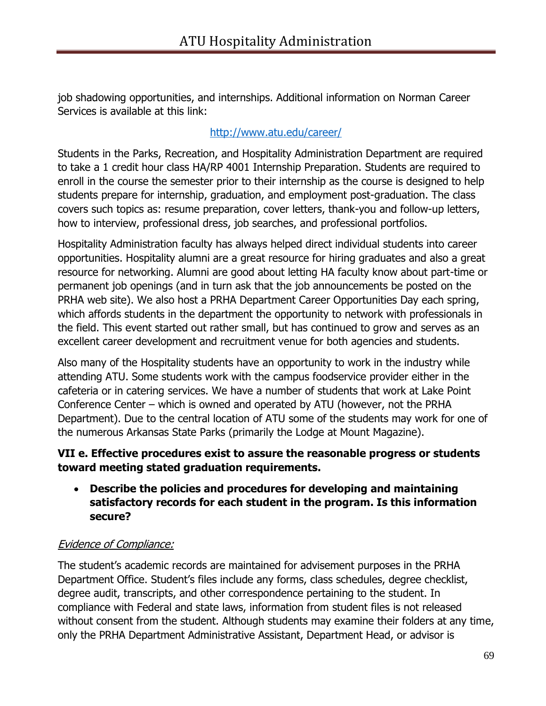job shadowing opportunities, and internships. Additional information on Norman Career Services is available at this link:

# <http://www.atu.edu/career/>

Students in the Parks, Recreation, and Hospitality Administration Department are required to take a 1 credit hour class HA/RP 4001 Internship Preparation. Students are required to enroll in the course the semester prior to their internship as the course is designed to help students prepare for internship, graduation, and employment post-graduation. The class covers such topics as: resume preparation, cover letters, thank-you and follow-up letters, how to interview, professional dress, job searches, and professional portfolios.

Hospitality Administration faculty has always helped direct individual students into career opportunities. Hospitality alumni are a great resource for hiring graduates and also a great resource for networking. Alumni are good about letting HA faculty know about part-time or permanent job openings (and in turn ask that the job announcements be posted on the PRHA web site). We also host a PRHA Department Career Opportunities Day each spring, which affords students in the department the opportunity to network with professionals in the field. This event started out rather small, but has continued to grow and serves as an excellent career development and recruitment venue for both agencies and students.

Also many of the Hospitality students have an opportunity to work in the industry while attending ATU. Some students work with the campus foodservice provider either in the cafeteria or in catering services. We have a number of students that work at Lake Point Conference Center – which is owned and operated by ATU (however, not the PRHA Department). Due to the central location of ATU some of the students may work for one of the numerous Arkansas State Parks (primarily the Lodge at Mount Magazine).

# **VII e. Effective procedures exist to assure the reasonable progress or students toward meeting stated graduation requirements.**

 **Describe the policies and procedures for developing and maintaining satisfactory records for each student in the program. Is this information secure?**

# Evidence of Compliance:

The student's academic records are maintained for advisement purposes in the PRHA Department Office. Student's files include any forms, class schedules, degree checklist, degree audit, transcripts, and other correspondence pertaining to the student. In compliance with Federal and state laws, information from student files is not released without consent from the student. Although students may examine their folders at any time, only the PRHA Department Administrative Assistant, Department Head, or advisor is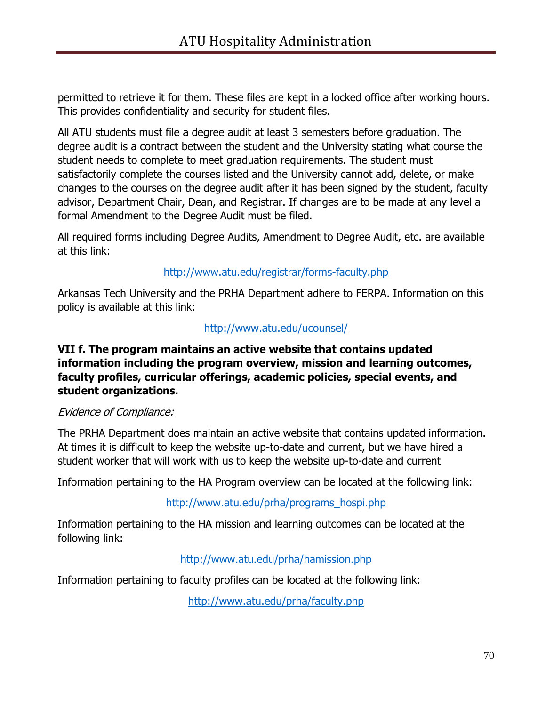permitted to retrieve it for them. These files are kept in a locked office after working hours. This provides confidentiality and security for student files.

All ATU students must file a degree audit at least 3 semesters before graduation. The degree audit is a contract between the student and the University stating what course the student needs to complete to meet graduation requirements. The student must satisfactorily complete the courses listed and the University cannot add, delete, or make changes to the courses on the degree audit after it has been signed by the student, faculty advisor, Department Chair, Dean, and Registrar. If changes are to be made at any level a formal Amendment to the Degree Audit must be filed.

All required forms including Degree Audits, Amendment to Degree Audit, etc. are available at this link:

# <http://www.atu.edu/registrar/forms-faculty.php>

Arkansas Tech University and the PRHA Department adhere to FERPA. Information on this policy is available at this link:

#### <http://www.atu.edu/ucounsel/>

### **VII f. The program maintains an active website that contains updated information including the program overview, mission and learning outcomes, faculty profiles, curricular offerings, academic policies, special events, and student organizations.**

#### Evidence of Compliance:

The PRHA Department does maintain an active website that contains updated information. At times it is difficult to keep the website up-to-date and current, but we have hired a student worker that will work with us to keep the website up-to-date and current

Information pertaining to the HA Program overview can be located at the following link:

#### [http://www.atu.edu/prha/programs\\_hospi.php](http://www.atu.edu/prha/programs_hospi.php)

Information pertaining to the HA mission and learning outcomes can be located at the following link:

#### <http://www.atu.edu/prha/hamission.php>

Information pertaining to faculty profiles can be located at the following link:

<http://www.atu.edu/prha/faculty.php>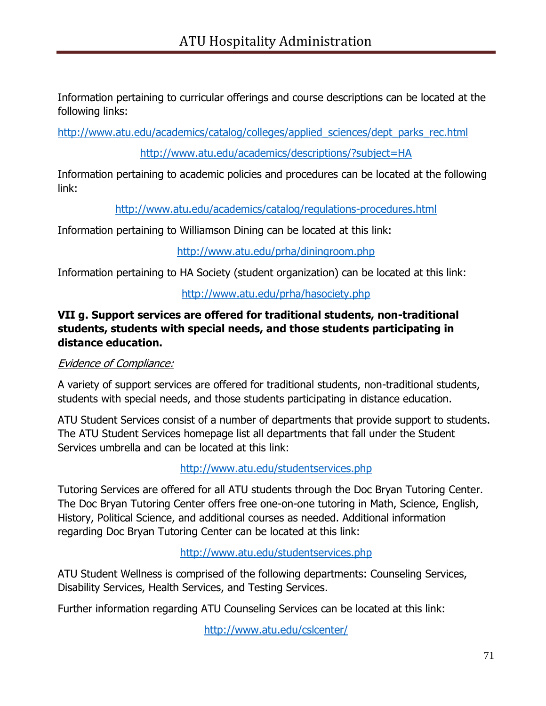Information pertaining to curricular offerings and course descriptions can be located at the following links:

[http://www.atu.edu/academics/catalog/colleges/applied\\_sciences/dept\\_parks\\_rec.html](http://www.atu.edu/academics/catalog/colleges/applied_sciences/dept_parks_rec.html)

<http://www.atu.edu/academics/descriptions/?subject=HA>

Information pertaining to academic policies and procedures can be located at the following link:

<http://www.atu.edu/academics/catalog/regulations-procedures.html>

Information pertaining to Williamson Dining can be located at this link:

<http://www.atu.edu/prha/diningroom.php>

Information pertaining to HA Society (student organization) can be located at this link:

### <http://www.atu.edu/prha/hasociety.php>

### **VII g. Support services are offered for traditional students, non-traditional students, students with special needs, and those students participating in distance education.**

#### Evidence of Compliance:

A variety of support services are offered for traditional students, non-traditional students, students with special needs, and those students participating in distance education.

ATU Student Services consist of a number of departments that provide support to students. The ATU Student Services homepage list all departments that fall under the Student Services umbrella and can be located at this link:

<http://www.atu.edu/studentservices.php>

Tutoring Services are offered for all ATU students through the Doc Bryan Tutoring Center. The Doc Bryan Tutoring Center offers free one-on-one tutoring in Math, Science, English, History, Political Science, and additional courses as needed. Additional information regarding Doc Bryan Tutoring Center can be located at this link:

#### <http://www.atu.edu/studentservices.php>

ATU Student Wellness is comprised of the following departments: Counseling Services, Disability Services, Health Services, and Testing Services.

Further information regarding ATU Counseling Services can be located at this link:

<http://www.atu.edu/cslcenter/>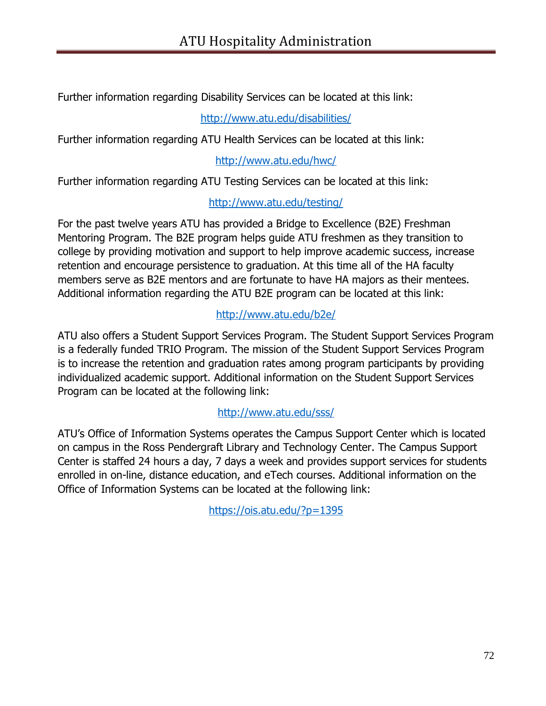Further information regarding Disability Services can be located at this link:

<http://www.atu.edu/disabilities/>

Further information regarding ATU Health Services can be located at this link:

<http://www.atu.edu/hwc/>

Further information regarding ATU Testing Services can be located at this link:

# <http://www.atu.edu/testing/>

For the past twelve years ATU has provided a Bridge to Excellence (B2E) Freshman Mentoring Program. The B2E program helps guide ATU freshmen as they transition to college by providing motivation and support to help improve academic success, increase retention and encourage persistence to graduation. At this time all of the HA faculty members serve as B2E mentors and are fortunate to have HA majors as their mentees. Additional information regarding the ATU B2E program can be located at this link:

### <http://www.atu.edu/b2e/>

ATU also offers a Student Support Services Program. The Student Support Services Program is a federally funded TRIO Program. The mission of the Student Support Services Program is to increase the retention and graduation rates among program participants by providing individualized academic support. Additional information on the Student Support Services Program can be located at the following link:

#### <http://www.atu.edu/sss/>

ATU's Office of Information Systems operates the Campus Support Center which is located on campus in the Ross Pendergraft Library and Technology Center. The Campus Support Center is staffed 24 hours a day, 7 days a week and provides support services for students enrolled in on-line, distance education, and eTech courses. Additional information on the Office of Information Systems can be located at the following link:

<https://ois.atu.edu/?p=1395>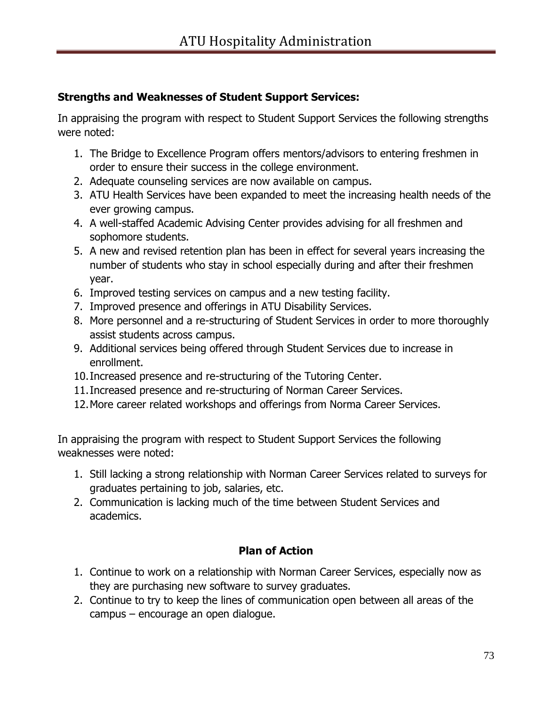# **Strengths and Weaknesses of Student Support Services:**

In appraising the program with respect to Student Support Services the following strengths were noted:

- 1. The Bridge to Excellence Program offers mentors/advisors to entering freshmen in order to ensure their success in the college environment.
- 2. Adequate counseling services are now available on campus.
- 3. ATU Health Services have been expanded to meet the increasing health needs of the ever growing campus.
- 4. A well-staffed Academic Advising Center provides advising for all freshmen and sophomore students.
- 5. A new and revised retention plan has been in effect for several years increasing the number of students who stay in school especially during and after their freshmen year.
- 6. Improved testing services on campus and a new testing facility.
- 7. Improved presence and offerings in ATU Disability Services.
- 8. More personnel and a re-structuring of Student Services in order to more thoroughly assist students across campus.
- 9. Additional services being offered through Student Services due to increase in enrollment.
- 10.Increased presence and re-structuring of the Tutoring Center.
- 11.Increased presence and re-structuring of Norman Career Services.
- 12.More career related workshops and offerings from Norma Career Services.

In appraising the program with respect to Student Support Services the following weaknesses were noted:

- 1. Still lacking a strong relationship with Norman Career Services related to surveys for graduates pertaining to job, salaries, etc.
- 2. Communication is lacking much of the time between Student Services and academics.

# **Plan of Action**

- 1. Continue to work on a relationship with Norman Career Services, especially now as they are purchasing new software to survey graduates.
- 2. Continue to try to keep the lines of communication open between all areas of the campus – encourage an open dialogue.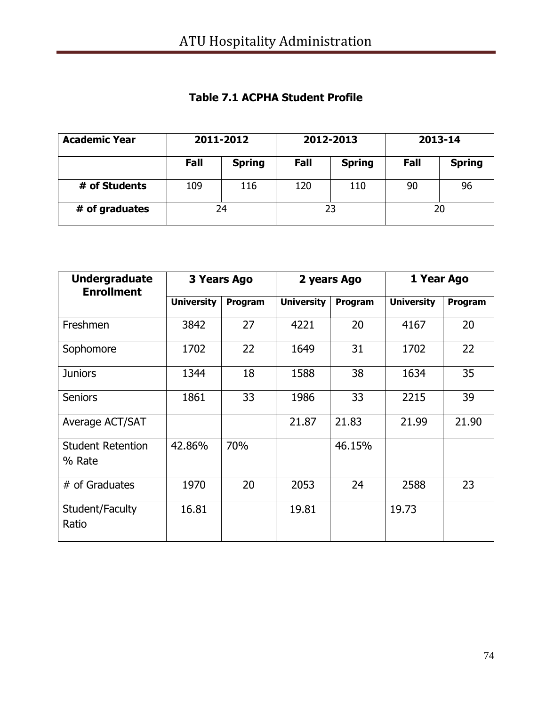| <b>Academic Year</b> | 2011-2012 |               | 2012-2013 |               | 2013-14 |               |
|----------------------|-----------|---------------|-----------|---------------|---------|---------------|
|                      | Fall      | <b>Spring</b> | Fall      | <b>Spring</b> | Fall    | <b>Spring</b> |
| # of Students        | 109       | 116           | 120       | 110           | 90      | 96            |
| # of graduates       | 24        |               | 23        |               | 20      |               |

### **Table 7.1 ACPHA Student Profile**

| <b>Undergraduate</b><br><b>Enrollment</b> | 3 Years Ago       |         | 2 years Ago       |         | 1 Year Ago        |         |
|-------------------------------------------|-------------------|---------|-------------------|---------|-------------------|---------|
|                                           | <b>University</b> | Program | <b>University</b> | Program | <b>University</b> | Program |
| Freshmen                                  | 3842              | 27      | 4221              | 20      | 4167              | 20      |
| Sophomore                                 | 1702              | 22      | 1649              | 31      | 1702              | 22      |
| <b>Juniors</b>                            | 1344              | 18      | 1588              | 38      | 1634              | 35      |
| <b>Seniors</b>                            | 1861              | 33      | 1986              | 33      | 2215              | 39      |
| Average ACT/SAT                           |                   |         | 21.87             | 21.83   | 21.99             | 21.90   |
| <b>Student Retention</b><br>% Rate        | 42.86%            | 70%     |                   | 46.15%  |                   |         |
| # of Graduates                            | 1970              | 20      | 2053              | 24      | 2588              | 23      |
| Student/Faculty<br>Ratio                  | 16.81             |         | 19.81             |         | 19.73             |         |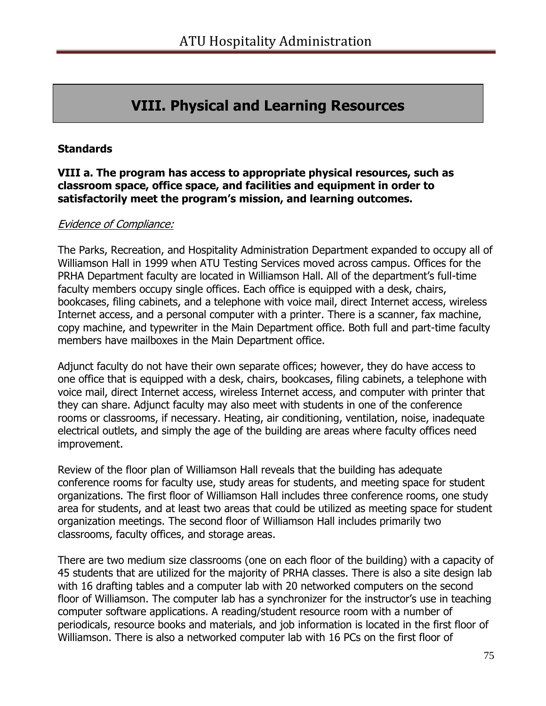# **VIII. Physical and Learning Resources**

#### **Standards**

#### **VIII a. The program has access to appropriate physical resources, such as classroom space, office space, and facilities and equipment in order to satisfactorily meet the program's mission, and learning outcomes.**

#### Evidence of Compliance:

The Parks, Recreation, and Hospitality Administration Department expanded to occupy all of Williamson Hall in 1999 when ATU Testing Services moved across campus. Offices for the PRHA Department faculty are located in Williamson Hall. All of the department's full-time faculty members occupy single offices. Each office is equipped with a desk, chairs, bookcases, filing cabinets, and a telephone with voice mail, direct Internet access, wireless Internet access, and a personal computer with a printer. There is a scanner, fax machine, copy machine, and typewriter in the Main Department office. Both full and part-time faculty members have mailboxes in the Main Department office.

Adjunct faculty do not have their own separate offices; however, they do have access to one office that is equipped with a desk, chairs, bookcases, filing cabinets, a telephone with voice mail, direct Internet access, wireless Internet access, and computer with printer that they can share. Adjunct faculty may also meet with students in one of the conference rooms or classrooms, if necessary. Heating, air conditioning, ventilation, noise, inadequate electrical outlets, and simply the age of the building are areas where faculty offices need improvement.

Review of the floor plan of Williamson Hall reveals that the building has adequate conference rooms for faculty use, study areas for students, and meeting space for student organizations. The first floor of Williamson Hall includes three conference rooms, one study area for students, and at least two areas that could be utilized as meeting space for student organization meetings. The second floor of Williamson Hall includes primarily two classrooms, faculty offices, and storage areas.

There are two medium size classrooms (one on each floor of the building) with a capacity of 45 students that are utilized for the majority of PRHA classes. There is also a site design lab with 16 drafting tables and a computer lab with 20 networked computers on the second floor of Williamson. The computer lab has a synchronizer for the instructor's use in teaching computer software applications. A reading/student resource room with a number of periodicals, resource books and materials, and job information is located in the first floor of Williamson. There is also a networked computer lab with 16 PCs on the first floor of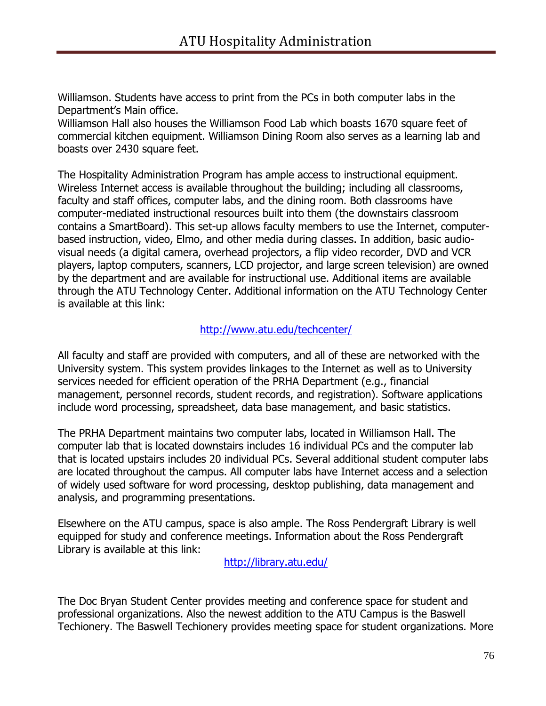Williamson. Students have access to print from the PCs in both computer labs in the Department's Main office.

Williamson Hall also houses the Williamson Food Lab which boasts 1670 square feet of commercial kitchen equipment. Williamson Dining Room also serves as a learning lab and boasts over 2430 square feet.

The Hospitality Administration Program has ample access to instructional equipment. Wireless Internet access is available throughout the building; including all classrooms, faculty and staff offices, computer labs, and the dining room. Both classrooms have computer-mediated instructional resources built into them (the downstairs classroom contains a SmartBoard). This set-up allows faculty members to use the Internet, computerbased instruction, video, Elmo, and other media during classes. In addition, basic audiovisual needs (a digital camera, overhead projectors, a flip video recorder, DVD and VCR players, laptop computers, scanners, LCD projector, and large screen television) are owned by the department and are available for instructional use. Additional items are available through the ATU Technology Center. Additional information on the ATU Technology Center is available at this link:

#### <http://www.atu.edu/techcenter/>

All faculty and staff are provided with computers, and all of these are networked with the University system. This system provides linkages to the Internet as well as to University services needed for efficient operation of the PRHA Department (e.g., financial management, personnel records, student records, and registration). Software applications include word processing, spreadsheet, data base management, and basic statistics.

The PRHA Department maintains two computer labs, located in Williamson Hall. The computer lab that is located downstairs includes 16 individual PCs and the computer lab that is located upstairs includes 20 individual PCs. Several additional student computer labs are located throughout the campus. All computer labs have Internet access and a selection of widely used software for word processing, desktop publishing, data management and analysis, and programming presentations.

Elsewhere on the ATU campus, space is also ample. The Ross Pendergraft Library is well equipped for study and conference meetings. Information about the Ross Pendergraft Library is available at this link:

<http://library.atu.edu/>

The Doc Bryan Student Center provides meeting and conference space for student and professional organizations. Also the newest addition to the ATU Campus is the Baswell Techionery. The Baswell Techionery provides meeting space for student organizations. More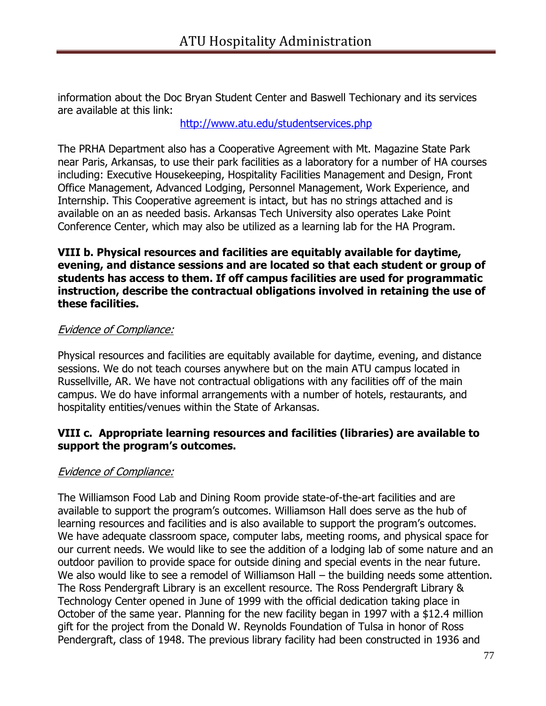information about the Doc Bryan Student Center and Baswell Techionary and its services are available at this link:

<http://www.atu.edu/studentservices.php>

The PRHA Department also has a Cooperative Agreement with Mt. Magazine State Park near Paris, Arkansas, to use their park facilities as a laboratory for a number of HA courses including: Executive Housekeeping, Hospitality Facilities Management and Design, Front Office Management, Advanced Lodging, Personnel Management, Work Experience, and Internship. This Cooperative agreement is intact, but has no strings attached and is available on an as needed basis. Arkansas Tech University also operates Lake Point Conference Center, which may also be utilized as a learning lab for the HA Program.

#### **VIII b. Physical resources and facilities are equitably available for daytime, evening, and distance sessions and are located so that each student or group of students has access to them. If off campus facilities are used for programmatic instruction, describe the contractual obligations involved in retaining the use of these facilities.**

#### Evidence of Compliance:

Physical resources and facilities are equitably available for daytime, evening, and distance sessions. We do not teach courses anywhere but on the main ATU campus located in Russellville, AR. We have not contractual obligations with any facilities off of the main campus. We do have informal arrangements with a number of hotels, restaurants, and hospitality entities/venues within the State of Arkansas.

#### **VIII c. Appropriate learning resources and facilities (libraries) are available to support the program's outcomes.**

#### Evidence of Compliance:

The Williamson Food Lab and Dining Room provide state-of-the-art facilities and are available to support the program's outcomes. Williamson Hall does serve as the hub of learning resources and facilities and is also available to support the program's outcomes. We have adequate classroom space, computer labs, meeting rooms, and physical space for our current needs. We would like to see the addition of a lodging lab of some nature and an outdoor pavilion to provide space for outside dining and special events in the near future. We also would like to see a remodel of Williamson Hall – the building needs some attention. The Ross Pendergraft Library is an excellent resource. The Ross Pendergraft Library & Technology Center opened in June of 1999 with the official dedication taking place in October of the same year. Planning for the new facility began in 1997 with a \$12.4 million gift for the project from the Donald W. Reynolds Foundation of Tulsa in honor of Ross Pendergraft, class of 1948. The previous library facility had been constructed in 1936 and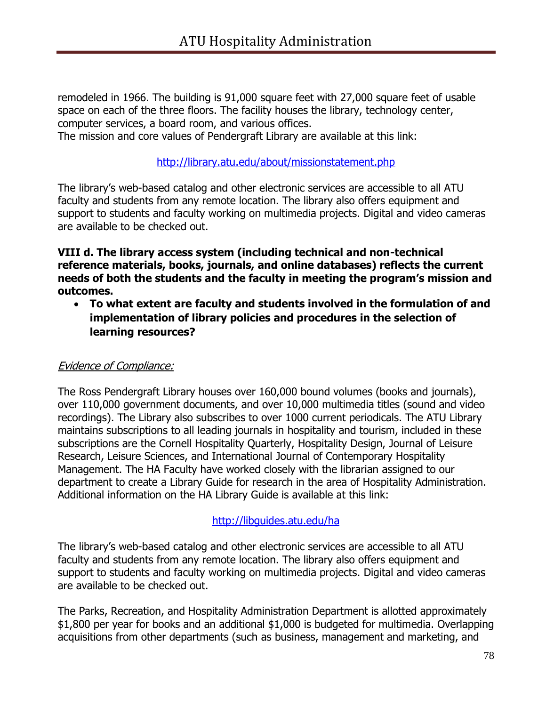remodeled in 1966. The building is 91,000 square feet with 27,000 square feet of usable space on each of the three floors. The facility houses the library, technology center, computer services, a board room, and various offices. The mission and core values of Pendergraft Library are available at this link:

<http://library.atu.edu/about/missionstatement.php>

The library's web-based catalog and other electronic services are accessible to all ATU faculty and students from any remote location. The library also offers equipment and support to students and faculty working on multimedia projects. Digital and video cameras are available to be checked out.

#### **VIII d. The library access system (including technical and non-technical reference materials, books, journals, and online databases) reflects the current needs of both the students and the faculty in meeting the program's mission and outcomes.**

 **To what extent are faculty and students involved in the formulation of and implementation of library policies and procedures in the selection of learning resources?** 

#### Evidence of Compliance:

The Ross Pendergraft Library houses over 160,000 bound volumes (books and journals), over 110,000 government documents, and over 10,000 multimedia titles (sound and video recordings). The Library also subscribes to over 1000 current periodicals. The ATU Library maintains subscriptions to all leading journals in hospitality and tourism, included in these subscriptions are the Cornell Hospitality Quarterly, Hospitality Design, Journal of Leisure Research, Leisure Sciences, and International Journal of Contemporary Hospitality Management. The HA Faculty have worked closely with the librarian assigned to our department to create a Library Guide for research in the area of Hospitality Administration. Additional information on the HA Library Guide is available at this link:

#### <http://libguides.atu.edu/ha>

The library's web-based catalog and other electronic services are accessible to all ATU faculty and students from any remote location. The library also offers equipment and support to students and faculty working on multimedia projects. Digital and video cameras are available to be checked out.

The Parks, Recreation, and Hospitality Administration Department is allotted approximately \$1,800 per year for books and an additional \$1,000 is budgeted for multimedia. Overlapping acquisitions from other departments (such as business, management and marketing, and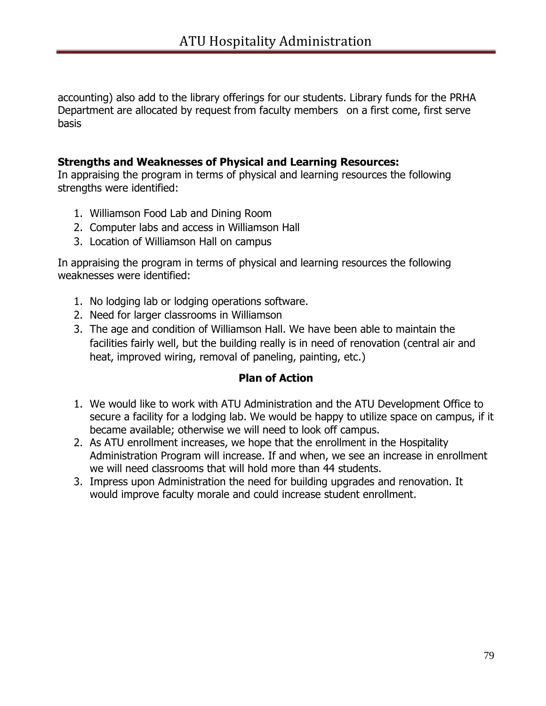accounting) also add to the library offerings for our students. Library funds for the PRHA Department are allocated by request from faculty members on a first come, first serve basis

#### **Strengths and Weaknesses of Physical and Learning Resources:**

In appraising the program in terms of physical and learning resources the following strengths were identified:

- 1. Williamson Food Lab and Dining Room
- 2. Computer labs and access in Williamson Hall
- 3. Location of Williamson Hall on campus

In appraising the program in terms of physical and learning resources the following weaknesses were identified:

- 1. No lodging lab or lodging operations software.
- 2. Need for larger classrooms in Williamson
- 3. The age and condition of Williamson Hall. We have been able to maintain the facilities fairly well, but the building really is in need of renovation (central air and heat, improved wiring, removal of paneling, painting, etc.)

#### **Plan of Action**

- 1. We would like to work with ATU Administration and the ATU Development Office to secure a facility for a lodging lab. We would be happy to utilize space on campus, if it became available; otherwise we will need to look off campus.
- 2. As ATU enrollment increases, we hope that the enrollment in the Hospitality Administration Program will increase. If and when, we see an increase in enrollment we will need classrooms that will hold more than 44 students.
- 3. Impress upon Administration the need for building upgrades and renovation. It would improve faculty morale and could increase student enrollment.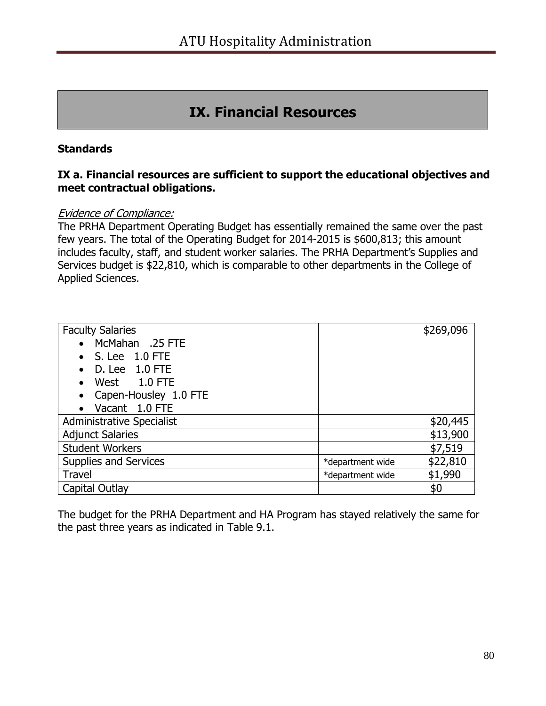# **IX. Financial Resources**

#### **Standards**

#### **IX a. Financial resources are sufficient to support the educational objectives and meet contractual obligations.**

#### Evidence of Compliance:

The PRHA Department Operating Budget has essentially remained the same over the past few years. The total of the Operating Budget for 2014-2015 is \$600,813; this amount includes faculty, staff, and student worker salaries. The PRHA Department's Supplies and Services budget is \$22,810, which is comparable to other departments in the College of Applied Sciences.

| <b>Faculty Salaries</b>            |                  | \$269,096 |
|------------------------------------|------------------|-----------|
| McMahan .25 FTE                    |                  |           |
| S. Lee 1.0 FTE                     |                  |           |
| D. Lee 1.0 FTE                     |                  |           |
| West 1.0 FTE                       |                  |           |
| Capen-Housley 1.0 FTE<br>$\bullet$ |                  |           |
| Vacant 1.0 FTE<br>$\bullet$        |                  |           |
| Administrative Specialist          |                  | \$20,445  |
| <b>Adjunct Salaries</b>            |                  | \$13,900  |
| <b>Student Workers</b>             |                  | \$7,519   |
| Supplies and Services              | *department wide | \$22,810  |
| Travel                             | *department wide | \$1,990   |
| Capital Outlay                     |                  | \$0       |

The budget for the PRHA Department and HA Program has stayed relatively the same for the past three years as indicated in Table 9.1.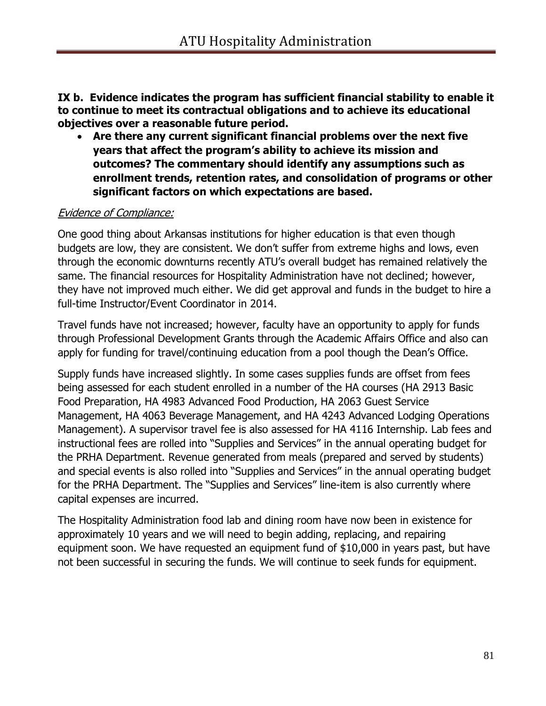**IX b. Evidence indicates the program has sufficient financial stability to enable it to continue to meet its contractual obligations and to achieve its educational objectives over a reasonable future period.**

 **Are there any current significant financial problems over the next five years that affect the program's ability to achieve its mission and outcomes? The commentary should identify any assumptions such as enrollment trends, retention rates, and consolidation of programs or other significant factors on which expectations are based.** 

#### Evidence of Compliance:

One good thing about Arkansas institutions for higher education is that even though budgets are low, they are consistent. We don't suffer from extreme highs and lows, even through the economic downturns recently ATU's overall budget has remained relatively the same. The financial resources for Hospitality Administration have not declined; however, they have not improved much either. We did get approval and funds in the budget to hire a full-time Instructor/Event Coordinator in 2014.

Travel funds have not increased; however, faculty have an opportunity to apply for funds through Professional Development Grants through the Academic Affairs Office and also can apply for funding for travel/continuing education from a pool though the Dean's Office.

Supply funds have increased slightly. In some cases supplies funds are offset from fees being assessed for each student enrolled in a number of the HA courses (HA 2913 Basic Food Preparation, HA 4983 Advanced Food Production, HA 2063 Guest Service Management, HA 4063 Beverage Management, and HA 4243 Advanced Lodging Operations Management). A supervisor travel fee is also assessed for HA 4116 Internship. Lab fees and instructional fees are rolled into "Supplies and Services" in the annual operating budget for the PRHA Department. Revenue generated from meals (prepared and served by students) and special events is also rolled into "Supplies and Services" in the annual operating budget for the PRHA Department. The "Supplies and Services" line-item is also currently where capital expenses are incurred.

The Hospitality Administration food lab and dining room have now been in existence for approximately 10 years and we will need to begin adding, replacing, and repairing equipment soon. We have requested an equipment fund of \$10,000 in years past, but have not been successful in securing the funds. We will continue to seek funds for equipment.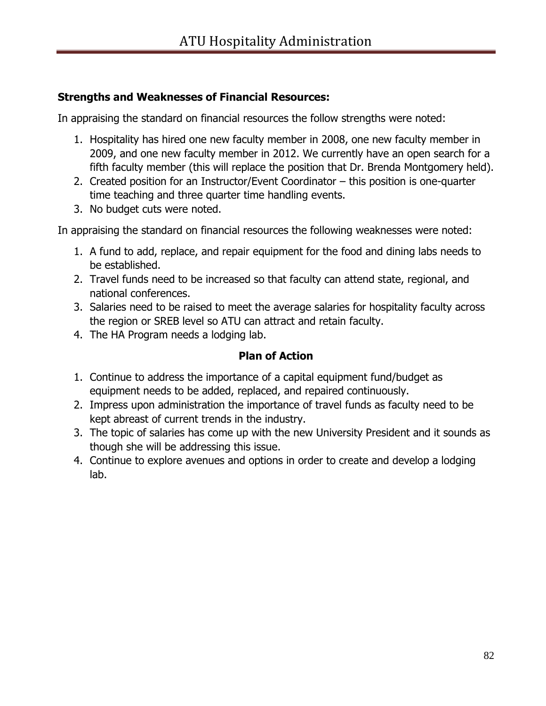### **Strengths and Weaknesses of Financial Resources:**

In appraising the standard on financial resources the follow strengths were noted:

- 1. Hospitality has hired one new faculty member in 2008, one new faculty member in 2009, and one new faculty member in 2012. We currently have an open search for a fifth faculty member (this will replace the position that Dr. Brenda Montgomery held).
- 2. Created position for an Instructor/Event Coordinator this position is one-quarter time teaching and three quarter time handling events.
- 3. No budget cuts were noted.

In appraising the standard on financial resources the following weaknesses were noted:

- 1. A fund to add, replace, and repair equipment for the food and dining labs needs to be established.
- 2. Travel funds need to be increased so that faculty can attend state, regional, and national conferences.
- 3. Salaries need to be raised to meet the average salaries for hospitality faculty across the region or SREB level so ATU can attract and retain faculty.
- 4. The HA Program needs a lodging lab.

### **Plan of Action**

- 1. Continue to address the importance of a capital equipment fund/budget as equipment needs to be added, replaced, and repaired continuously.
- 2. Impress upon administration the importance of travel funds as faculty need to be kept abreast of current trends in the industry.
- 3. The topic of salaries has come up with the new University President and it sounds as though she will be addressing this issue.
- 4. Continue to explore avenues and options in order to create and develop a lodging lab.